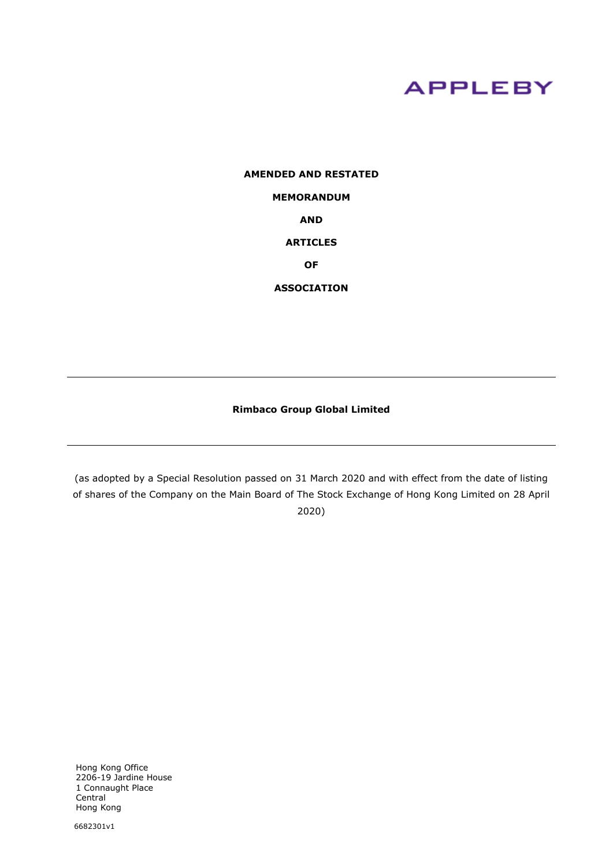# **APPLEBY**

**AMENDED AND RESTATED MEMORANDUM AND ARTICLES OF ASSOCIATION**

#### **Rimbaco Group Global Limited**

(as adopted by a Special Resolution passed on 31 March 2020 and with effect from the date of listing of shares of the Company on the Main Board of The Stock Exchange of Hong Kong Limited on 28 April 2020)

Hong Kong Office 2206-19 Jardine House 1 Connaught Place Central Hong Kong

6682301v1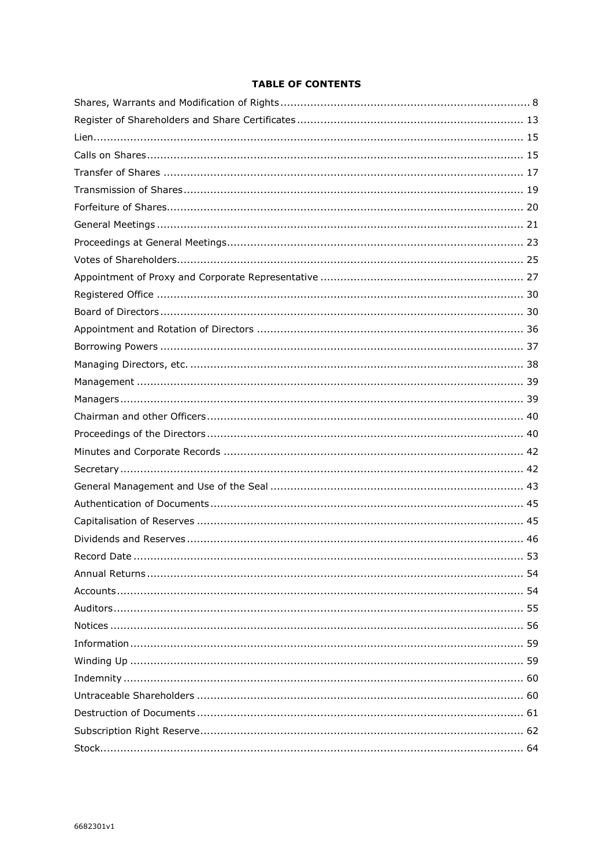### **TABLE OF CONTENTS**

| 53<br>Record Date |
|-------------------|
|                   |
|                   |
|                   |
|                   |
|                   |
|                   |
|                   |
|                   |
|                   |
|                   |
|                   |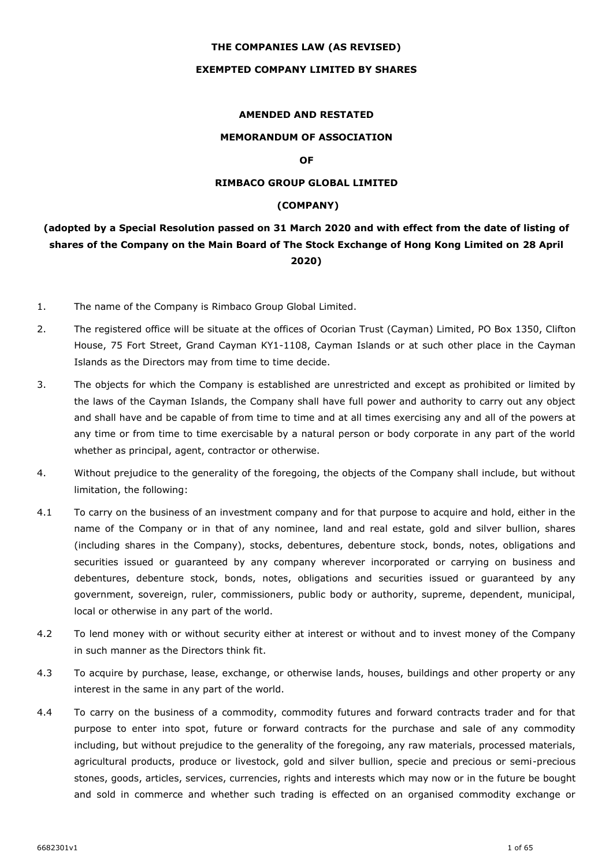#### **THE COMPANIES LAW (AS REVISED)**

#### **EXEMPTED COMPANY LIMITED BY SHARES**

#### **AMENDED AND RESTATED**

#### **MEMORANDUM OF ASSOCIATION**

**OF**

#### **RIMBACO GROUP GLOBAL LIMITED**

#### **(COMPANY)**

# **(adopted by a Special Resolution passed on 31 March 2020 and with effect from the date of listing of shares of the Company on the Main Board of The Stock Exchange of Hong Kong Limited on 28 April 2020)**

- 1. The name of the Company is Rimbaco Group Global Limited.
- 2. The registered office will be situate at the offices of Ocorian Trust (Cayman) Limited, PO Box 1350, Clifton House, 75 Fort Street, Grand Cayman KY1-1108, Cayman Islands or at such other place in the Cayman Islands as the Directors may from time to time decide.
- 3. The objects for which the Company is established are unrestricted and except as prohibited or limited by the laws of the Cayman Islands, the Company shall have full power and authority to carry out any object and shall have and be capable of from time to time and at all times exercising any and all of the powers at any time or from time to time exercisable by a natural person or body corporate in any part of the world whether as principal, agent, contractor or otherwise.
- 4. Without prejudice to the generality of the foregoing, the objects of the Company shall include, but without limitation, the following:
- 4.1 To carry on the business of an investment company and for that purpose to acquire and hold, either in the name of the Company or in that of any nominee, land and real estate, gold and silver bullion, shares (including shares in the Company), stocks, debentures, debenture stock, bonds, notes, obligations and securities issued or guaranteed by any company wherever incorporated or carrying on business and debentures, debenture stock, bonds, notes, obligations and securities issued or guaranteed by any government, sovereign, ruler, commissioners, public body or authority, supreme, dependent, municipal, local or otherwise in any part of the world.
- 4.2 To lend money with or without security either at interest or without and to invest money of the Company in such manner as the Directors think fit.
- 4.3 To acquire by purchase, lease, exchange, or otherwise lands, houses, buildings and other property or any interest in the same in any part of the world.
- 4.4 To carry on the business of a commodity, commodity futures and forward contracts trader and for that purpose to enter into spot, future or forward contracts for the purchase and sale of any commodity including, but without prejudice to the generality of the foregoing, any raw materials, processed materials, agricultural products, produce or livestock, gold and silver bullion, specie and precious or semi-precious stones, goods, articles, services, currencies, rights and interests which may now or in the future be bought and sold in commerce and whether such trading is effected on an organised commodity exchange or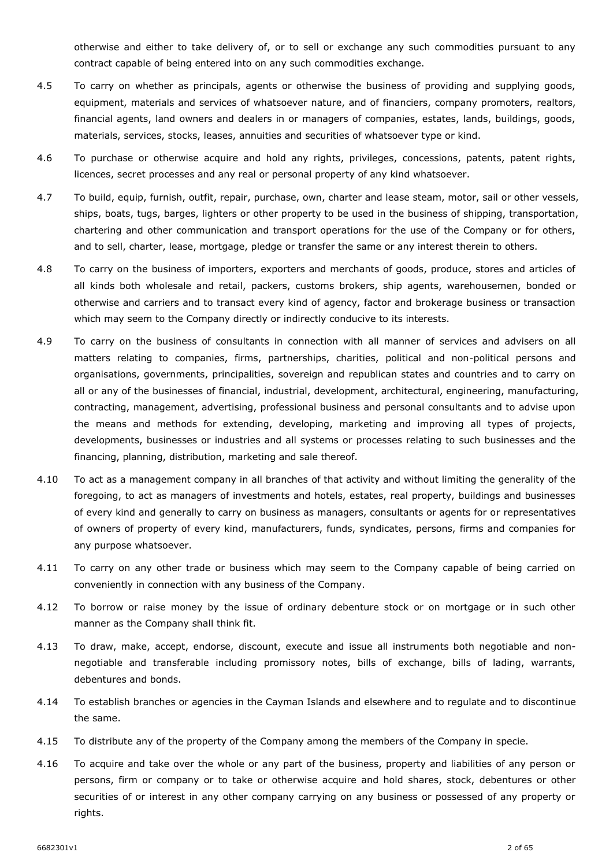otherwise and either to take delivery of, or to sell or exchange any such commodities pursuant to any contract capable of being entered into on any such commodities exchange.

- 4.5 To carry on whether as principals, agents or otherwise the business of providing and supplying goods, equipment, materials and services of whatsoever nature, and of financiers, company promoters, realtors, financial agents, land owners and dealers in or managers of companies, estates, lands, buildings, goods, materials, services, stocks, leases, annuities and securities of whatsoever type or kind.
- 4.6 To purchase or otherwise acquire and hold any rights, privileges, concessions, patents, patent rights, licences, secret processes and any real or personal property of any kind whatsoever.
- 4.7 To build, equip, furnish, outfit, repair, purchase, own, charter and lease steam, motor, sail or other vessels, ships, boats, tugs, barges, lighters or other property to be used in the business of shipping, transportation, chartering and other communication and transport operations for the use of the Company or for others, and to sell, charter, lease, mortgage, pledge or transfer the same or any interest therein to others.
- 4.8 To carry on the business of importers, exporters and merchants of goods, produce, stores and articles of all kinds both wholesale and retail, packers, customs brokers, ship agents, warehousemen, bonded or otherwise and carriers and to transact every kind of agency, factor and brokerage business or transaction which may seem to the Company directly or indirectly conducive to its interests.
- 4.9 To carry on the business of consultants in connection with all manner of services and advisers on all matters relating to companies, firms, partnerships, charities, political and non-political persons and organisations, governments, principalities, sovereign and republican states and countries and to carry on all or any of the businesses of financial, industrial, development, architectural, engineering, manufacturing, contracting, management, advertising, professional business and personal consultants and to advise upon the means and methods for extending, developing, marketing and improving all types of projects, developments, businesses or industries and all systems or processes relating to such businesses and the financing, planning, distribution, marketing and sale thereof.
- 4.10 To act as a management company in all branches of that activity and without limiting the generality of the foregoing, to act as managers of investments and hotels, estates, real property, buildings and businesses of every kind and generally to carry on business as managers, consultants or agents for or representatives of owners of property of every kind, manufacturers, funds, syndicates, persons, firms and companies for any purpose whatsoever.
- 4.11 To carry on any other trade or business which may seem to the Company capable of being carried on conveniently in connection with any business of the Company.
- 4.12 To borrow or raise money by the issue of ordinary debenture stock or on mortgage or in such other manner as the Company shall think fit.
- 4.13 To draw, make, accept, endorse, discount, execute and issue all instruments both negotiable and nonnegotiable and transferable including promissory notes, bills of exchange, bills of lading, warrants, debentures and bonds.
- 4.14 To establish branches or agencies in the Cayman Islands and elsewhere and to regulate and to discontinue the same.
- 4.15 To distribute any of the property of the Company among the members of the Company in specie.
- 4.16 To acquire and take over the whole or any part of the business, property and liabilities of any person or persons, firm or company or to take or otherwise acquire and hold shares, stock, debentures or other securities of or interest in any other company carrying on any business or possessed of any property or rights.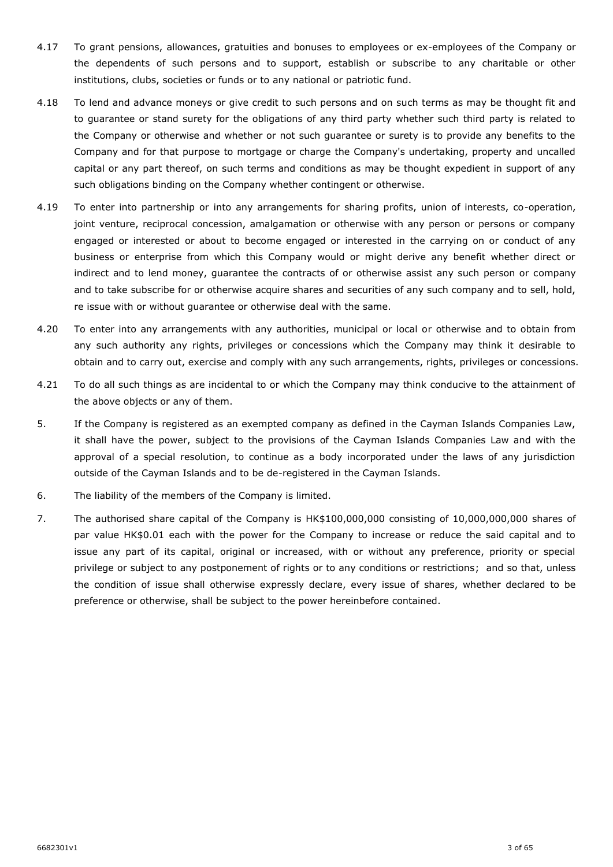- 4.17 To grant pensions, allowances, gratuities and bonuses to employees or ex-employees of the Company or the dependents of such persons and to support, establish or subscribe to any charitable or other institutions, clubs, societies or funds or to any national or patriotic fund.
- 4.18 To lend and advance moneys or give credit to such persons and on such terms as may be thought fit and to guarantee or stand surety for the obligations of any third party whether such third party is related to the Company or otherwise and whether or not such guarantee or surety is to provide any benefits to the Company and for that purpose to mortgage or charge the Company's undertaking, property and uncalled capital or any part thereof, on such terms and conditions as may be thought expedient in support of any such obligations binding on the Company whether contingent or otherwise.
- 4.19 To enter into partnership or into any arrangements for sharing profits, union of interests, co-operation, joint venture, reciprocal concession, amalgamation or otherwise with any person or persons or company engaged or interested or about to become engaged or interested in the carrying on or conduct of any business or enterprise from which this Company would or might derive any benefit whether direct or indirect and to lend money, guarantee the contracts of or otherwise assist any such person or company and to take subscribe for or otherwise acquire shares and securities of any such company and to sell, hold, re issue with or without guarantee or otherwise deal with the same.
- 4.20 To enter into any arrangements with any authorities, municipal or local or otherwise and to obtain from any such authority any rights, privileges or concessions which the Company may think it desirable to obtain and to carry out, exercise and comply with any such arrangements, rights, privileges or concessions.
- 4.21 To do all such things as are incidental to or which the Company may think conducive to the attainment of the above objects or any of them.
- 5. If the Company is registered as an exempted company as defined in the Cayman Islands Companies Law, it shall have the power, subject to the provisions of the Cayman Islands Companies Law and with the approval of a special resolution, to continue as a body incorporated under the laws of any jurisdiction outside of the Cayman Islands and to be de-registered in the Cayman Islands.
- 6. The liability of the members of the Company is limited.
- 7. The authorised share capital of the Company is HK\$100,000,000 consisting of 10,000,000,000 shares of par value HK\$0.01 each with the power for the Company to increase or reduce the said capital and to issue any part of its capital, original or increased, with or without any preference, priority or special privilege or subject to any postponement of rights or to any conditions or restrictions; and so that, unless the condition of issue shall otherwise expressly declare, every issue of shares, whether declared to be preference or otherwise, shall be subject to the power hereinbefore contained.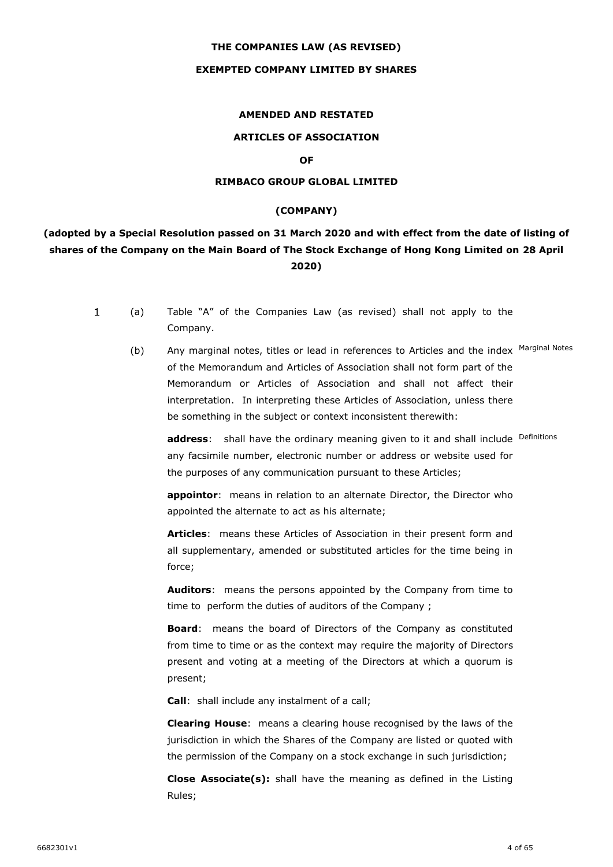#### **THE COMPANIES LAW (AS REVISED)**

#### **EXEMPTED COMPANY LIMITED BY SHARES**

#### **AMENDED AND RESTATED**

#### **ARTICLES OF ASSOCIATION**

#### **OF**

#### **RIMBACO GROUP GLOBAL LIMITED**

#### **(COMPANY)**

## **(adopted by a Special Resolution passed on 31 March 2020 and with effect from the date of listing of shares of the Company on the Main Board of The Stock Exchange of Hong Kong Limited on 28 April 2020)**

- $\mathbf{1}$ (a) Table "A" of the Companies Law (as revised) shall not apply to the Company.
	- (b) Any marginal notes, titles or lead in references to Articles and the index Marginal Notes of the Memorandum and Articles of Association shall not form part of the Memorandum or Articles of Association and shall not affect their interpretation. In interpreting these Articles of Association, unless there be something in the subject or context inconsistent therewith:

address: shall have the ordinary meaning given to it and shall include Definitions any facsimile number, electronic number or address or website used for the purposes of any communication pursuant to these Articles;

**appointor**: means in relation to an alternate Director, the Director who appointed the alternate to act as his alternate;

**Articles**: means these Articles of Association in their present form and all supplementary, amended or substituted articles for the time being in force;

**Auditors**: means the persons appointed by the Company from time to time to perform the duties of auditors of the Company ;

**Board**: means the board of Directors of the Company as constituted from time to time or as the context may require the majority of Directors present and voting at a meeting of the Directors at which a quorum is present;

**Call**: shall include any instalment of a call;

**Clearing House**: means a clearing house recognised by the laws of the jurisdiction in which the Shares of the Company are listed or quoted with the permission of the Company on a stock exchange in such jurisdiction;

**Close Associate(s):** shall have the meaning as defined in the Listing Rules;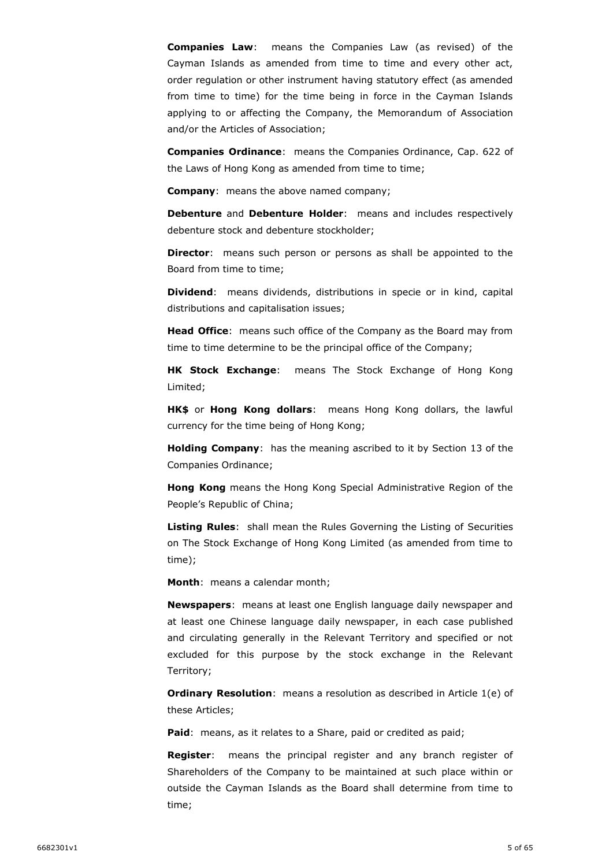**Companies Law**: means the Companies Law (as revised) of the Cayman Islands as amended from time to time and every other act, order regulation or other instrument having statutory effect (as amended from time to time) for the time being in force in the Cayman Islands applying to or affecting the Company, the Memorandum of Association and/or the Articles of Association;

**Companies Ordinance**: means the Companies Ordinance, Cap. 622 of the Laws of Hong Kong as amended from time to time;

**Company**: means the above named company;

**Debenture** and **Debenture Holder**: means and includes respectively debenture stock and debenture stockholder;

**Director:** means such person or persons as shall be appointed to the Board from time to time;

**Dividend**: means dividends, distributions in specie or in kind, capital distributions and capitalisation issues;

**Head Office**: means such office of the Company as the Board may from time to time determine to be the principal office of the Company;

**HK Stock Exchange**: means The Stock Exchange of Hong Kong Limited;

**HK\$** or **Hong Kong dollars**: means Hong Kong dollars, the lawful currency for the time being of Hong Kong;

**Holding Company**: has the meaning ascribed to it by Section 13 of the Companies Ordinance;

**Hong Kong** means the Hong Kong Special Administrative Region of the People's Republic of China;

**Listing Rules**: shall mean the Rules Governing the Listing of Securities on The Stock Exchange of Hong Kong Limited (as amended from time to time);

**Month**: means a calendar month;

**Newspapers**: means at least one English language daily newspaper and at least one Chinese language daily newspaper, in each case published and circulating generally in the Relevant Territory and specified or not excluded for this purpose by the stock exchange in the Relevant Territory;

**Ordinary Resolution:** means a resolution as described in Article 1(e) of these Articles;

Paid: means, as it relates to a Share, paid or credited as paid;

**Register**: means the principal register and any branch register of Shareholders of the Company to be maintained at such place within or outside the Cayman Islands as the Board shall determine from time to time;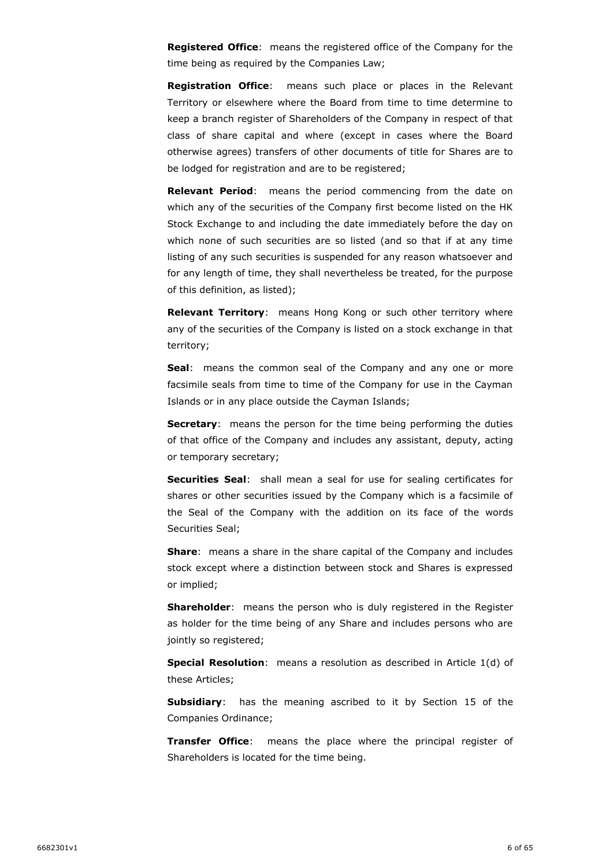**Registered Office**: means the registered office of the Company for the time being as required by the Companies Law;

**Registration Office**: means such place or places in the Relevant Territory or elsewhere where the Board from time to time determine to keep a branch register of Shareholders of the Company in respect of that class of share capital and where (except in cases where the Board otherwise agrees) transfers of other documents of title for Shares are to be lodged for registration and are to be registered;

**Relevant Period**: means the period commencing from the date on which any of the securities of the Company first become listed on the HK Stock Exchange to and including the date immediately before the day on which none of such securities are so listed (and so that if at any time listing of any such securities is suspended for any reason whatsoever and for any length of time, they shall nevertheless be treated, for the purpose of this definition, as listed);

**Relevant Territory:** means Hong Kong or such other territory where any of the securities of the Company is listed on a stock exchange in that territory;

**Seal**: means the common seal of the Company and any one or more facsimile seals from time to time of the Company for use in the Cayman Islands or in any place outside the Cayman Islands;

**Secretary:** means the person for the time being performing the duties of that office of the Company and includes any assistant, deputy, acting or temporary secretary;

**Securities Seal**: shall mean a seal for use for sealing certificates for shares or other securities issued by the Company which is a facsimile of the Seal of the Company with the addition on its face of the words Securities Seal;

**Share**: means a share in the share capital of the Company and includes stock except where a distinction between stock and Shares is expressed or implied;

**Shareholder**: means the person who is duly registered in the Register as holder for the time being of any Share and includes persons who are jointly so registered;

**Special Resolution**: means a resolution as described in Article 1(d) of these Articles;

**Subsidiary**: has the meaning ascribed to it by Section 15 of the Companies Ordinance;

**Transfer Office**: means the place where the principal register of Shareholders is located for the time being.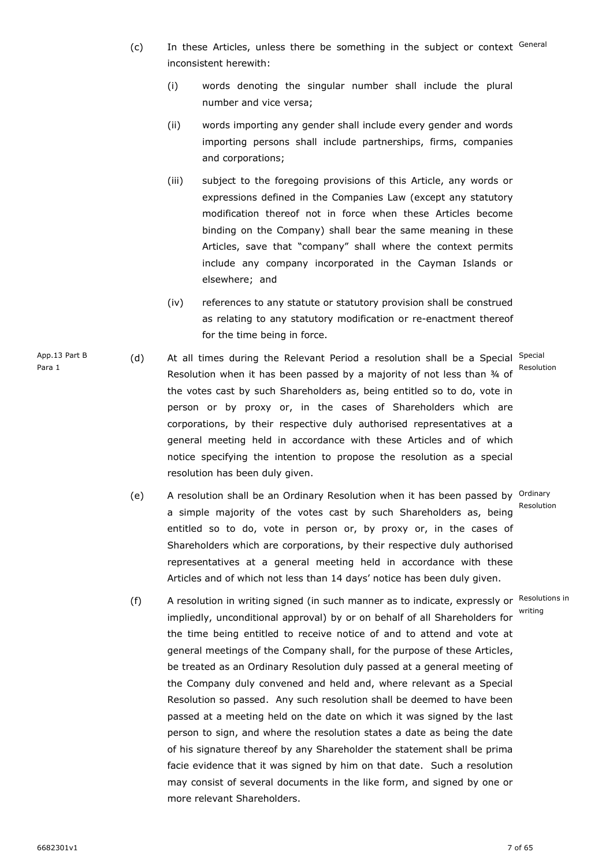- (c) In these Articles, unless there be something in the subject or context General inconsistent herewith:
	- (i) words denoting the singular number shall include the plural number and vice versa;
	- (ii) words importing any gender shall include every gender and words importing persons shall include partnerships, firms, companies and corporations;
	- (iii) subject to the foregoing provisions of this Article, any words or expressions defined in the Companies Law (except any statutory modification thereof not in force when these Articles become binding on the Company) shall bear the same meaning in these Articles, save that "company" shall where the context permits include any company incorporated in the Cayman Islands or elsewhere; and
	- (iv) references to any statute or statutory provision shall be construed as relating to any statutory modification or re-enactment thereof for the time being in force.
- (d) At all times during the Relevant Period a resolution shall be a Special Special Resolution when it has been passed by a majority of not less than ¾ of Resolution the votes cast by such Shareholders as, being entitled so to do, vote in person or by proxy or, in the cases of Shareholders which are corporations, by their respective duly authorised representatives at a general meeting held in accordance with these Articles and of which notice specifying the intention to propose the resolution as a special resolution has been duly given.
- (e) A resolution shall be an Ordinary Resolution when it has been passed by <sup>Ordinary</sup> a simple majority of the votes cast by such Shareholders as, being entitled so to do, vote in person or, by proxy or, in the cases of Shareholders which are corporations, by their respective duly authorised representatives at a general meeting held in accordance with these Articles and of which not less than 14 days' notice has been duly given.
- (f) A resolution in writing signed (in such manner as to indicate, expressly or Resolutions in impliedly, unconditional approval) by or on behalf of all Shareholders for writing the time being entitled to receive notice of and to attend and vote at general meetings of the Company shall, for the purpose of these Articles, be treated as an Ordinary Resolution duly passed at a general meeting of the Company duly convened and held and, where relevant as a Special Resolution so passed. Any such resolution shall be deemed to have been passed at a meeting held on the date on which it was signed by the last person to sign, and where the resolution states a date as being the date of his signature thereof by any Shareholder the statement shall be prima facie evidence that it was signed by him on that date. Such a resolution may consist of several documents in the like form, and signed by one or more relevant Shareholders.

App.13 Part B Para 1

Resolution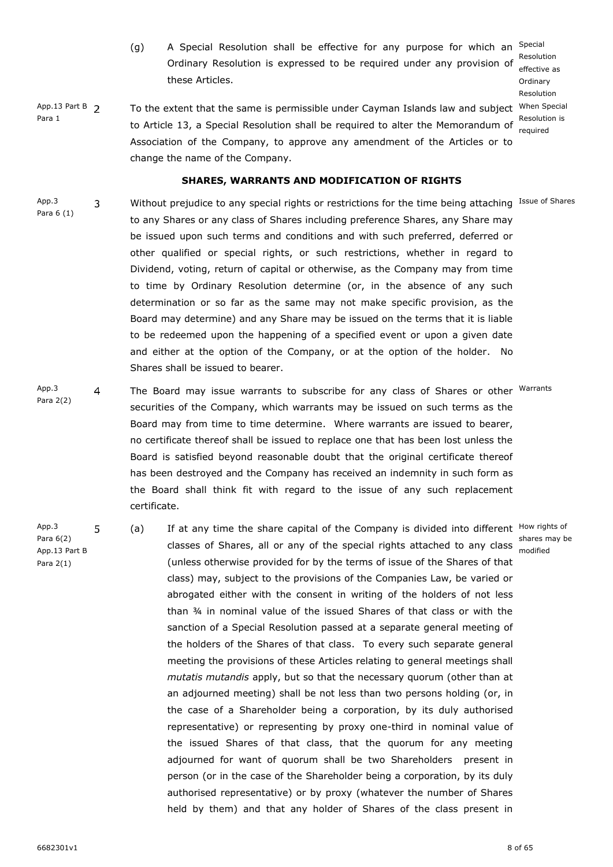- (g) A Special Resolution shall be effective for any purpose for which an Special Ordinary Resolution is expressed to be required under any provision of these Articles. Resolution
- App.13 Part B<sub>2</sub> Para 1 To the extent that the same is permissible under Cayman Islands law and subject <sup>When Special</sup> to Article [13,](#page-12-0) a Special Resolution shall be required to alter the Memorandum of Association of the Company, to approve any amendment of the Articles or to change the name of the Company.

#### <span id="page-9-0"></span>**SHARES, WARRANTS AND MODIFICATION OF RIGHTS**

- App.3 3 Without prejudice to any special rights or restrictions for the time being attaching lissue of Shares Para 6 (1) to any Shares or any class of Shares including preference Shares, any Share may be issued upon such terms and conditions and with such preferred, deferred or other qualified or special rights, or such restrictions, whether in regard to Dividend, voting, return of capital or otherwise, as the Company may from time to time by Ordinary Resolution determine (or, in the absence of any such determination or so far as the same may not make specific provision, as the Board may determine) and any Share may be issued on the terms that it is liable to be redeemed upon the happening of a specified event or upon a given date and either at the option of the Company, or at the option of the holder. No Shares shall be issued to bearer.
- App<sub>.3</sub>  $\overline{4}$ The Board may issue warrants to subscribe for any class of Shares or other <sup>Warrants</sup> Para 2(2) securities of the Company, which warrants may be issued on such terms as the Board may from time to time determine. Where warrants are issued to bearer, no certificate thereof shall be issued to replace one that has been lost unless the Board is satisfied beyond reasonable doubt that the original certificate thereof has been destroyed and the Company has received an indemnity in such form as the Board shall think fit with regard to the issue of any such replacement certificate.
- (a) If at any time the share capital of the Company is divided into different <sup>How rights of</sup> 5 Para 6(2) shares may be classes of Shares, all or any of the special rights attached to any class modified App.13 Part B (unless otherwise provided for by the terms of issue of the Shares of that Para 2(1) class) may, subject to the provisions of the Companies Law, be varied or abrogated either with the consent in writing of the holders of not less than ¾ in nominal value of the issued Shares of that class or with the sanction of a Special Resolution passed at a separate general meeting of the holders of the Shares of that class. To every such separate general meeting the provisions of these Articles relating to general meetings shall *mutatis mutandis* apply, but so that the necessary quorum (other than at an adjourned meeting) shall be not less than two persons holding (or, in the case of a Shareholder being a corporation, by its duly authorised representative) or representing by proxy one-third in nominal value of the issued Shares of that class, that the quorum for any meeting adjourned for want of quorum shall be two Shareholders present in person (or in the case of the Shareholder being a corporation, by its duly authorised representative) or by proxy (whatever the number of Shares held by them) and that any holder of Shares of the class present in

effective as **Ordinary** Resolution Resolution is required

App.3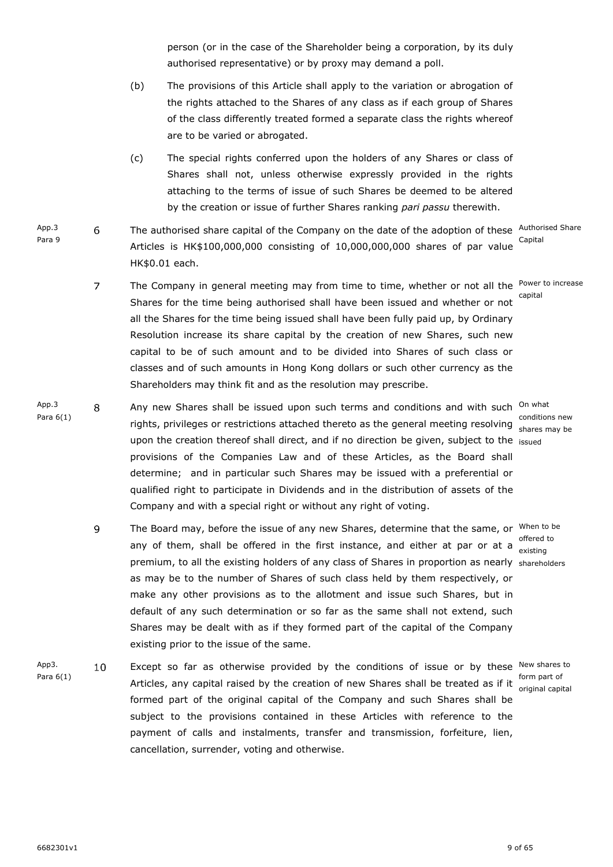person (or in the case of the Shareholder being a corporation, by its duly authorised representative) or by proxy may demand a poll.

- (b) The provisions of this Article shall apply to the variation or abrogation of the rights attached to the Shares of any class as if each group of Shares of the class differently treated formed a separate class the rights whereof are to be varied or abrogated.
- (c) The special rights conferred upon the holders of any Shares or class of Shares shall not, unless otherwise expressly provided in the rights attaching to the terms of issue of such Shares be deemed to be altered by the creation or issue of further Shares ranking *pari passu* therewith.
- <span id="page-10-1"></span>App.3 The authorised share capital of the Company on the date of the adoption of these Authorised Share 6 Para 9 Capital Articles is HK\$100,000,000 consisting of 10,000,000,000 shares of par value HK\$0.01 each.
	- $\overline{7}$ The Company in general meeting may from time to time, whether or not all the Power to increase capital Shares for the time being authorised shall have been issued and whether or not all the Shares for the time being issued shall have been fully paid up, by Ordinary Resolution increase its share capital by the creation of new Shares, such new capital to be of such amount and to be divided into Shares of such class or classes and of such amounts in Hong Kong dollars or such other currency as the Shareholders may think fit and as the resolution may prescribe.
- <span id="page-10-0"></span>App.3 Any new Shares shall be issued upon such terms and conditions and with such <sup>On what</sup> 8 Para 6(1) conditions new<br>conditions new conditions attached thereto as the general meeting resolving upon the creation thereof shall direct, and if no direction be given, subject to the <sub>issued</sub> provisions of the Companies Law and of these Articles, as the Board shall determine; and in particular such Shares may be issued with a preferential or qualified right to participate in Dividends and in the distribution of assets of the Company and with a special right or without any right of voting.
	- The Board may, before the issue of any new Shares, determine that the same, or <sup>When to be</sup> 9 any of them, shall be offered in the first instance, and either at par or at a  $\frac{m}{\text{existing}}$ premium, to all the existing holders of any class of Shares in proportion as nearly shareholders as may be to the number of Shares of such class held by them respectively, or make any other provisions as to the allotment and issue such Shares, but in default of any such determination or so far as the same shall not extend, such Shares may be dealt with as if they formed part of the capital of the Company existing prior to the issue of the same.
- App3. 10 Except so far as otherwise provided by the conditions of issue or by these New shares to Para 6(1) form part of<br>Articles, any capital raised by the creation of new Shares shall be treated as if it formed part of the original capital of the Company and such Shares shall be subject to the provisions contained in these Articles with reference to the payment of calls and instalments, transfer and transmission, forfeiture, lien, cancellation, surrender, voting and otherwise.

shares may be

offered to

original capital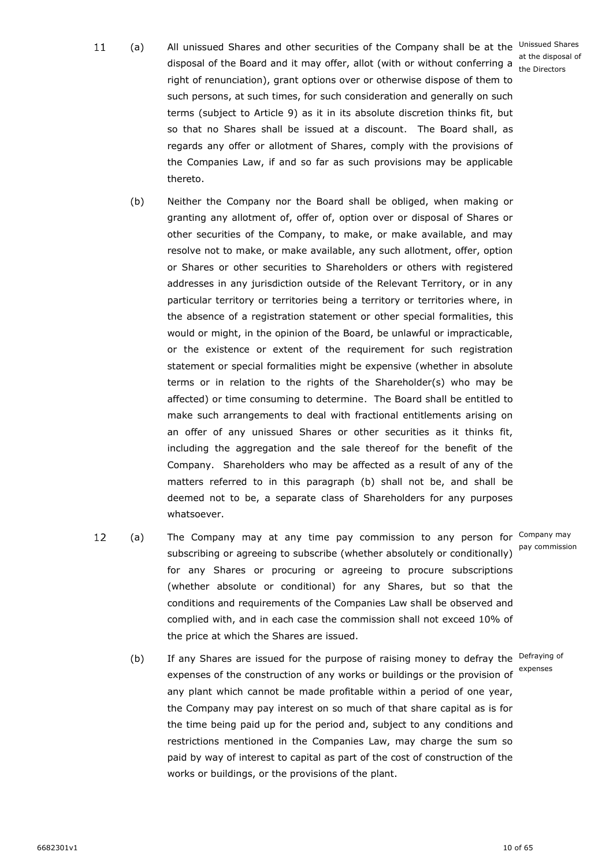- <span id="page-11-0"></span> $11$ (a) All unissued Shares and other securities of the Company shall be at the Unissued Shares at the disposal of the Board and it may offer, allot (with or without conferring a at the disposal of right of renunciation), grant options over or otherwise dispose of them to such persons, at such times, for such consideration and generally on such terms (subject to Article [9\)](#page-10-0) as it in its absolute discretion thinks fit, but so that no Shares shall be issued at a discount. The Board shall, as regards any offer or allotment of Shares, comply with the provisions of the Companies Law, if and so far as such provisions may be applicable thereto.
	- (b) Neither the Company nor the Board shall be obliged, when making or granting any allotment of, offer of, option over or disposal of Shares or other securities of the Company, to make, or make available, and may resolve not to make, or make available, any such allotment, offer, option or Shares or other securities to Shareholders or others with registered addresses in any jurisdiction outside of the Relevant Territory, or in any particular territory or territories being a territory or territories where, in the absence of a registration statement or other special formalities, this would or might, in the opinion of the Board, be unlawful or impracticable, or the existence or extent of the requirement for such registration statement or special formalities might be expensive (whether in absolute terms or in relation to the rights of the Shareholder(s) who may be affected) or time consuming to determine. The Board shall be entitled to make such arrangements to deal with fractional entitlements arising on an offer of any unissued Shares or other securities as it thinks fit, including the aggregation and the sale thereof for the benefit of the Company. Shareholders who may be affected as a result of any of the matters referred to in this paragraph [\(b\)](#page-11-0) shall not be, and shall be deemed not to be, a separate class of Shareholders for any purposes whatsoever.
- $12$ (a) The Company may at any time pay commission to any person for Company may subscribing or agreeing to subscribe (whether absolutely or conditionally) pay commission for any Shares or procuring or agreeing to procure subscriptions (whether absolute or conditional) for any Shares, but so that the conditions and requirements of the Companies Law shall be observed and complied with, and in each case the commission shall not exceed 10% of the price at which the Shares are issued.
	- (b) If any Shares are issued for the purpose of raising money to defray the Defraying of expenses of the construction of any works or buildings or the provision of any plant which cannot be made profitable within a period of one year, the Company may pay interest on so much of that share capital as is for the time being paid up for the period and, subject to any conditions and restrictions mentioned in the Companies Law, may charge the sum so paid by way of interest to capital as part of the cost of construction of the works or buildings, or the provisions of the plant.

expenses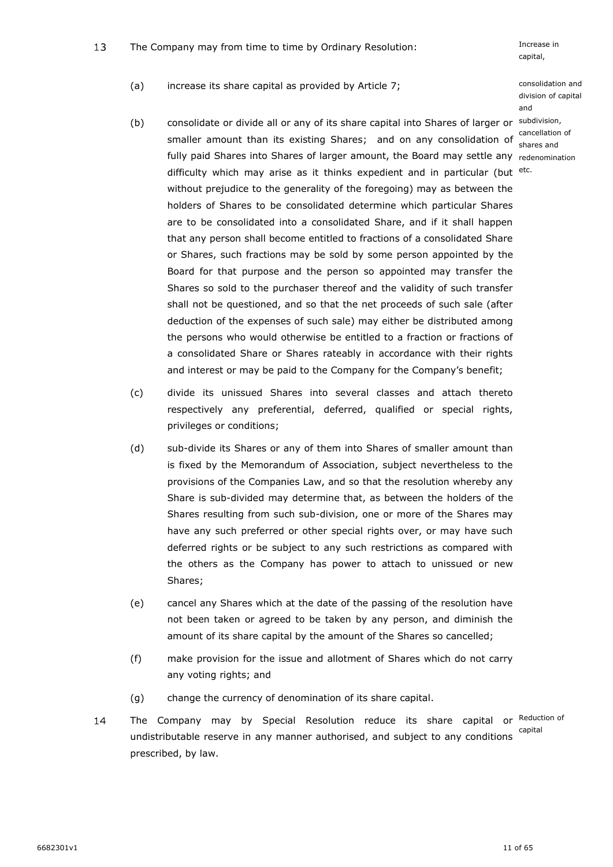capital,

- <span id="page-12-0"></span>(a) increase its share capital as provided by Article [7;](#page-10-1)
- (b) consolidate or divide all or any of its share capital into Shares of larger or subdivision, smaller amount than its existing Shares; and on any consolidation of cancellation of fully paid Shares into Shares of larger amount, the Board may settle any redenomination difficulty which may arise as it thinks expedient and in particular (but etc. without prejudice to the generality of the foregoing) may as between the holders of Shares to be consolidated determine which particular Shares are to be consolidated into a consolidated Share, and if it shall happen that any person shall become entitled to fractions of a consolidated Share or Shares, such fractions may be sold by some person appointed by the Board for that purpose and the person so appointed may transfer the Shares so sold to the purchaser thereof and the validity of such transfer shall not be questioned, and so that the net proceeds of such sale (after deduction of the expenses of such sale) may either be distributed among the persons who would otherwise be entitled to a fraction or fractions of a consolidated Share or Shares rateably in accordance with their rights and interest or may be paid to the Company for the Company's benefit;
- (c) divide its unissued Shares into several classes and attach thereto respectively any preferential, deferred, qualified or special rights, privileges or conditions;
- (d) sub-divide its Shares or any of them into Shares of smaller amount than is fixed by the Memorandum of Association, subject nevertheless to the provisions of the Companies Law, and so that the resolution whereby any Share is sub-divided may determine that, as between the holders of the Shares resulting from such sub-division, one or more of the Shares may have any such preferred or other special rights over, or may have such deferred rights or be subject to any such restrictions as compared with the others as the Company has power to attach to unissued or new Shares;
- (e) cancel any Shares which at the date of the passing of the resolution have not been taken or agreed to be taken by any person, and diminish the amount of its share capital by the amount of the Shares so cancelled;
- (f) make provision for the issue and allotment of Shares which do not carry any voting rights; and
- (g) change the currency of denomination of its share capital.
- $14$ The Company may by Special Resolution reduce its share capital or <sup>Reduction of</sup> capitalundistributable reserve in any manner authorised, and subject to any conditions prescribed, by law.

consolidation and division of capital and shares and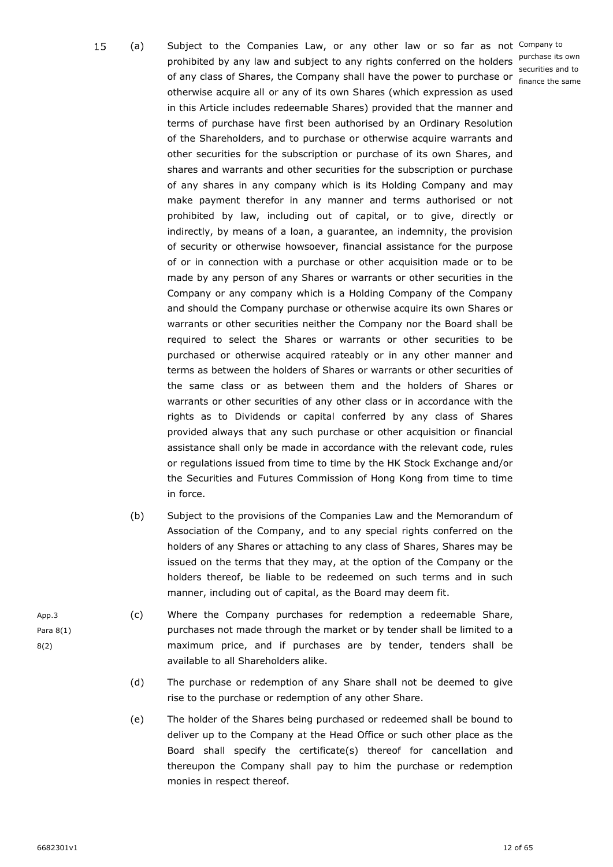- (a) Subject to the Companies Law, or any other law or so far as not Company to prohibited by any law and subject to any rights conferred on the holders <sup>purchase its own</sup> of any class of Shares, the Company shall have the power to purchase or finance the same otherwise acquire all or any of its own Shares (which expression as used in this Article includes redeemable Shares) provided that the manner and terms of purchase have first been authorised by an Ordinary Resolution of the Shareholders, and to purchase or otherwise acquire warrants and other securities for the subscription or purchase of its own Shares, and shares and warrants and other securities for the subscription or purchase of any shares in any company which is its Holding Company and may make payment therefor in any manner and terms authorised or not prohibited by law, including out of capital, or to give, directly or indirectly, by means of a loan, a guarantee, an indemnity, the provision of security or otherwise howsoever, financial assistance for the purpose of or in connection with a purchase or other acquisition made or to be made by any person of any Shares or warrants or other securities in the Company or any company which is a Holding Company of the Company and should the Company purchase or otherwise acquire its own Shares or warrants or other securities neither the Company nor the Board shall be required to select the Shares or warrants or other securities to be purchased or otherwise acquired rateably or in any other manner and terms as between the holders of Shares or warrants or other securities of the same class or as between them and the holders of Shares or warrants or other securities of any other class or in accordance with the rights as to Dividends or capital conferred by any class of Shares provided always that any such purchase or other acquisition or financial assistance shall only be made in accordance with the relevant code, rules or regulations issued from time to time by the HK Stock Exchange and/or the Securities and Futures Commission of Hong Kong from time to time in force.
	- (b) Subject to the provisions of the Companies Law and the Memorandum of Association of the Company, and to any special rights conferred on the holders of any Shares or attaching to any class of Shares, Shares may be issued on the terms that they may, at the option of the Company or the holders thereof, be liable to be redeemed on such terms and in such manner, including out of capital, as the Board may deem fit.
- (c) Where the Company purchases for redemption a redeemable Share, purchases not made through the market or by tender shall be limited to a maximum price, and if purchases are by tender, tenders shall be available to all Shareholders alike.
	- (d) The purchase or redemption of any Share shall not be deemed to give rise to the purchase or redemption of any other Share.
	- (e) The holder of the Shares being purchased or redeemed shall be bound to deliver up to the Company at the Head Office or such other place as the Board shall specify the certificate(s) thereof for cancellation and thereupon the Company shall pay to him the purchase or redemption monies in respect thereof.

App.3 Para 8(1) 8(2)

securities and to

15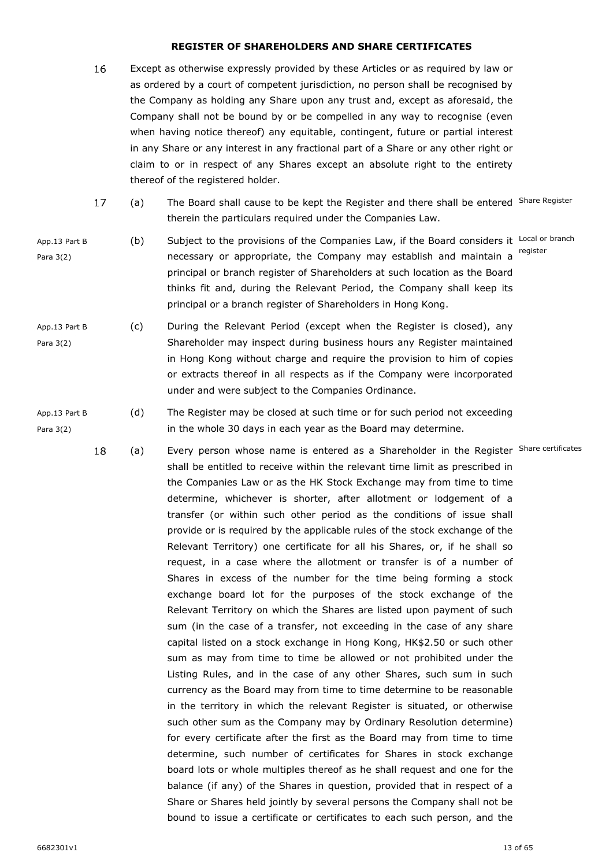#### <span id="page-14-0"></span>**REGISTER OF SHAREHOLDERS AND SHARE CERTIFICATES**

- 16 Except as otherwise expressly provided by these Articles or as required by law or as ordered by a court of competent jurisdiction, no person shall be recognised by the Company as holding any Share upon any trust and, except as aforesaid, the Company shall not be bound by or be compelled in any way to recognise (even when having notice thereof) any equitable, contingent, future or partial interest in any Share or any interest in any fractional part of a Share or any other right or claim to or in respect of any Shares except an absolute right to the entirety thereof of the registered holder.
- 17 (a) The Board shall cause to be kept the Register and there shall be entered Share Register therein the particulars required under the Companies Law.
- App.13 Part B Para 3(2) (b) Subject to the provisions of the Companies Law, if the Board considers it Local or branch necessary or appropriate, the Company may establish and maintain a principal or branch register of Shareholders at such location as the Board thinks fit and, during the Relevant Period, the Company shall keep its principal or a branch register of Shareholders in Hong Kong. register
- App.13 Part B Para 3(2) (c) During the Relevant Period (except when the Register is closed), any Shareholder may inspect during business hours any Register maintained in Hong Kong without charge and require the provision to him of copies or extracts thereof in all respects as if the Company were incorporated under and were subject to the Companies Ordinance.
- App.13 Part B Para 3(2) (d) The Register may be closed at such time or for such period not exceeding in the whole 30 days in each year as the Board may determine.
	- (a) Every person whose name is entered as a Shareholder in the Register Share certificates shall be entitled to receive within the relevant time limit as prescribed in the Companies Law or as the HK Stock Exchange may from time to time determine, whichever is shorter, after allotment or lodgement of a transfer (or within such other period as the conditions of issue shall provide or is required by the applicable rules of the stock exchange of the Relevant Territory) one certificate for all his Shares, or, if he shall so request, in a case where the allotment or transfer is of a number of Shares in excess of the number for the time being forming a stock exchange board lot for the purposes of the stock exchange of the Relevant Territory on which the Shares are listed upon payment of such sum (in the case of a transfer, not exceeding in the case of any share capital listed on a stock exchange in Hong Kong, HK\$2.50 or such other sum as may from time to time be allowed or not prohibited under the Listing Rules, and in the case of any other Shares, such sum in such currency as the Board may from time to time determine to be reasonable in the territory in which the relevant Register is situated, or otherwise such other sum as the Company may by Ordinary Resolution determine) for every certificate after the first as the Board may from time to time determine, such number of certificates for Shares in stock exchange board lots or whole multiples thereof as he shall request and one for the balance (if any) of the Shares in question, provided that in respect of a Share or Shares held jointly by several persons the Company shall not be bound to issue a certificate or certificates to each such person, and the

- 
- 
- <span id="page-14-2"></span><span id="page-14-1"></span>18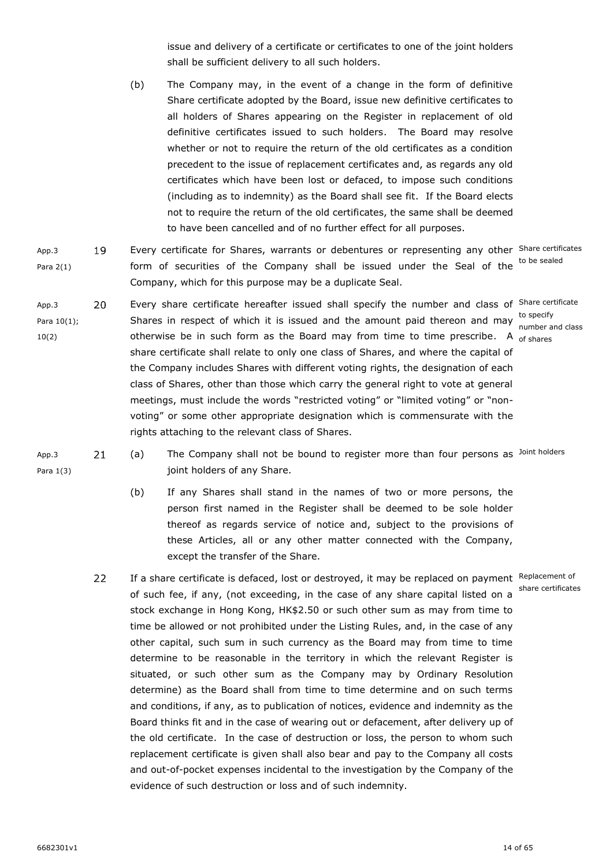issue and delivery of a certificate or certificates to one of the joint holders shall be sufficient delivery to all such holders.

| (b) | The Company may, in the event of a change in the form of definitive          |
|-----|------------------------------------------------------------------------------|
|     | Share certificate adopted by the Board, issue new definitive certificates to |
|     | all holders of Shares appearing on the Register in replacement of old        |
|     | definitive certificates issued to such holders. The Board may resolve        |
|     | whether or not to require the return of the old certificates as a condition  |
|     | precedent to the issue of replacement certificates and, as regards any old   |
|     | certificates which have been lost or defaced, to impose such conditions      |
|     | (including as to indemnity) as the Board shall see fit. If the Board elects  |
|     | not to require the return of the old certificates, the same shall be deemed  |
|     | to have been cancelled and of no further effect for all purposes.            |

- Every certificate for Shares, warrants or debentures or representing any other Share certificates App.3 19 form of securities of the Company shall be issued under the Seal of the <sup>to be sealed</sup> Para 2(1) Company, which for this purpose may be a duplicate Seal.
- 20 Every share certificate hereafter issued shall specify the number and class of <sup>Share certificate</sup> App.3 Shares in respect of which it is issued and the amount paid thereon and may to specify Para 10(1); otherwise be in such form as the Board may from time to time prescribe. A <sub>of shares</sub> 10(2) share certificate shall relate to only one class of Shares, and where the capital of the Company includes Shares with different voting rights, the designation of each class of Shares, other than those which carry the general right to vote at general meetings, must include the words "restricted voting" or "limited voting" or "nonvoting" or some other appropriate designation which is commensurate with the rights attaching to the relevant class of Shares.
- 
- App.3 Para 1(3)

21

- (a) The Company shall not be bound to register more than four persons as loint holders joint holders of any Share.
- (b) If any Shares shall stand in the names of two or more persons, the person first named in the Register shall be deemed to be sole holder thereof as regards service of notice and, subject to the provisions of these Articles, all or any other matter connected with the Company, except the transfer of the Share.
- 22 If a share certificate is defaced, lost or destroyed, it may be replaced on payment Replacement of of such fee, if any, (not exceeding, in the case of any share capital listed on a share certificates stock exchange in Hong Kong, HK\$2.50 or such other sum as may from time to time be allowed or not prohibited under the Listing Rules, and, in the case of any other capital, such sum in such currency as the Board may from time to time determine to be reasonable in the territory in which the relevant Register is situated, or such other sum as the Company may by Ordinary Resolution determine) as the Board shall from time to time determine and on such terms and conditions, if any, as to publication of notices, evidence and indemnity as the Board thinks fit and in the case of wearing out or defacement, after delivery up of the old certificate. In the case of destruction or loss, the person to whom such replacement certificate is given shall also bear and pay to the Company all costs and out-of-pocket expenses incidental to the investigation by the Company of the evidence of such destruction or loss and of such indemnity.

6682301v1 14 of 65

number and class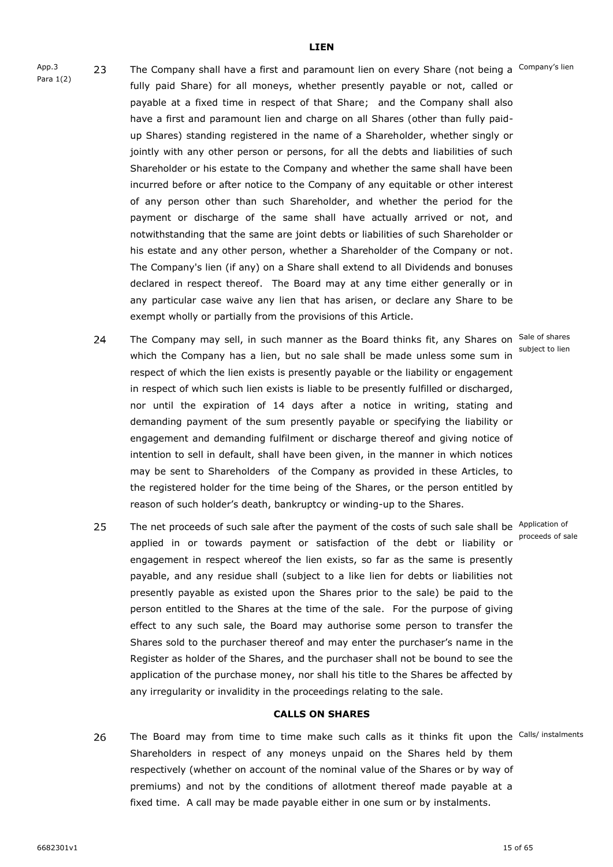App.3 Para 1(2)

23

<span id="page-16-0"></span>The Company shall have a first and paramount lien on every Share (not being a <sup>Company's lien</sup> fully paid Share) for all moneys, whether presently payable or not, called or payable at a fixed time in respect of that Share; and the Company shall also have a first and paramount lien and charge on all Shares (other than fully paidup Shares) standing registered in the name of a Shareholder, whether singly or jointly with any other person or persons, for all the debts and liabilities of such Shareholder or his estate to the Company and whether the same shall have been incurred before or after notice to the Company of any equitable or other interest of any person other than such Shareholder, and whether the period for the payment or discharge of the same shall have actually arrived or not, and notwithstanding that the same are joint debts or liabilities of such Shareholder or his estate and any other person, whether a Shareholder of the Company or not. The Company's lien (if any) on a Share shall extend to all Dividends and bonuses declared in respect thereof. The Board may at any time either generally or in any particular case waive any lien that has arisen, or declare any Share to be exempt wholly or partially from the provisions of this Article.

- 24 The Company may sell, in such manner as the Board thinks fit, any Shares on Sale of shares which the Company has a lien, but no sale shall be made unless some sum in respect of which the lien exists is presently payable or the liability or engagement in respect of which such lien exists is liable to be presently fulfilled or discharged, nor until the expiration of 14 days after a notice in writing, stating and demanding payment of the sum presently payable or specifying the liability or engagement and demanding fulfilment or discharge thereof and giving notice of intention to sell in default, shall have been given, in the manner in which notices may be sent to Shareholders of the Company as provided in these Articles, to the registered holder for the time being of the Shares, or the person entitled by reason of such holder's death, bankruptcy or winding-up to the Shares.
- 25 The net proceeds of such sale after the payment of the costs of such sale shall be Application of applied in or towards payment or satisfaction of the debt or liability or proceeds of sale engagement in respect whereof the lien exists, so far as the same is presently payable, and any residue shall (subject to a like lien for debts or liabilities not presently payable as existed upon the Shares prior to the sale) be paid to the person entitled to the Shares at the time of the sale. For the purpose of giving effect to any such sale, the Board may authorise some person to transfer the Shares sold to the purchaser thereof and may enter the purchaser's name in the Register as holder of the Shares, and the purchaser shall not be bound to see the application of the purchase money, nor shall his title to the Shares be affected by any irregularity or invalidity in the proceedings relating to the sale.

#### **CALLS ON SHARES**

<span id="page-16-1"></span>26 The Board may from time to time make such calls as it thinks fit upon the <sup>Calls/</sup> instalments Shareholders in respect of any moneys unpaid on the Shares held by them respectively (whether on account of the nominal value of the Shares or by way of premiums) and not by the conditions of allotment thereof made payable at a fixed time. A call may be made payable either in one sum or by instalments.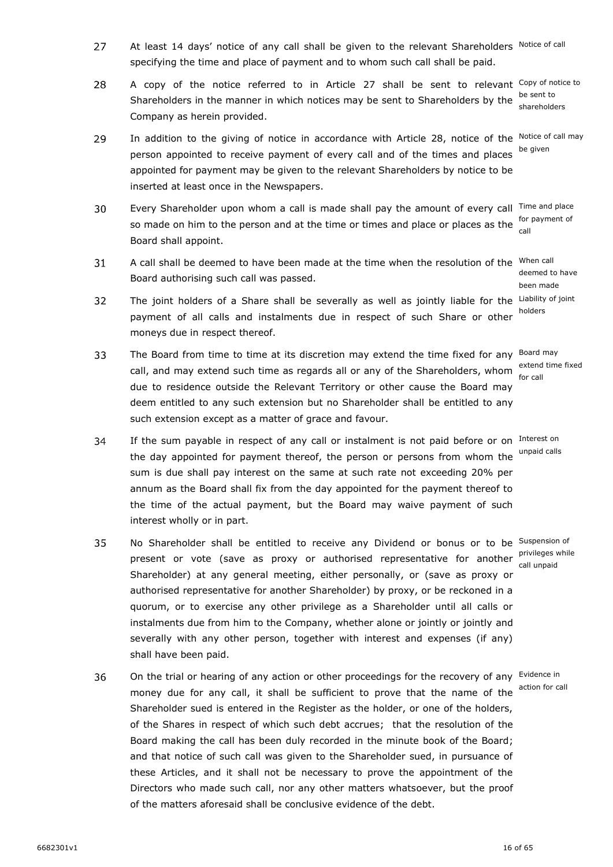- <span id="page-17-0"></span>27 At least 14 days' notice of any call shall be given to the relevant Shareholders Notice of call specifying the time and place of payment and to whom such call shall be paid.
- <span id="page-17-1"></span>28 A copy of the notice referred to in Article [27](#page-17-0) shall be sent to relevant Copy of notice to be sent to Shareholders in the manner in which notices may be sent to Shareholders by the Company as herein provided.
- 29 In addition to the giving of notice in accordance with Article [28,](#page-17-1) notice of the Notice of call may person appointed to receive payment of every call and of the times and places he given appointed for payment may be given to the relevant Shareholders by notice to be inserted at least once in the Newspapers.
- 30 Every Shareholder upon whom a call is made shall pay the amount of every call Time and place so made on him to the person and at the time or times and place or places as the soment of call Board shall appoint.
- 31 A call shall be deemed to have been made at the time when the resolution of the When call Board authorising such call was passed.
- $32<sup>2</sup>$ The joint holders of a Share shall be severally as well as jointly liable for the Liability of joint payment of all calls and instalments due in respect of such Share or other moneys due in respect thereof.
- 33 The Board from time to time at its discretion may extend the time fixed for any <sup>Board may</sup> call, and may extend such time as regards all or any of the Shareholders, whom call due to residence outside the Relevant Territory or other cause the Board may deem entitled to any such extension but no Shareholder shall be entitled to any such extension except as a matter of grace and favour.
- <span id="page-17-2"></span>34 If the sum payable in respect of any call or instalment is not paid before or on Interest on the day appointed for payment thereof, the person or persons from whom the <sup>unpaid calls</sup> sum is due shall pay interest on the same at such rate not exceeding 20% per annum as the Board shall fix from the day appointed for the payment thereof to the time of the actual payment, but the Board may waive payment of such interest wholly or in part.
- 35 No Shareholder shall be entitled to receive any Dividend or bonus or to be Suspension of present or vote (save as proxy or authorised representative for another privileges while Shareholder) at any general meeting, either personally, or (save as proxy or authorised representative for another Shareholder) by proxy, or be reckoned in a quorum, or to exercise any other privilege as a Shareholder until all calls or instalments due from him to the Company, whether alone or jointly or jointly and severally with any other person, together with interest and expenses (if any) shall have been paid.
- 36 On the trial or hearing of any action or other proceedings for the recovery of any Evidence in money due for any call, it shall be sufficient to prove that the name of the Shareholder sued is entered in the Register as the holder, or one of the holders, of the Shares in respect of which such debt accrues; that the resolution of the Board making the call has been duly recorded in the minute book of the Board; and that notice of such call was given to the Shareholder sued, in pursuance of these Articles, and it shall not be necessary to prove the appointment of the Directors who made such call, nor any other matters whatsoever, but the proof of the matters aforesaid shall be conclusive evidence of the debt.

shareholders

deemed to have been made holders

extend time fixed

call unpaid

action for call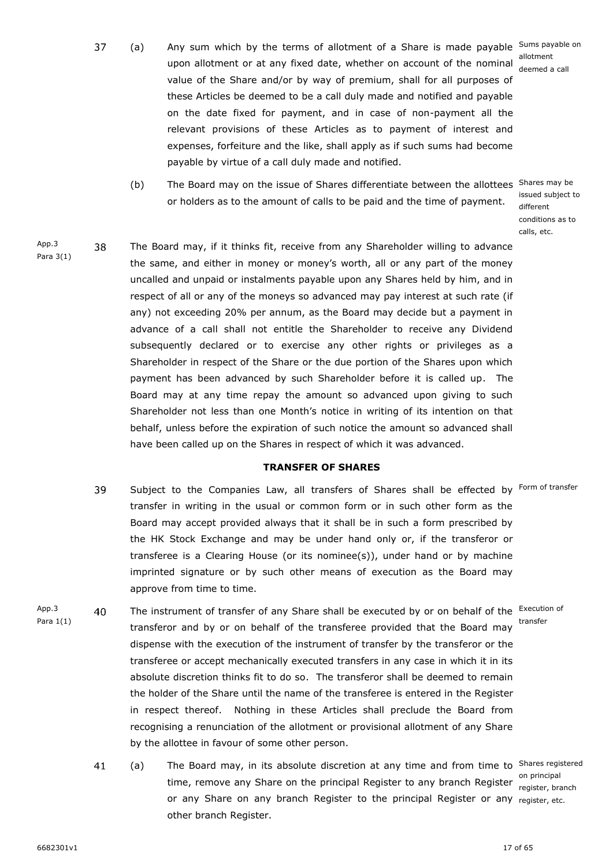- 37 (a) Any sum which by the terms of allotment of a Share is made payable Sums payable on allotment or at any fixed date, whether on account of the nominal value of the Share and/or by way of premium, shall for all purposes of these Articles be deemed to be a call duly made and notified and payable on the date fixed for payment, and in case of non-payment all the relevant provisions of these Articles as to payment of interest and expenses, forfeiture and the like, shall apply as if such sums had become payable by virtue of a call duly made and notified.
	- (b) The Board may on the issue of Shares differentiate between the allottees Shares may be or holders as to the amount of calls to be paid and the time of payment.

issued subject to different conditions as to calls, etc.

<span id="page-18-1"></span>App.3 38 The Board may, if it thinks fit, receive from any Shareholder willing to advance Para 3(1) the same, and either in money or money's worth, all or any part of the money uncalled and unpaid or instalments payable upon any Shares held by him, and in respect of all or any of the moneys so advanced may pay interest at such rate (if any) not exceeding 20% per annum, as the Board may decide but a payment in advance of a call shall not entitle the Shareholder to receive any Dividend subsequently declared or to exercise any other rights or privileges as a Shareholder in respect of the Share or the due portion of the Shares upon which payment has been advanced by such Shareholder before it is called up. The Board may at any time repay the amount so advanced upon giving to such Shareholder not less than one Month's notice in writing of its intention on that behalf, unless before the expiration of such notice the amount so advanced shall have been called up on the Shares in respect of which it was advanced.

#### **TRANSFER OF SHARES**

- <span id="page-18-0"></span>39 Subject to the Companies Law, all transfers of Shares shall be effected by <sup>Form of transfer</sup> transfer in writing in the usual or common form or in such other form as the Board may accept provided always that it shall be in such a form prescribed by the HK Stock Exchange and may be under hand only or, if the transferor or transferee is a Clearing House (or its nominee(s)), under hand or by machine imprinted signature or by such other means of execution as the Board may approve from time to time.
- App.3 40 The instrument of transfer of any Share shall be executed by or on behalf of the Execution of Para 1(1) transferor and by or on behalf of the transferee provided that the Board may dispense with the execution of the instrument of transfer by the transferor or the transferee or accept mechanically executed transfers in any case in which it in its absolute discretion thinks fit to do so. The transferor shall be deemed to remain the holder of the Share until the name of the transferee is entered in the Register in respect thereof. Nothing in these Articles shall preclude the Board from recognising a renunciation of the allotment or provisional allotment of any Share by the allottee in favour of some other person.
	- (a) The Board may, in its absolute discretion at any time and from time to Shares registered 41 on principal<br>time, remove any Share on the principal Register to any branch Register exister ber register, branch or any Share on any branch Register to the principal Register or any register, etc.other branch Register.

6682301v1 17 of 65

transfer

deemed a call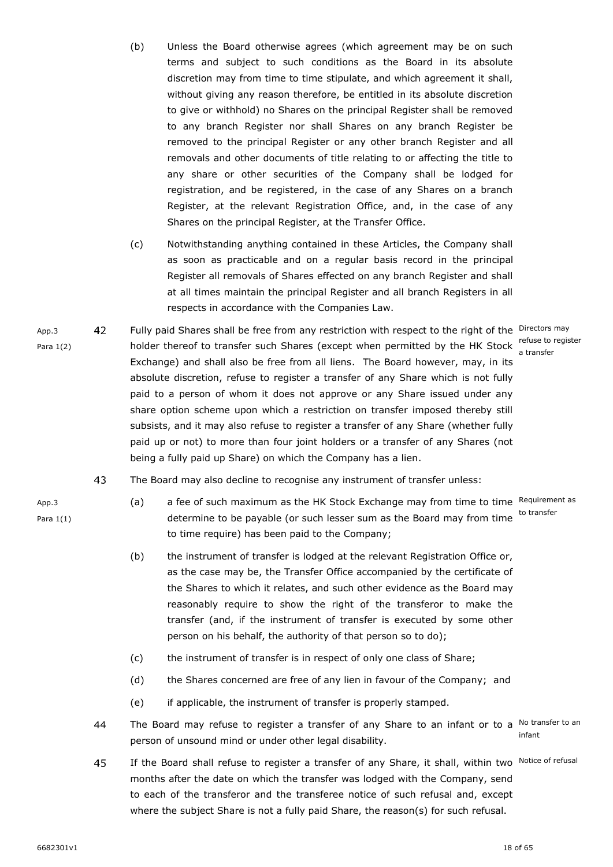- 
- 6682301v1 18 of 65

App.3 Para 1(1)

- (b) Unless the Board otherwise agrees (which agreement may be on such terms and subject to such conditions as the Board in its absolute discretion may from time to time stipulate, and which agreement it shall, without giving any reason therefore, be entitled in its absolute discretion to give or withhold) no Shares on the principal Register shall be removed to any branch Register nor shall Shares on any branch Register be removed to the principal Register or any other branch Register and all removals and other documents of title relating to or affecting the title to any share or other securities of the Company shall be lodged for registration, and be registered, in the case of any Shares on a branch Register, at the relevant Registration Office, and, in the case of any Shares on the principal Register, at the Transfer Office.
- (c) Notwithstanding anything contained in these Articles, the Company shall as soon as practicable and on a regular basis record in the principal Register all removals of Shares effected on any branch Register and shall at all times maintain the principal Register and all branch Registers in all respects in accordance with the Companies Law.
- Fully paid Shares shall be free from any restriction with respect to the right of the Directors may 42 App.3 holder thereof to transfer such Shares (except when permitted by the HK Stock refuse to register Para 1(2) Exchange) and shall also be free from all liens. The Board however, may, in its absolute discretion, refuse to register a transfer of any Share which is not fully paid to a person of whom it does not approve or any Share issued under any share option scheme upon which a restriction on transfer imposed thereby still subsists, and it may also refuse to register a transfer of any Share (whether fully paid up or not) to more than four joint holders or a transfer of any Shares (not being a fully paid up Share) on which the Company has a lien.
	- 43 The Board may also decline to recognise any instrument of transfer unless:
		- (a) a fee of such maximum as the HK Stock Exchange may from time to time Requirement as determine to be payable (or such lesser sum as the Board may from time to transfer to time require) has been paid to the Company;
			- (b) the instrument of transfer is lodged at the relevant Registration Office or, as the case may be, the Transfer Office accompanied by the certificate of the Shares to which it relates, and such other evidence as the Board may reasonably require to show the right of the transferor to make the transfer (and, if the instrument of transfer is executed by some other person on his behalf, the authority of that person so to do);
			- (c) the instrument of transfer is in respect of only one class of Share;
			- (d) the Shares concerned are free of any lien in favour of the Company; and
			- (e) if applicable, the instrument of transfer is properly stamped.
	- 44 The Board may refuse to register a transfer of any Share to an infant or to a Notransferto an infant person of unsound mind or under other legal disability.
	- 45 If the Board shall refuse to register a transfer of any Share, it shall, within two Notice of refusal months after the date on which the transfer was lodged with the Company, send to each of the transferor and the transferee notice of such refusal and, except where the subject Share is not a fully paid Share, the reason(s) for such refusal.

a transfer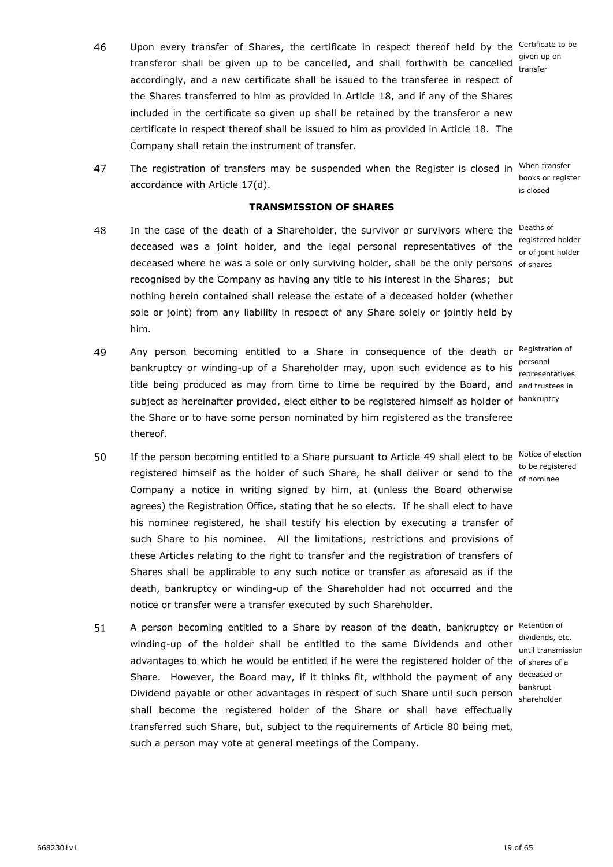- 46 Upon every transfer of Shares, the certificate in respect thereof held by the Certificate to be transferor shall be given up to be cancelled, and shall forthwith be cancelled survesting accordingly, and a new certificate shall be issued to the transferee in respect of the Shares transferred to him as provided in Article [18,](#page-14-1) and if any of the Shares included in the certificate so given up shall be retained by the transferor a new certificate in respect thereof shall be issued to him as provided in Article [18.](#page-14-1) The Company shall retain the instrument of transfer.
- 47 The registration of transfers may be suspended when the Register is closed in <sup>When transfer</sup> books or register accordance with Article [17\(d\).](#page-14-2) is closed

#### **TRANSMISSION OF SHARES**

- <span id="page-20-0"></span>In the case of the death of a Shareholder, the survivor or survivors where the <sup>Deaths of</sup> 48 registered holder<br>deceased was a joint holder, and the legal personal representatives of the exprisint holder or of joint holder deceased where he was a sole or only surviving holder, shall be the only persons of shares recognised by the Company as having any title to his interest in the Shares; but nothing herein contained shall release the estate of a deceased holder (whether sole or joint) from any liability in respect of any Share solely or jointly held by him.
- <span id="page-20-1"></span>49 Any person becoming entitled to a Share in consequence of the death or Registration of bankruptcy or winding-up of a Shareholder may, upon such evidence as to his sersonal title being produced as may from time to time be required by the Board, and <sub>and trustees in</sub> subject as hereinafter provided, elect either to be registered himself as holder of <sup>bankruptcy</sup> the Share or to have some person nominated by him registered as the transferee thereof.
- 50 If the person becoming entitled to a Share pursuant to Article [49](#page-20-1) shall elect to be Notice of election to be registered himself as the holder of such Share, he shall deliver or send to the to be registered Company a notice in writing signed by him, at (unless the Board otherwise agrees) the Registration Office, stating that he so elects. If he shall elect to have his nominee registered, he shall testify his election by executing a transfer of such Share to his nominee. All the limitations, restrictions and provisions of these Articles relating to the right to transfer and the registration of transfers of Shares shall be applicable to any such notice or transfer as aforesaid as if the death, bankruptcy or winding-up of the Shareholder had not occurred and the notice or transfer were a transfer executed by such Shareholder.
- <span id="page-20-2"></span>51 A person becoming entitled to a Share by reason of the death, bankruptcy or <sup>Retention of</sup> dividends, etc.<br>| winding-up of the holder shall be entitled to the same Dividends and other advantages to which he would be entitled if he were the registered holder of the of shares of a Share. However, the Board may, if it thinks fit, withhold the payment of any deceased or bankrupt<br>Dividend payable or other advantages in respect of such Share until such person shall become the registered holder of the Share or shall have effectually transferred such Share, but, subject to the requirements of Article [80](#page-27-0) being met, such a person may vote at general meetings of the Company.

representatives

of nominee

until transmission shareholder

transfer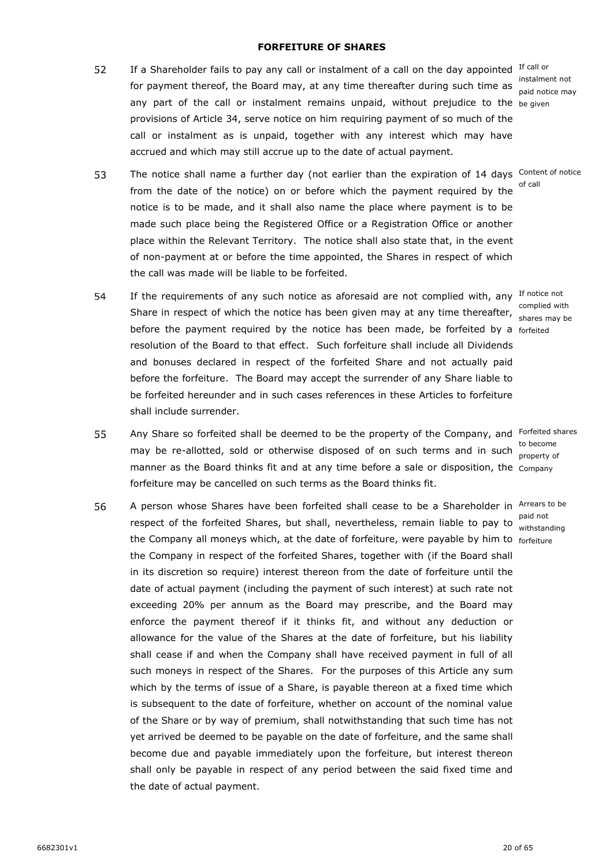#### **FORFEITURE OF SHARES**

<span id="page-21-0"></span>If a Shareholder fails to pay any call or instalment of a call on the day appointed If call or 52 instalment not<br>for payment thereof, the Board may, at any time thereafter during such time as said patics may any part of the call or instalment remains unpaid, without prejudice to the be given provisions of Article [34,](#page-17-2) serve notice on him requiring payment of so much of the call or instalment as is unpaid, together with any interest which may have accrued and which may still accrue up to the date of actual payment.

paid notice may

of call

- 53 The notice shall name a further day (not earlier than the expiration of 14 days Content of notice from the date of the notice) on or before which the payment required by the notice is to be made, and it shall also name the place where payment is to be made such place being the Registered Office or a Registration Office or another place within the Relevant Territory. The notice shall also state that, in the event of non-payment at or before the time appointed, the Shares in respect of which the call was made will be liable to be forfeited.
- 54 If the requirements of any such notice as aforesaid are not complied with, any If notice not complied with<br>Share in respect of which the notice has been given may at any time thereafter, share may be shares may be before the payment required by the notice has been made, be forfeited by a <sub>forfeited</sub> resolution of the Board to that effect. Such forfeiture shall include all Dividends and bonuses declared in respect of the forfeited Share and not actually paid before the forfeiture. The Board may accept the surrender of any Share liable to be forfeited hereunder and in such cases references in these Articles to forfeiture shall include surrender.
- 55 Any Share so forfeited shall be deemed to be the property of the Company, and Forfeited shares to become<br>to become of on such terms and in such two become manner as the Board thinks fit and at any time before a sale or disposition, the Company forfeiture may be cancelled on such terms as the Board thinks fit.
- 56 A person whose Shares have been forfeited shall cease to be a Shareholder in Arrears to be respect of the forfeited Shares, but shall, nevertheless, remain liable to pay to paid not the Company all moneys which, at the date of forfeiture, were payable by him to forfeiture the Company in respect of the forfeited Shares, together with (if the Board shall in its discretion so require) interest thereon from the date of forfeiture until the date of actual payment (including the payment of such interest) at such rate not exceeding 20% per annum as the Board may prescribe, and the Board may enforce the payment thereof if it thinks fit, and without any deduction or allowance for the value of the Shares at the date of forfeiture, but his liability shall cease if and when the Company shall have received payment in full of all such moneys in respect of the Shares. For the purposes of this Article any sum which by the terms of issue of a Share, is payable thereon at a fixed time which is subsequent to the date of forfeiture, whether on account of the nominal value of the Share or by way of premium, shall notwithstanding that such time has not yet arrived be deemed to be payable on the date of forfeiture, and the same shall become due and payable immediately upon the forfeiture, but interest thereon shall only be payable in respect of any period between the said fixed time and the date of actual payment.

property of

withstanding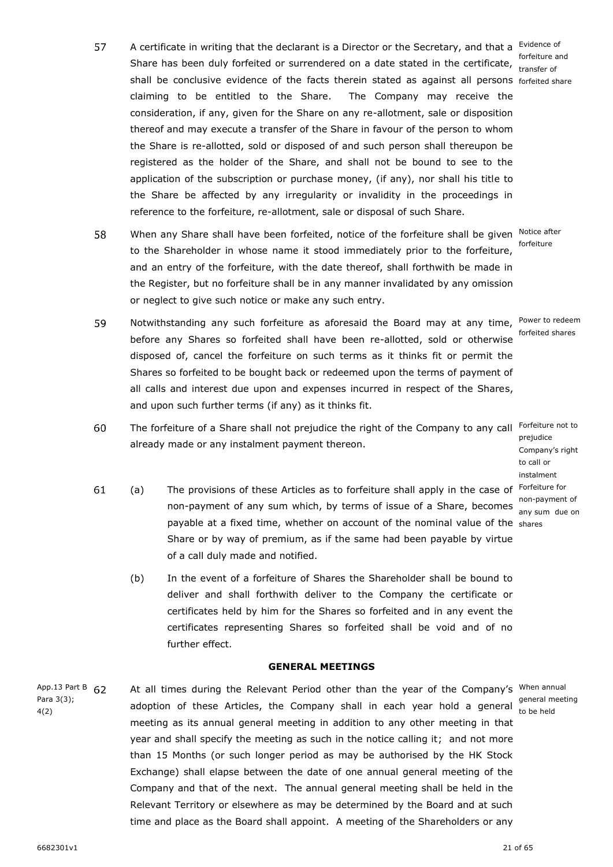4(2)

- 57 A certificate in writing that the declarant is a Director or the Secretary, and that a Evidence of Share has been duly forfeited or surrendered on a date stated in the certificate, transfer of shall be conclusive evidence of the facts therein stated as against all persons forfeited share claiming to be entitled to the Share. The Company may receive the consideration, if any, given for the Share on any re-allotment, sale or disposition thereof and may execute a transfer of the Share in favour of the person to whom the Share is re-allotted, sold or disposed of and such person shall thereupon be registered as the holder of the Share, and shall not be bound to see to the application of the subscription or purchase money, (if any), nor shall his title to the Share be affected by any irregularity or invalidity in the proceedings in reference to the forfeiture, re-allotment, sale or disposal of such Share.
- 58 When any Share shall have been forfeited, notice of the forfeiture shall be given <sup>Notice after</sup> to the Shareholder in whose name it stood immediately prior to the forfeiture, and an entry of the forfeiture, with the date thereof, shall forthwith be made in the Register, but no forfeiture shall be in any manner invalidated by any omission or neglect to give such notice or make any such entry.
- 59 Notwithstanding any such forfeiture as aforesaid the Board may at any time, Power to redeem before any Shares so forfeited shall have been re-allotted, sold or otherwise disposed of, cancel the forfeiture on such terms as it thinks fit or permit the Shares so forfeited to be bought back or redeemed upon the terms of payment of all calls and interest due upon and expenses incurred in respect of the Shares, and upon such further terms (if any) as it thinks fit.
- 60 The forfeiture of a Share shall not prejudice the right of the Company to any call Forfeiture not to already made or any instalment payment thereon.
- 61 (a) The provisions of these Articles as to forfeiture shall apply in the case of Forfeiture for non-payment of any sum which, by terms of issue of a Share, becomes solution-payment of payable at a fixed time, whether on account of the nominal value of the shares Share or by way of premium, as if the same had been payable by virtue of a call duly made and notified.
	- (b) In the event of a forfeiture of Shares the Shareholder shall be bound to deliver and shall forthwith deliver to the Company the certificate or certificates held by him for the Shares so forfeited and in any event the certificates representing Shares so forfeited shall be void and of no further effect.

#### **GENERAL MEETINGS**

<span id="page-22-0"></span>App.13 Part B 62 Para 3(3); At all times during the Relevant Period other than the year of the Company's <sup>When annual</sup> adoption of these Articles, the Company shall in each year hold a general seneral meeting meeting as its annual general meeting in addition to any other meeting in that year and shall specify the meeting as such in the notice calling it; and not more than 15 Months (or such longer period as may be authorised by the HK Stock Exchange) shall elapse between the date of one annual general meeting of the Company and that of the next. The annual general meeting shall be held in the Relevant Territory or elsewhere as may be determined by the Board and at such time and place as the Board shall appoint. A meeting of the Shareholders or any

forfeiture

forfeited shares

prejudice Company's right to call or instalment any sum due on

to be held

forfeiture and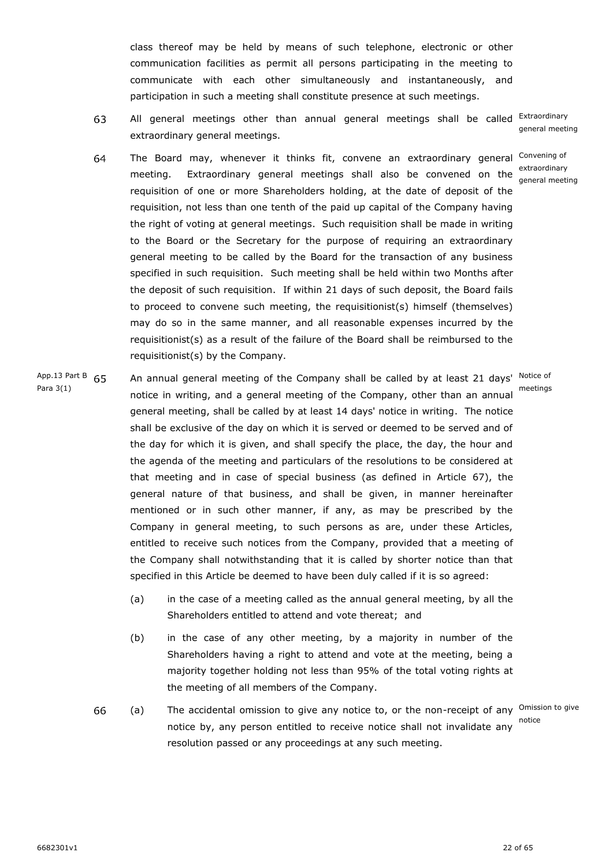class thereof may be held by means of such telephone, electronic or other communication facilities as permit all persons participating in the meeting to communicate with each other simultaneously and instantaneously, and participation in such a meeting shall constitute presence at such meetings.

63 All general meetings other than annual general meetings shall be called <sup>Extraordinary</sup> extraordinary general meetings.

- 64 The Board may, whenever it thinks fit, convene an extraordinary general <sup>Convening of</sup> extraordinary general meetings shall also be convened on the extraordinary requisition of one or more Shareholders holding, at the date of deposit of the requisition, not less than one tenth of the paid up capital of the Company having the right of voting at general meetings. Such requisition shall be made in writing to the Board or the Secretary for the purpose of requiring an extraordinary general meeting to be called by the Board for the transaction of any business specified in such requisition. Such meeting shall be held within two Months after the deposit of such requisition. If within 21 days of such deposit, the Board fails to proceed to convene such meeting, the requisitionist(s) himself (themselves) may do so in the same manner, and all reasonable expenses incurred by the requisitionist(s) as a result of the failure of the Board shall be reimbursed to the requisitionist(s) by the Company.
- App.13 Part B<sub>65</sub> Para 3(1) An annual general meeting of the Company shall be called by at least 21 days' Notice of notice in writing, and a general meeting of the Company, other than an annual general meeting, shall be called by at least 14 days' notice in writing. The notice shall be exclusive of the day on which it is served or deemed to be served and of the day for which it is given, and shall specify the place, the day, the hour and the agenda of the meeting and particulars of the resolutions to be considered at that meeting and in case of special business (as defined in Article [67\)](#page-24-1), the general nature of that business, and shall be given, in manner hereinafter mentioned or in such other manner, if any, as may be prescribed by the Company in general meeting, to such persons as are, under these Articles, entitled to receive such notices from the Company, provided that a meeting of the Company shall notwithstanding that it is called by shorter notice than that specified in this Article be deemed to have been duly called if it is so agreed:
	- (a) in the case of a meeting called as the annual general meeting, by all the Shareholders entitled to attend and vote thereat; and
	- (b) in the case of any other meeting, by a majority in number of the Shareholders having a right to attend and vote at the meeting, being a majority together holding not less than 95% of the total voting rights at the meeting of all members of the Company.
	- (a) The accidental omission to give any notice to, or the non-receipt of any <sup>Omission to give</sup> 66 noticenotice by, any person entitled to receive notice shall not invalidate any resolution passed or any proceedings at any such meeting.

general meeting

general meeting

meetings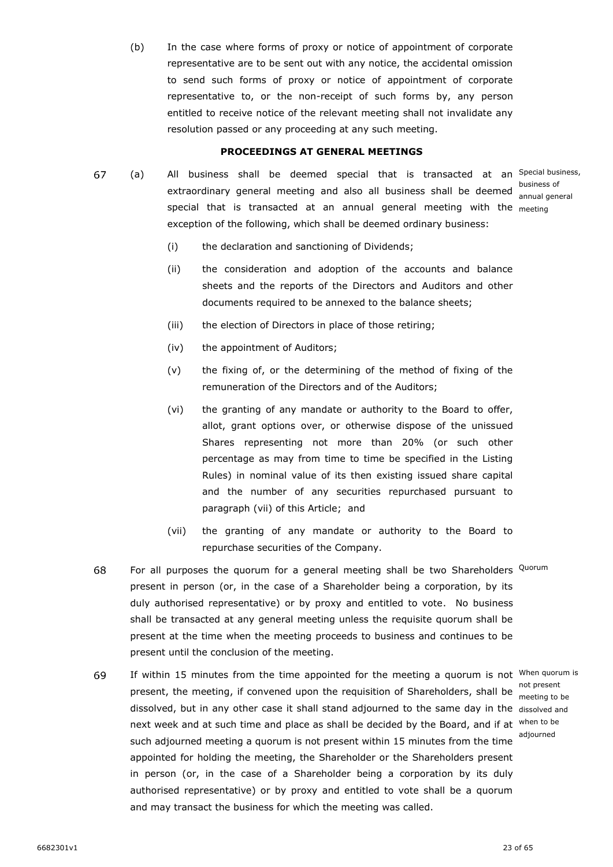(b) In the case where forms of proxy or notice of appointment of corporate representative are to be sent out with any notice, the accidental omission to send such forms of proxy or notice of appointment of corporate representative to, or the non-receipt of such forms by, any person entitled to receive notice of the relevant meeting shall not invalidate any resolution passed or any proceeding at any such meeting.

#### **PROCEEDINGS AT GENERAL MEETINGS**

- <span id="page-24-1"></span><span id="page-24-0"></span>67 (a) All business shall be deemed special that is transacted at an Special-business, business of<br>extraordinary general meeting and also all business shall be deemed annual and annual general special that is transacted at an annual general meeting with the meeting exception of the following, which shall be deemed ordinary business:
	- (i) the declaration and sanctioning of Dividends;
	- (ii) the consideration and adoption of the accounts and balance sheets and the reports of the Directors and Auditors and other documents required to be annexed to the balance sheets;
	- (iii) the election of Directors in place of those retiring;
	- (iv) the appointment of Auditors;
	- (v) the fixing of, or the determining of the method of fixing of the remuneration of the Directors and of the Auditors;
	- (vi) the granting of any mandate or authority to the Board to offer, allot, grant options over, or otherwise dispose of the unissued Shares representing not more than 20% (or such other percentage as may from time to time be specified in the Listing Rules) in nominal value of its then existing issued share capital and the number of any securities repurchased pursuant to paragraph [\(vii\)](#page-24-2) of this Article; and
	- (vii) the granting of any mandate or authority to the Board to repurchase securities of the Company.
- <span id="page-24-2"></span>68 For all purposes the quorum for a general meeting shall be two Shareholders Quorum present in person (or, in the case of a Shareholder being a corporation, by its duly authorised representative) or by proxy and entitled to vote. No business shall be transacted at any general meeting unless the requisite quorum shall be present at the time when the meeting proceeds to business and continues to be present until the conclusion of the meeting.
- 69 If within 15 minutes from the time appointed for the meeting a quorum is not <sup>When quorum is</sup> present, the meeting, if convened upon the requisition of Shareholders, shall be not present dissolved, but in any other case it shall stand adjourned to the same day in the dissolved and next week and at such time and place as shall be decided by the Board, and if at when to be <sup>adjourned</sup> meeting a quorum is not present within 15 minutes from the time<br> appointed for holding the meeting, the Shareholder or the Shareholders present in person (or, in the case of a Shareholder being a corporation by its duly authorised representative) or by proxy and entitled to vote shall be a quorum and may transact the business for which the meeting was called.

meeting to be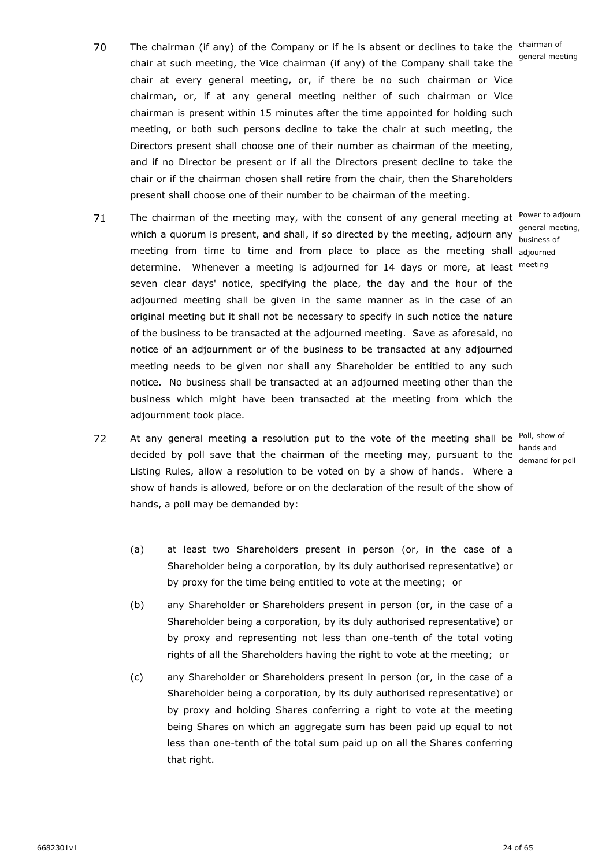- 70 The chairman (if any) of the Company or if he is absent or declines to take the <sup>chairman of</sup> chair at such meeting, the Vice chairman (if any) of the Company shall take the general meeting chair at every general meeting, or, if there be no such chairman or Vice chairman, or, if at any general meeting neither of such chairman or Vice chairman is present within 15 minutes after the time appointed for holding such meeting, or both such persons decline to take the chair at such meeting, the Directors present shall choose one of their number as chairman of the meeting, and if no Director be present or if all the Directors present decline to take the chair or if the chairman chosen shall retire from the chair, then the Shareholders present shall choose one of their number to be chairman of the meeting.
- $71$ The chairman of the meeting may, with the consent of any general meeting at <sup>Power to adjourn</sup> which a quorum is present, and shall, if so directed by the meeting, adjourn any business of meeting from time to time and from place to place as the meeting shall adjourned determine. Whenever a meeting is adjourned for 14 days or more, at least <sup>meeting</sup> seven clear days' notice, specifying the place, the day and the hour of the adjourned meeting shall be given in the same manner as in the case of an original meeting but it shall not be necessary to specify in such notice the nature of the business to be transacted at the adjourned meeting. Save as aforesaid, no notice of an adjournment or of the business to be transacted at any adjourned meeting needs to be given nor shall any Shareholder be entitled to any such notice. No business shall be transacted at an adjourned meeting other than the business which might have been transacted at the meeting from which the adjournment took place.
- 72 At any general meeting a resolution put to the vote of the meeting shall be <sup>Poll, show of</sup> hands and<br>decided by poll save that the chairman of the meeting may, pursuant to the dependent Listing Rules, allow a resolution to be voted on by a show of hands. Where a show of hands is allowed, before or on the declaration of the result of the show of hands, a poll may be demanded by:

general meeting,

demand for poll

(a) at least two Shareholders present in person (or, in the case of a Shareholder being a corporation, by its duly authorised representative) or by proxy for the time being entitled to vote at the meeting; or

- (b) any Shareholder or Shareholders present in person (or, in the case of a Shareholder being a corporation, by its duly authorised representative) or by proxy and representing not less than one-tenth of the total voting rights of all the Shareholders having the right to vote at the meeting; or
- (c) any Shareholder or Shareholders present in person (or, in the case of a Shareholder being a corporation, by its duly authorised representative) or by proxy and holding Shares conferring a right to vote at the meeting being Shares on which an aggregate sum has been paid up equal to not less than one-tenth of the total sum paid up on all the Shares conferring that right.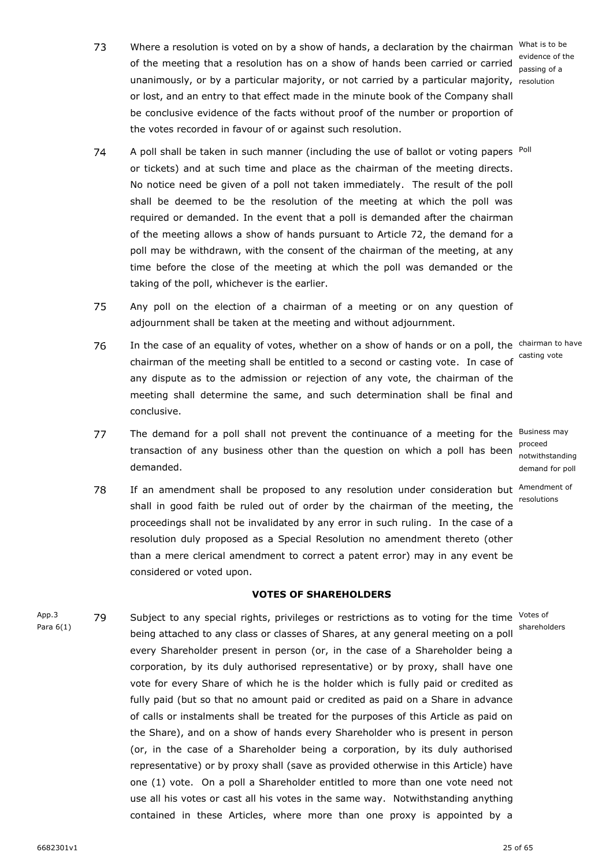#### **VOTES OF SHAREHOLDERS**

<span id="page-26-0"></span>App.3 79 Subject to any special rights, privileges or restrictions as to voting for the time Votes of Para 6(1) being attached to any class or classes of Shares, at any general meeting on a poll every Shareholder present in person (or, in the case of a Shareholder being a corporation, by its duly authorised representative) or by proxy, shall have one vote for every Share of which he is the holder which is fully paid or credited as fully paid (but so that no amount paid or credited as paid on a Share in advance of calls or instalments shall be treated for the purposes of this Article as paid on the Share), and on a show of hands every Shareholder who is present in person (or, in the case of a Shareholder being a corporation, by its duly authorised representative) or by proxy shall (save as provided otherwise in this Article) have one (1) vote. On a poll a Shareholder entitled to more than one vote need not use all his votes or cast all his votes in the same way. Notwithstanding anything contained in these Articles, where more than one proxy is appointed by a

- 73 Where a resolution is voted on by a show of hands, a declaration by the chairman What is to be evidence of the meeting that a resolution has on a show of hands been carried or carried evidence of the unanimously, or by a particular majority, or not carried by a particular majority, resolution or lost, and an entry to that effect made in the minute book of the Company shall be conclusive evidence of the facts without proof of the number or proportion of the votes recorded in favour of or against such resolution.
- 74 A poll shall be taken in such manner (including the use of ballot or voting papers <sup>Poll</sup> or tickets) and at such time and place as the chairman of the meeting directs. No notice need be given of a poll not taken immediately. The result of the poll shall be deemed to be the resolution of the meeting at which the poll was required or demanded. In the event that a poll is demanded after the chairman of the meeting allows a show of hands pursuant to Article 72, the demand for a poll may be withdrawn, with the consent of the chairman of the meeting, at any time before the close of the meeting at which the poll was demanded or the taking of the poll, whichever is the earlier.
- 75 Any poll on the election of a chairman of a meeting or on any question of adjournment shall be taken at the meeting and without adjournment.
- 76 In the case of an equality of votes, whether on a show of hands or on a poll, the chairman to have chairman of the meeting shall be entitled to a second or casting vote. In case of casting vote any dispute as to the admission or rejection of any vote, the chairman of the meeting shall determine the same, and such determination shall be final and conclusive.
- 77 The demand for a poll shall not prevent the continuance of a meeting for the Business may transaction of any business other than the question on which a poll has been demanded.
- 78 If an amendment shall be proposed to any resolution under consideration but Amendment of shall in good faith be ruled out of order by the chairman of the meeting, the proceedings shall not be invalidated by any error in such ruling. In the case of a resolution duly proposed as a Special Resolution no amendment thereto (other than a mere clerical amendment to correct a patent error) may in any event be considered or voted upon.

proceed notwithstanding demand for poll

resolutions

shareholders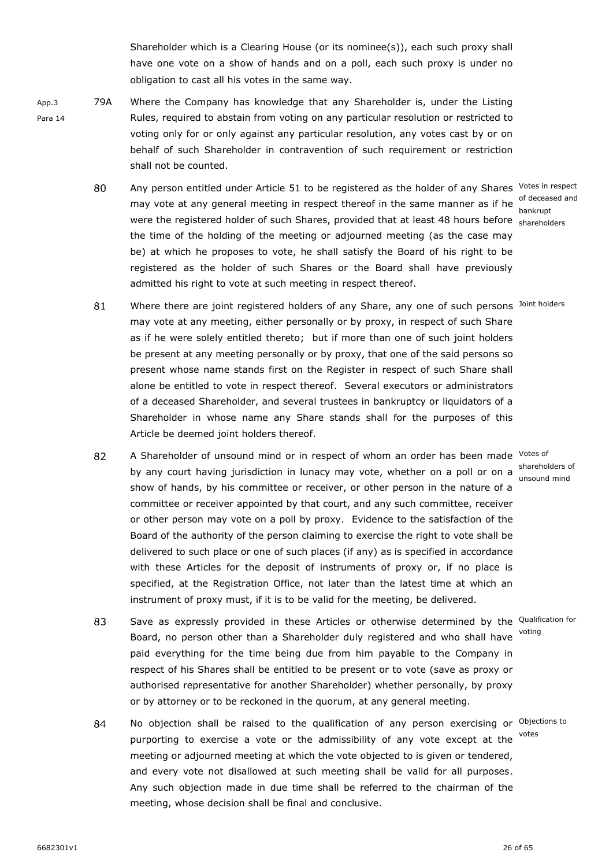Shareholder which is a Clearing House (or its nominee(s)), each such proxy shall have one vote on a show of hands and on a poll, each such proxy is under no obligation to cast all his votes in the same way.

- <span id="page-27-0"></span>App.3 Para 14 79A Where the Company has knowledge that any Shareholder is, under the Listing Rules, required to abstain from voting on any particular resolution or restricted to voting only for or only against any particular resolution, any votes cast by or on behalf of such Shareholder in contravention of such requirement or restriction shall not be counted.
	- 80 Any person entitled under Article [51](#page-20-2) to be registered as the holder of any Shares Votes in respect may vote at any general meeting in respect thereof in the same manner as if he of deceased and were the registered holder of such Shares, provided that at least 48 hours before <sub>shareholders</sub> the time of the holding of the meeting or adjourned meeting (as the case may be) at which he proposes to vote, he shall satisfy the Board of his right to be registered as the holder of such Shares or the Board shall have previously admitted his right to vote at such meeting in respect thereof.
	- 81 Where there are joint registered holders of any Share, any one of such persons Joint holders may vote at any meeting, either personally or by proxy, in respect of such Share as if he were solely entitled thereto; but if more than one of such joint holders be present at any meeting personally or by proxy, that one of the said persons so present whose name stands first on the Register in respect of such Share shall alone be entitled to vote in respect thereof. Several executors or administrators of a deceased Shareholder, and several trustees in bankruptcy or liquidators of a Shareholder in whose name any Share stands shall for the purposes of this Article be deemed joint holders thereof.
	- 82 A Shareholder of unsound mind or in respect of whom an order has been made Votes of by any court having jurisdiction in lunacy may vote, whether on a poll or on a dinamination show of hands, by his committee or receiver, or other person in the nature of a committee or receiver appointed by that court, and any such committee, receiver or other person may vote on a poll by proxy. Evidence to the satisfaction of the Board of the authority of the person claiming to exercise the right to vote shall be delivered to such place or one of such places (if any) as is specified in accordance with these Articles for the deposit of instruments of proxy or, if no place is specified, at the Registration Office, not later than the latest time at which an instrument of proxy must, if it is to be valid for the meeting, be delivered.
	- 83 Save as expressly provided in these Articles or otherwise determined by the Qualification for Board, no person other than a Shareholder duly registered and who shall have <sup>voting</sup> paid everything for the time being due from him payable to the Company in respect of his Shares shall be entitled to be present or to vote (save as proxy or authorised representative for another Shareholder) whether personally, by proxy or by attorney or to be reckoned in the quorum, at any general meeting.
	- 84 No objection shall be raised to the qualification of any person exercising or Objections to purporting to exercise a vote or the admissibility of any vote except at the votes meeting or adjourned meeting at which the vote objected to is given or tendered, and every vote not disallowed at such meeting shall be valid for all purposes. Any such objection made in due time shall be referred to the chairman of the meeting, whose decision shall be final and conclusive.

bankrupt

shareholders of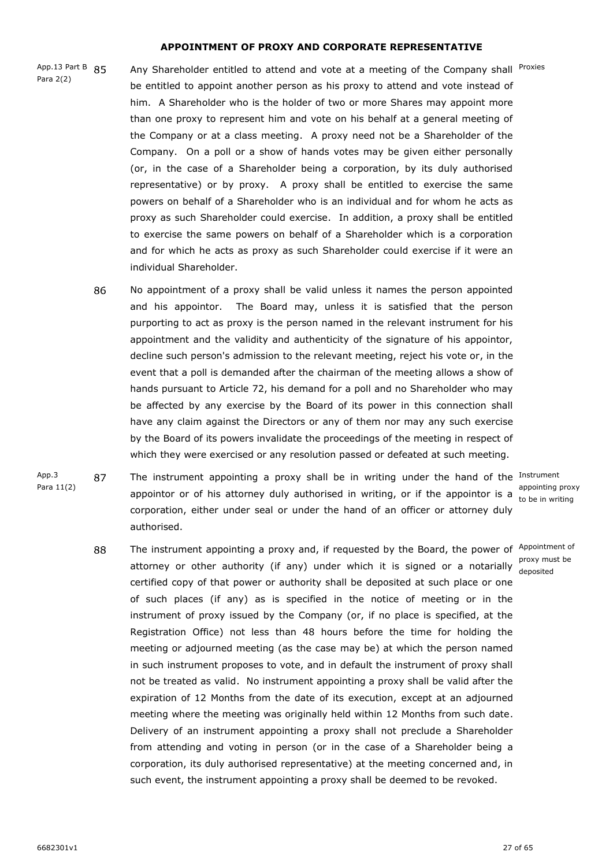#### **APPOINTMENT OF PROXY AND CORPORATE REPRESENTATIVE**

App.13 Part B 85 Para 2(2)

<span id="page-28-0"></span>Any Shareholder entitled to attend and vote at a meeting of the Company shall Proxies be entitled to appoint another person as his proxy to attend and vote instead of him. A Shareholder who is the holder of two or more Shares may appoint more than one proxy to represent him and vote on his behalf at a general meeting of the Company or at a class meeting. A proxy need not be a Shareholder of the Company. On a poll or a show of hands votes may be given either personally (or, in the case of a Shareholder being a corporation, by its duly authorised representative) or by proxy. A proxy shall be entitled to exercise the same powers on behalf of a Shareholder who is an individual and for whom he acts as proxy as such Shareholder could exercise. In addition, a proxy shall be entitled to exercise the same powers on behalf of a Shareholder which is a corporation and for which he acts as proxy as such Shareholder could exercise if it were an individual Shareholder.

86 No appointment of a proxy shall be valid unless it names the person appointed and his appointor. The Board may, unless it is satisfied that the person purporting to act as proxy is the person named in the relevant instrument for his appointment and the validity and authenticity of the signature of his appointor, decline such person's admission to the relevant meeting, reject his vote or, in the event that a poll is demanded after the chairman of the meeting allows a show of hands pursuant to Article 72, his demand for a poll and no Shareholder who may be affected by any exercise by the Board of its power in this connection shall have any claim against the Directors or any of them nor may any such exercise by the Board of its powers invalidate the proceedings of the meeting in respect of which they were exercised or any resolution passed or defeated at such meeting.

- <span id="page-28-1"></span>App.3 87 The instrument appointing a proxy shall be in writing under the hand of the Instrument Para 11(2) appointor or of his attorney duly authorised in writing, or if the appointor is a  $\frac{1}{10}$  to be in writing corporation, either under seal or under the hand of an officer or attorney duly authorised.
	- 88 The instrument appointing a proxy and, if requested by the Board, the power of Appointment of attorney or other authority (if any) under which it is signed or a notarially **proxy must be** certified copy of that power or authority shall be deposited at such place or one of such places (if any) as is specified in the notice of meeting or in the instrument of proxy issued by the Company (or, if no place is specified, at the Registration Office) not less than 48 hours before the time for holding the meeting or adjourned meeting (as the case may be) at which the person named in such instrument proposes to vote, and in default the instrument of proxy shall not be treated as valid. No instrument appointing a proxy shall be valid after the expiration of 12 Months from the date of its execution, except at an adjourned meeting where the meeting was originally held within 12 Months from such date. Delivery of an instrument appointing a proxy shall not preclude a Shareholder from attending and voting in person (or in the case of a Shareholder being a corporation, its duly authorised representative) at the meeting concerned and, in such event, the instrument appointing a proxy shall be deemed to be revoked.

appointing proxy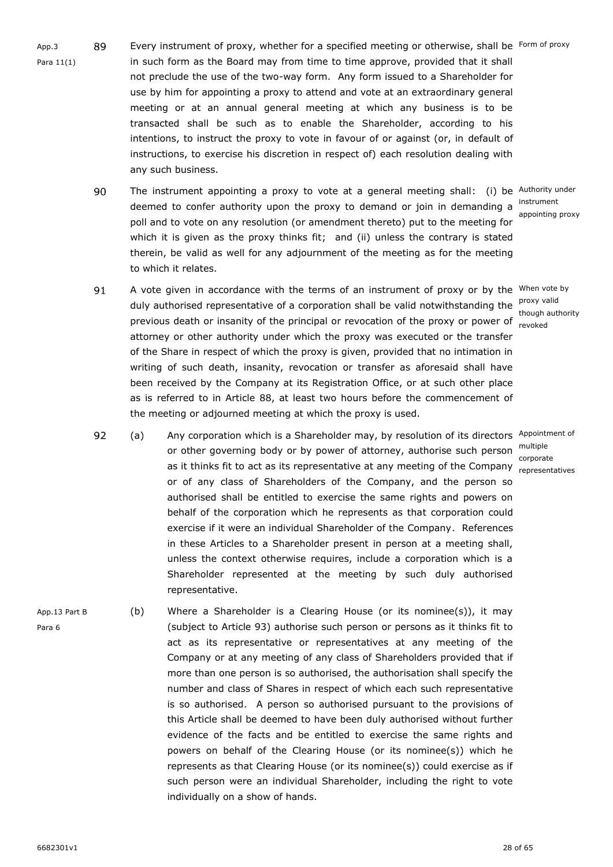- exercise if it were an individual Shareholder of the Company. References in these Articles to a Shareholder present in person at a meeting shall, unless the context otherwise requires, include a corporation which is a Shareholder represented at the meeting by such duly authorised representative.
	- App.13 Part B Para 6 (b) Where a Shareholder is a Clearing House (or its nominee(s)), it may (subject to Article [93\)](#page-30-0) authorise such person or persons as it thinks fit to act as its representative or representatives at any meeting of the Company or at any meeting of any class of Shareholders provided that if more than one person is so authorised, the authorisation shall specify the number and class of Shares in respect of which each such representative is so authorised. A person so authorised pursuant to the provisions of this Article shall be deemed to have been duly authorised without further evidence of the facts and be entitled to exercise the same rights and powers on behalf of the Clearing House (or its nominee(s)) which he represents as that Clearing House (or its nominee(s)) could exercise as if such person were an individual Shareholder, including the right to vote individually on a show of hands.

appointing proxy

A vote given in accordance with the terms of an instrument of proxy or by the When vote by though authority

representatives

App.3

not preclude the use of the two-way form. Any form issued to a Shareholder for use by him for appointing a proxy to attend and vote at an extraordinary general meeting or at an annual general meeting at which any business is to be transacted shall be such as to enable the Shareholder, according to his intentions, to instruct the proxy to vote in favour of or against (or, in default of instructions, to exercise his discretion in respect of) each resolution dealing with any such business.

in such form as the Board may from time to time approve, provided that it shall

- 90 The instrument appointing a proxy to vote at a general meeting shall: (i) be Authority under deemed to confer authority upon the proxy to demand or join in demanding a <sup>instrument</sup> poll and to vote on any resolution (or amendment thereto) put to the meeting for which it is given as the proxy thinks fit; and (ii) unless the contrary is stated therein, be valid as well for any adjournment of the meeting as for the meeting to which it relates.
- duly authorised representative of a corporation shall be valid notwithstanding the <sup>proxy valid</sup> previous death or insanity of the principal or revocation of the proxy or power of <sub>revoked</sub> attorney or other authority under which the proxy was executed or the transfer of the Share in respect of which the proxy is given, provided that no intimation in writing of such death, insanity, revocation or transfer as aforesaid shall have been received by the Company at its Registration Office, or at such other place as is referred to in Article [88,](#page-28-1) at least two hours before the commencement of the meeting or adjourned meeting at which the proxy is used. 92 (a) Any corporation which is a Shareholder may, by resolution of its directors Appointment of or other governing body or by power of attorney, authorise such person multiple as it thinks fit to act as its representative at any meeting of the Company corporate

or of any class of Shareholders of the Company, and the person so authorised shall be entitled to exercise the same rights and powers on behalf of the corporation which he represents as that corporation could

Para 11(1)

89

 $91$ 

Every instrument of proxy, whether for a specified meeting or otherwise, shall be Form of proxy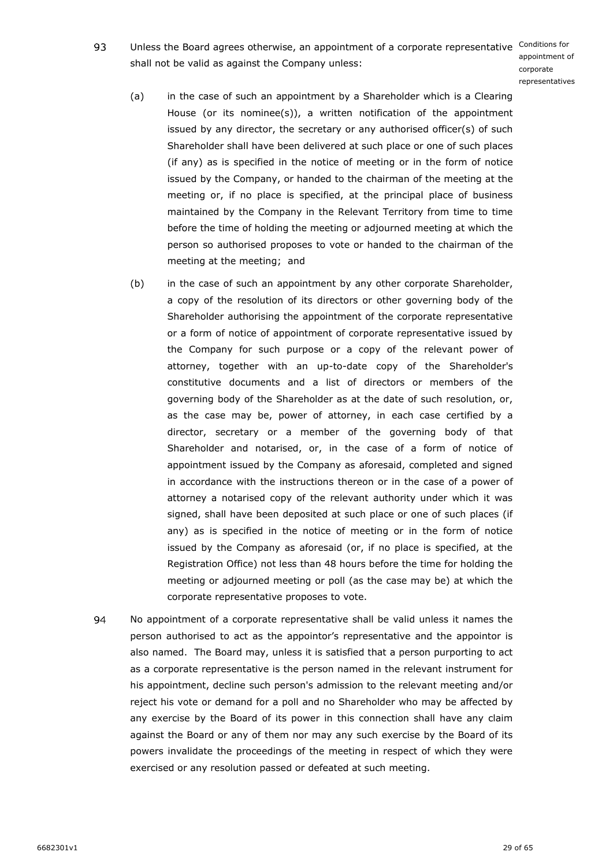<span id="page-30-0"></span>93 Unless the Board agrees otherwise, an appointment of a corporate representative Conditions for shall not be valid as against the Company unless:

appointment of corporate representatives

- (a) in the case of such an appointment by a Shareholder which is a Clearing House (or its nominee(s)), a written notification of the appointment issued by any director, the secretary or any authorised officer(s) of such Shareholder shall have been delivered at such place or one of such places (if any) as is specified in the notice of meeting or in the form of notice issued by the Company, or handed to the chairman of the meeting at the meeting or, if no place is specified, at the principal place of business maintained by the Company in the Relevant Territory from time to time before the time of holding the meeting or adjourned meeting at which the person so authorised proposes to vote or handed to the chairman of the meeting at the meeting; and
- (b) in the case of such an appointment by any other corporate Shareholder, a copy of the resolution of its directors or other governing body of the Shareholder authorising the appointment of the corporate representative or a form of notice of appointment of corporate representative issued by the Company for such purpose or a copy of the relevant power of attorney, together with an up-to-date copy of the Shareholder's constitutive documents and a list of directors or members of the governing body of the Shareholder as at the date of such resolution, or, as the case may be, power of attorney, in each case certified by a director, secretary or a member of the governing body of that Shareholder and notarised, or, in the case of a form of notice of appointment issued by the Company as aforesaid, completed and signed in accordance with the instructions thereon or in the case of a power of attorney a notarised copy of the relevant authority under which it was signed, shall have been deposited at such place or one of such places (if any) as is specified in the notice of meeting or in the form of notice issued by the Company as aforesaid (or, if no place is specified, at the Registration Office) not less than 48 hours before the time for holding the meeting or adjourned meeting or poll (as the case may be) at which the corporate representative proposes to vote.
- 94 No appointment of a corporate representative shall be valid unless it names the person authorised to act as the appointor's representative and the appointor is also named. The Board may, unless it is satisfied that a person purporting to act as a corporate representative is the person named in the relevant instrument for his appointment, decline such person's admission to the relevant meeting and/or reject his vote or demand for a poll and no Shareholder who may be affected by any exercise by the Board of its power in this connection shall have any claim against the Board or any of them nor may any such exercise by the Board of its powers invalidate the proceedings of the meeting in respect of which they were exercised or any resolution passed or defeated at such meeting.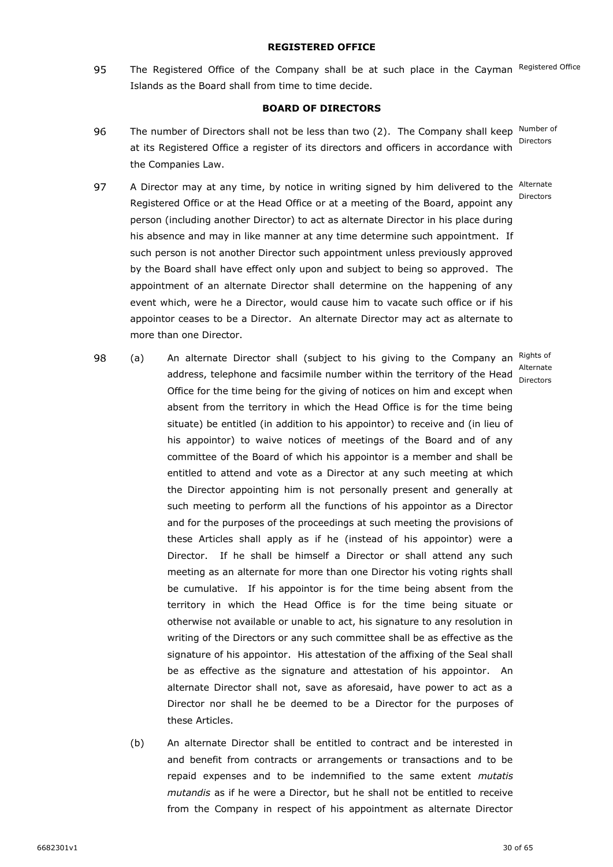<span id="page-31-0"></span>The Registered Office of the Company shall be at such place in the Cayman Registered Office 95 Islands as the Board shall from time to time decide.

#### **BOARD OF DIRECTORS**

- <span id="page-31-1"></span>96 The number of Directors shall not be less than two (2). The Company shall keep <sup>Number of</sup> Directors at its Registered Office a register of its directors and officers in accordance with the Companies Law.
- 97 A Director may at any time, by notice in writing signed by him delivered to the <sup>Alternate</sup> Directors Registered Office or at the Head Office or at a meeting of the Board, appoint any person (including another Director) to act as alternate Director in his place during his absence and may in like manner at any time determine such appointment. If such person is not another Director such appointment unless previously approved by the Board shall have effect only upon and subject to being so approved. The appointment of an alternate Director shall determine on the happening of any event which, were he a Director, would cause him to vacate such office or if his appointor ceases to be a Director. An alternate Director may act as alternate to more than one Director.
- 98 (a) An alternate Director shall (subject to his giving to the Company an Rights of Alternate address, telephone and facsimile number within the territory of the Head Directors Office for the time being for the giving of notices on him and except when absent from the territory in which the Head Office is for the time being situate) be entitled (in addition to his appointor) to receive and (in lieu of his appointor) to waive notices of meetings of the Board and of any committee of the Board of which his appointor is a member and shall be entitled to attend and vote as a Director at any such meeting at which the Director appointing him is not personally present and generally at such meeting to perform all the functions of his appointor as a Director and for the purposes of the proceedings at such meeting the provisions of these Articles shall apply as if he (instead of his appointor) were a Director. If he shall be himself a Director or shall attend any such meeting as an alternate for more than one Director his voting rights shall be cumulative. If his appointor is for the time being absent from the territory in which the Head Office is for the time being situate or otherwise not available or unable to act, his signature to any resolution in writing of the Directors or any such committee shall be as effective as the signature of his appointor. His attestation of the affixing of the Seal shall be as effective as the signature and attestation of his appointor. An alternate Director shall not, save as aforesaid, have power to act as a Director nor shall he be deemed to be a Director for the purposes of these Articles.
	- (b) An alternate Director shall be entitled to contract and be interested in and benefit from contracts or arrangements or transactions and to be repaid expenses and to be indemnified to the same extent *mutatis mutandis* as if he were a Director, but he shall not be entitled to receive from the Company in respect of his appointment as alternate Director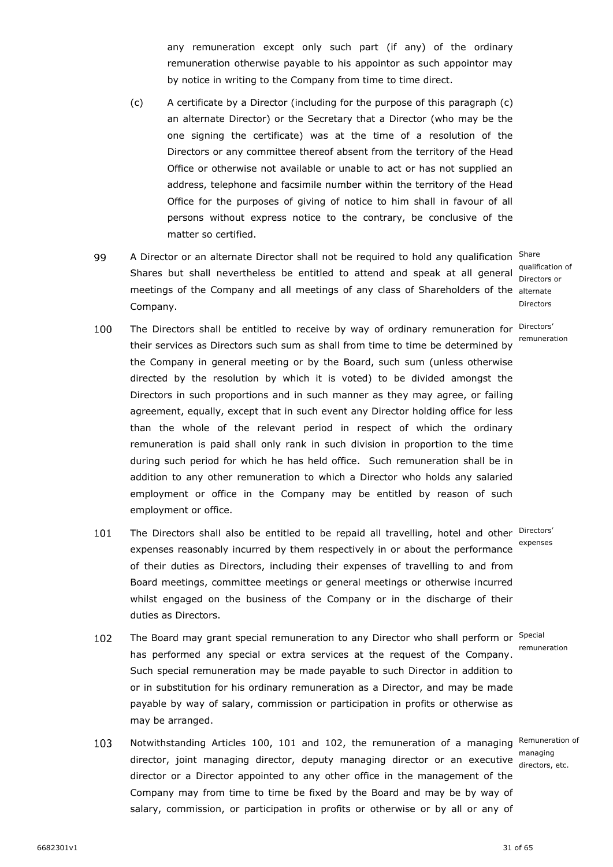any remuneration except only such part (if any) of the ordinary remuneration otherwise payable to his appointor as such appointor may by notice in writing to the Company from time to time direct.

- <span id="page-32-0"></span>(c) A certificate by a Director (including for the purpose of this paragraph [\(c\)](#page-32-0) an alternate Director) or the Secretary that a Director (who may be the one signing the certificate) was at the time of a resolution of the Directors or any committee thereof absent from the territory of the Head Office or otherwise not available or unable to act or has not supplied an address, telephone and facsimile number within the territory of the Head Office for the purposes of giving of notice to him shall in favour of all persons without express notice to the contrary, be conclusive of the matter so certified.
- 99 A Director or an alternate Director shall not be required to hold any qualification <sup>Share</sup> Shares but shall nevertheless be entitled to attend and speak at all general Directors or meetings of the Company and all meetings of any class of Shareholders of the alternate Company.

qualification of **Directors** 

remuneration

- <span id="page-32-1"></span>The Directors shall be entitled to receive by way of ordinary remuneration for <sup>Directors'</sup> 100 their services as Directors such sum as shall from time to time be determined by the Company in general meeting or by the Board, such sum (unless otherwise directed by the resolution by which it is voted) to be divided amongst the Directors in such proportions and in such manner as they may agree, or failing agreement, equally, except that in such event any Director holding office for less than the whole of the relevant period in respect of which the ordinary remuneration is paid shall only rank in such division in proportion to the time during such period for which he has held office. Such remuneration shall be in addition to any other remuneration to which a Director who holds any salaried employment or office in the Company may be entitled by reason of such employment or office.
- <span id="page-32-2"></span>101 The Directors shall also be entitled to be repaid all travelling, hotel and other <sup>Directors'</sup> expenses reasonably incurred by them respectively in or about the performance of their duties as Directors, including their expenses of travelling to and from Board meetings, committee meetings or general meetings or otherwise incurred whilst engaged on the business of the Company or in the discharge of their duties as Directors.
- <span id="page-32-3"></span>102 The Board may grant special remuneration to any Director who shall perform or <sup>Special</sup> has performed any special or extra services at the request of the Company. Such special remuneration may be made payable to such Director in addition to or in substitution for his ordinary remuneration as a Director, and may be made payable by way of salary, commission or participation in profits or otherwise as may be arranged.
- <span id="page-32-4"></span>103 Notwithstanding Articles [100,](#page-32-1) [101](#page-32-2) and [102,](#page-32-3) the remuneration of a managing Remuneration of managing<br>director, joint managing director, deputy managing director or an executive director or a Director appointed to any other office in the management of the Company may from time to time be fixed by the Board and may be by way of salary, commission, or participation in profits or otherwise or by all or any of

expenses

remuneration

directors, etc.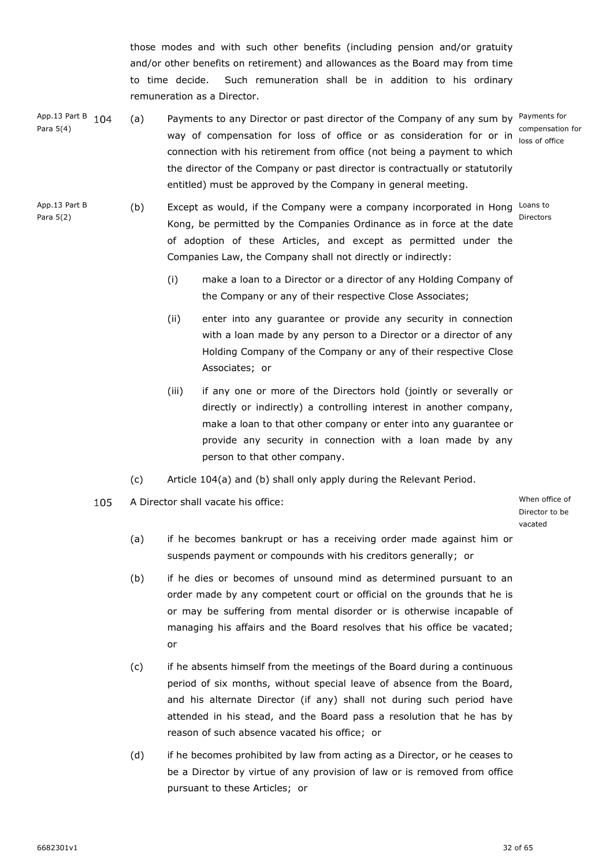<span id="page-33-0"></span>those modes and with such other benefits (including pension and/or gratuity and/or other benefits on retirement) and allowances as the Board may from time to time decide. Such remuneration shall be in addition to his ordinary remuneration as a Director.

App.13 Part B 104 Para 5(4) (a) Payments to any Director or past director of the Company of any sum by Payments for way of compensation for loss of office or as consideration for or in compensation for connection with his retirement from office (not being a payment to which the director of the Company or past director is contractually or statutorily entitled) must be approved by the Company in general meeting.

loss of office

- Directors
- <span id="page-33-1"></span>App.13 Part B Para 5(2) (b) Except as would, if the Company were a company incorporated in Hong Loans to Kong, be permitted by the Companies Ordinance as in force at the date of adoption of these Articles, and except as permitted under the Companies Law, the Company shall not directly or indirectly:
	- (i) make a loan to a Director or a director of any Holding Company of the Company or any of their respective Close Associates;
	- (ii) enter into any guarantee or provide any security in connection with a loan made by any person to a Director or a director of any Holding Company of the Company or any of their respective Close Associates; or
	- (iii) if any one or more of the Directors hold (jointly or severally or directly or indirectly) a controlling interest in another company, make a loan to that other company or enter into any guarantee or provide any security in connection with a loan made by any person to that other company.
	- (c) Article [104\(a\)](#page-33-0) and [\(b\)](#page-33-1) shall only apply during the Relevant Period.
	- A Director shall vacate his office: x When office of 105

Director to be vacated

- (a) if he becomes bankrupt or has a receiving order made against him or suspends payment or compounds with his creditors generally; or
- (b) if he dies or becomes of unsound mind as determined pursuant to an order made by any competent court or official on the grounds that he is or may be suffering from mental disorder or is otherwise incapable of managing his affairs and the Board resolves that his office be vacated; or
- (c) if he absents himself from the meetings of the Board during a continuous period of six months, without special leave of absence from the Board, and his alternate Director (if any) shall not during such period have attended in his stead, and the Board pass a resolution that he has by reason of such absence vacated his office; or
- (d) if he becomes prohibited by law from acting as a Director, or he ceases to be a Director by virtue of any provision of law or is removed from office pursuant to these Articles; or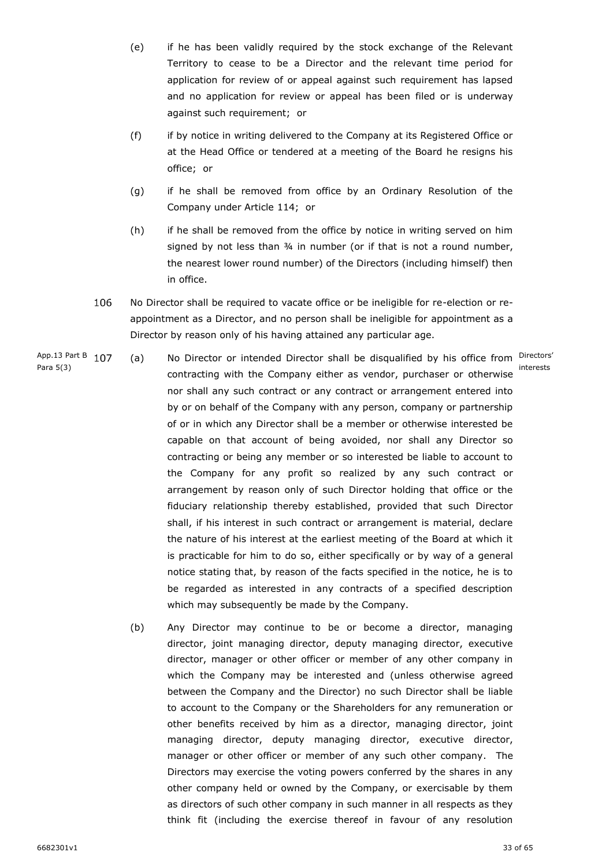- (e) if he has been validly required by the stock exchange of the Relevant Territory to cease to be a Director and the relevant time period for application for review of or appeal against such requirement has lapsed and no application for review or appeal has been filed or is underway against such requirement; or
- (f) if by notice in writing delivered to the Company at its Registered Office or at the Head Office or tendered at a meeting of the Board he resigns his office; or
- (g) if he shall be removed from office by an Ordinary Resolution of the Company under Article [114;](#page-38-1) or
- (h) if he shall be removed from the office by notice in writing served on him signed by not less than 34 in number (or if that is not a round number, the nearest lower round number) of the Directors (including himself) then in office.
- <span id="page-34-0"></span>106 No Director shall be required to vacate office or be ineligible for re-election or reappointment as a Director, and no person shall be ineligible for appointment as a Director by reason only of his having attained any particular age.
- App.13 Part B 107 Para 5(3) (a) No Director or intended Director shall be disqualified by his office from Directors' contracting with the Company either as vendor, purchaser or otherwise nor shall any such contract or any contract or arrangement entered into by or on behalf of the Company with any person, company or partnership of or in which any Director shall be a member or otherwise interested be capable on that account of being avoided, nor shall any Director so contracting or being any member or so interested be liable to account to the Company for any profit so realized by any such contract or arrangement by reason only of such Director holding that office or the fiduciary relationship thereby established, provided that such Director shall, if his interest in such contract or arrangement is material, declare the nature of his interest at the earliest meeting of the Board at which it is practicable for him to do so, either specifically or by way of a general notice stating that, by reason of the facts specified in the notice, he is to be regarded as interested in any contracts of a specified description which may subsequently be made by the Company. interests
	- (b) Any Director may continue to be or become a director, managing director, joint managing director, deputy managing director, executive director, manager or other officer or member of any other company in which the Company may be interested and (unless otherwise agreed between the Company and the Director) no such Director shall be liable to account to the Company or the Shareholders for any remuneration or other benefits received by him as a director, managing director, joint managing director, deputy managing director, executive director, manager or other officer or member of any such other company. The Directors may exercise the voting powers conferred by the shares in any other company held or owned by the Company, or exercisable by them as directors of such other company in such manner in all respects as they think fit (including the exercise thereof in favour of any resolution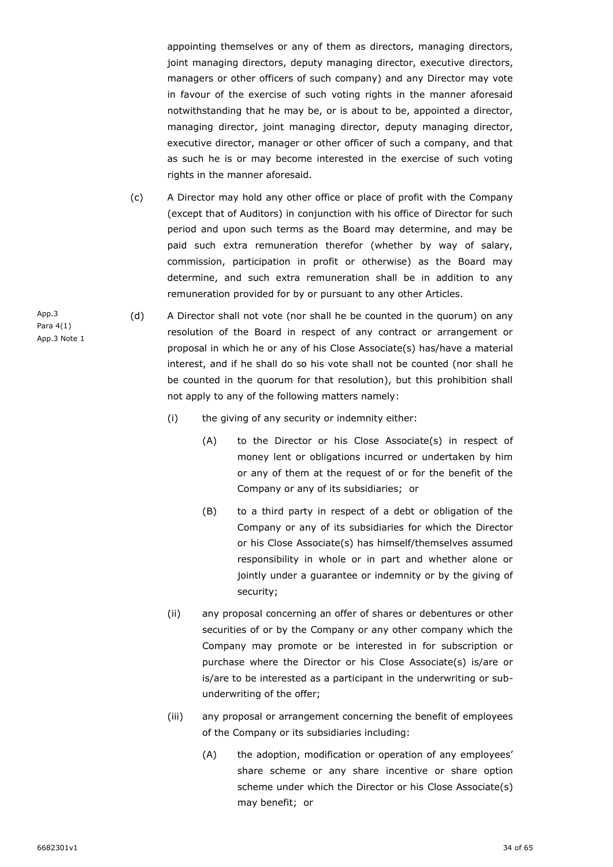appointing themselves or any of them as directors, managing directors, joint managing directors, deputy managing director, executive directors, managers or other officers of such company) and any Director may vote in favour of the exercise of such voting rights in the manner aforesaid notwithstanding that he may be, or is about to be, appointed a director, managing director, joint managing director, deputy managing director, executive director, manager or other officer of such a company, and that as such he is or may become interested in the exercise of such voting rights in the manner aforesaid.

(c) A Director may hold any other office or place of profit with the Company (except that of Auditors) in conjunction with his office of Director for such period and upon such terms as the Board may determine, and may be paid such extra remuneration therefor (whether by way of salary, commission, participation in profit or otherwise) as the Board may determine, and such extra remuneration shall be in addition to any remuneration provided for by or pursuant to any other Articles.

<span id="page-35-0"></span>(d) A Director shall not vote (nor shall he be counted in the quorum) on any resolution of the Board in respect of any contract or arrangement or proposal in which he or any of his Close Associate(s) has/have a material interest, and if he shall do so his vote shall not be counted (nor shall he be counted in the quorum for that resolution), but this prohibition shall not apply to any of the following matters namely:

- (i) the giving of any security or indemnity either:
	- (A) to the Director or his Close Associate(s) in respect of money lent or obligations incurred or undertaken by him or any of them at the request of or for the benefit of the Company or any of its subsidiaries; or
	- (B) to a third party in respect of a debt or obligation of the Company or any of its subsidiaries for which the Director or his Close Associate(s) has himself/themselves assumed responsibility in whole or in part and whether alone or jointly under a guarantee or indemnity or by the giving of security;
- (ii) any proposal concerning an offer of shares or debentures or other securities of or by the Company or any other company which the Company may promote or be interested in for subscription or purchase where the Director or his Close Associate(s) is/are or is/are to be interested as a participant in the underwriting or subunderwriting of the offer;
- (iii) any proposal or arrangement concerning the benefit of employees of the Company or its subsidiaries including:
	- (A) the adoption, modification or operation of any employees' share scheme or any share incentive or share option scheme under which the Director or his Close Associate(s) may benefit; or

App.3 Para 4(1) App.3 Note 1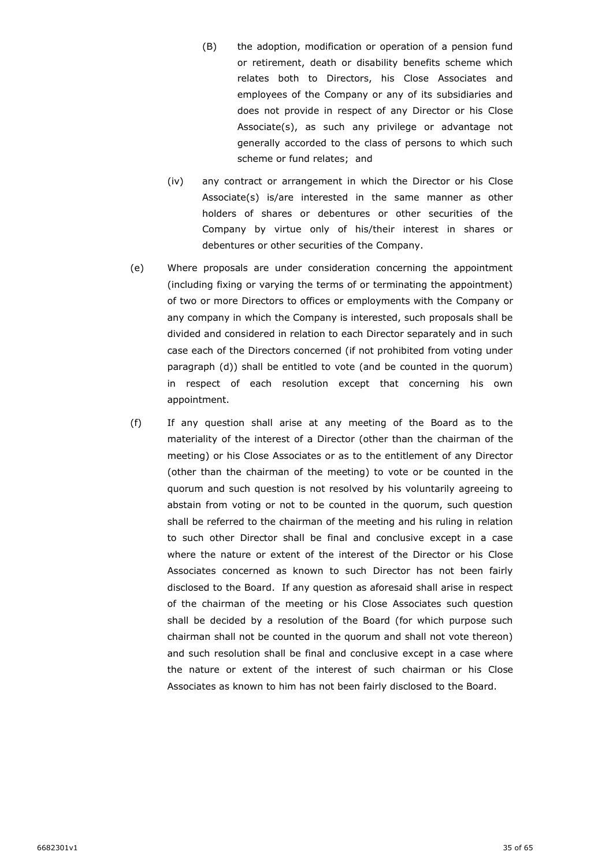- (B) the adoption, modification or operation of a pension fund or retirement, death or disability benefits scheme which relates both to Directors, his Close Associates and employees of the Company or any of its subsidiaries and does not provide in respect of any Director or his Close Associate(s), as such any privilege or advantage not generally accorded to the class of persons to which such scheme or fund relates; and
- (iv) any contract or arrangement in which the Director or his Close Associate(s) is/are interested in the same manner as other holders of shares or debentures or other securities of the Company by virtue only of his/their interest in shares or debentures or other securities of the Company.
- (e) Where proposals are under consideration concerning the appointment (including fixing or varying the terms of or terminating the appointment) of two or more Directors to offices or employments with the Company or any company in which the Company is interested, such proposals shall be divided and considered in relation to each Director separately and in such case each of the Directors concerned (if not prohibited from voting under paragraph [\(d\)\)](#page-35-0) shall be entitled to vote (and be counted in the quorum) in respect of each resolution except that concerning his own appointment.
- (f) If any question shall arise at any meeting of the Board as to the materiality of the interest of a Director (other than the chairman of the meeting) or his Close Associates or as to the entitlement of any Director (other than the chairman of the meeting) to vote or be counted in the quorum and such question is not resolved by his voluntarily agreeing to abstain from voting or not to be counted in the quorum, such question shall be referred to the chairman of the meeting and his ruling in relation to such other Director shall be final and conclusive except in a case where the nature or extent of the interest of the Director or his Close Associates concerned as known to such Director has not been fairly disclosed to the Board. If any question as aforesaid shall arise in respect of the chairman of the meeting or his Close Associates such question shall be decided by a resolution of the Board (for which purpose such chairman shall not be counted in the quorum and shall not vote thereon) and such resolution shall be final and conclusive except in a case where the nature or extent of the interest of such chairman or his Close Associates as known to him has not been fairly disclosed to the Board.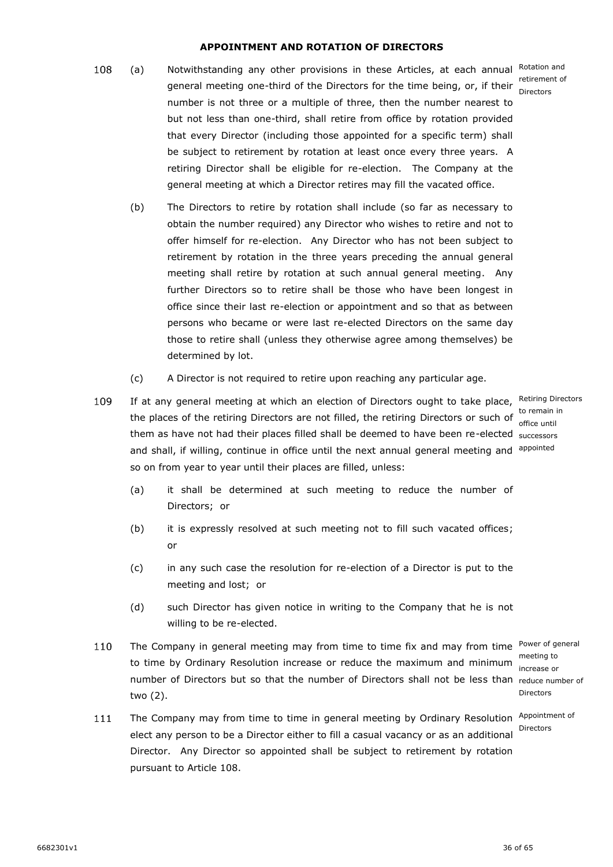#### **APPOINTMENT AND ROTATION OF DIRECTORS**

- <span id="page-37-1"></span><span id="page-37-0"></span>(a) Notwithstanding any other provisions in these Articles, at each annual Rotation and 108 general meeting one-third of the Directors for the time being, or, if their <sub>Directors</sub> number is not three or a multiple of three, then the number nearest to but not less than one-third, shall retire from office by rotation provided that every Director (including those appointed for a specific term) shall be subject to retirement by rotation at least once every three years. A retiring Director shall be eligible for re-election. The Company at the general meeting at which a Director retires may fill the vacated office.
	- (b) The Directors to retire by rotation shall include (so far as necessary to obtain the number required) any Director who wishes to retire and not to offer himself for re-election. Any Director who has not been subject to retirement by rotation in the three years preceding the annual general meeting shall retire by rotation at such annual general meeting. Any further Directors so to retire shall be those who have been longest in office since their last re-election or appointment and so that as between persons who became or were last re-elected Directors on the same day those to retire shall (unless they otherwise agree among themselves) be determined by lot.
	- (c) A Director is not required to retire upon reaching any particular age.
- 109 If at any general meeting at which an election of Directors ought to take place, Retiring Directors the places of the retiring Directors are not filled, the retiring Directors or such of senain in them as have not had their places filled shall be deemed to have been re-elected successors and shall, if willing, continue in office until the next annual general meeting and <sup>appointed</sup> so on from year to year until their places are filled, unless:
	- (a) it shall be determined at such meeting to reduce the number of Directors; or
	- (b) it is expressly resolved at such meeting not to fill such vacated offices; or
	- (c) in any such case the resolution for re-election of a Director is put to the meeting and lost; or
	- (d) such Director has given notice in writing to the Company that he is not willing to be re-elected.
- 110 The Company in general meeting may from time to time fix and may from time Power of general to time by Ordinary Resolution increase or reduce the maximum and minimum meeting to number of Directors but so that the number of Directors shall not be less than reduce number of two (2).
- 111 The Company may from time to time in general meeting by Ordinary Resolution Appointment of Directorselect any person to be a Director either to fill a casual vacancy or as an additional Director. Any Director so appointed shall be subject to retirement by rotation pursuant to Article [108.](#page-37-1)

office until

increase or Directors

retirement of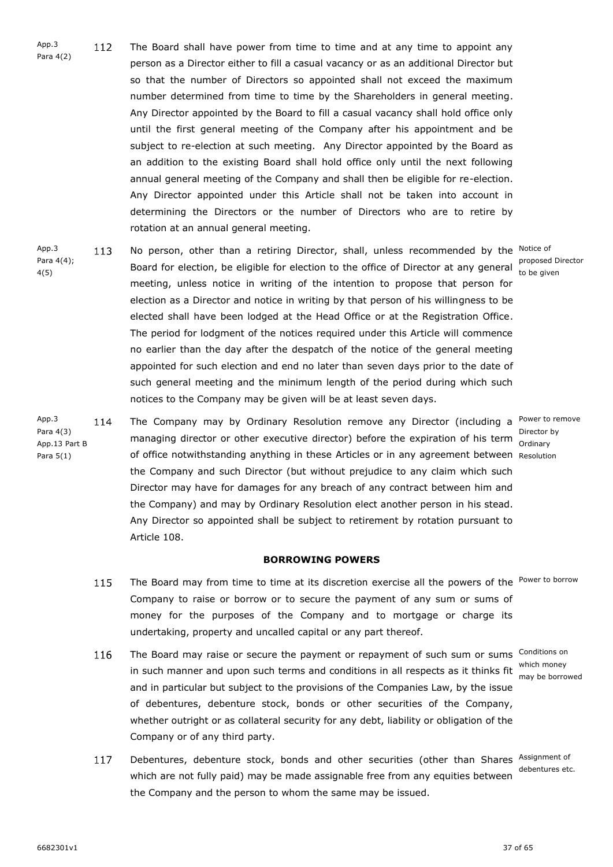- App.3 112 The Board shall have power from time to time and at any time to appoint any Para 4(2) person as a Director either to fill a casual vacancy or as an additional Director but so that the number of Directors so appointed shall not exceed the maximum number determined from time to time by the Shareholders in general meeting. Any Director appointed by the Board to fill a casual vacancy shall hold office only until the first general meeting of the Company after his appointment and be subject to re-election at such meeting. Any Director appointed by the Board as an addition to the existing Board shall hold office only until the next following annual general meeting of the Company and shall then be eligible for re-election. Any Director appointed under this Article shall not be taken into account in determining the Directors or the number of Directors who are to retire by rotation at an annual general meeting.
- App.3 No person, other than a retiring Director, shall, unless recommended by the <sup>Notice of</sup> 113 Para 4(4); proposed Director<br>Figure tor election, be eligible for election to the office of Director at any general to be siver 4(5) meeting, unless notice in writing of the intention to propose that person for election as a Director and notice in writing by that person of his willingness to be elected shall have been lodged at the Head Office or at the Registration Office. The period for lodgment of the notices required under this Article will commence no earlier than the day after the despatch of the notice of the general meeting appointed for such election and end no later than seven days prior to the date of such general meeting and the minimum length of the period during which such notices to the Company may be given will be at least seven days.

114 The Company may by Ordinary Resolution remove any Director (including a <sup>Power to remove</sup> Director by<br>managing director or other executive director) before the expiration of his term App.13 Part B of office notwithstanding anything in these Articles or in any agreement between Resolution the Company and such Director (but without prejudice to any claim which such Director may have for damages for any breach of any contract between him and the Company) and may by Ordinary Resolution elect another person in his stead. Any Director so appointed shall be subject to retirement by rotation pursuant to Article 108.

#### **BORROWING POWERS**

- <span id="page-38-0"></span>115 The Board may from time to time at its discretion exercise all the powers of the <sup>Power to borrow</sup> Company to raise or borrow or to secure the payment of any sum or sums of money for the purposes of the Company and to mortgage or charge its undertaking, property and uncalled capital or any part thereof.
- 116 The Board may raise or secure the payment or repayment of such sum or sums Conditions on which money<br>in such manner and upon such terms and conditions in all respects as it thinks fit and in particular but subject to the provisions of the Companies Law, by the issue of debentures, debenture stock, bonds or other securities of the Company, whether outright or as collateral security for any debt, liability or obligation of the Company or of any third party.
- 117 Debentures, debenture stock, bonds and other securities (other than Shares Assignment of which are not fully paid) may be made assignable free from any equities between the Company and the person to whom the same may be issued.

to be given

Ordinary

may be borrowed

debentures etc.

<span id="page-38-1"></span>App.3 Para 4(3)

Para 5(1)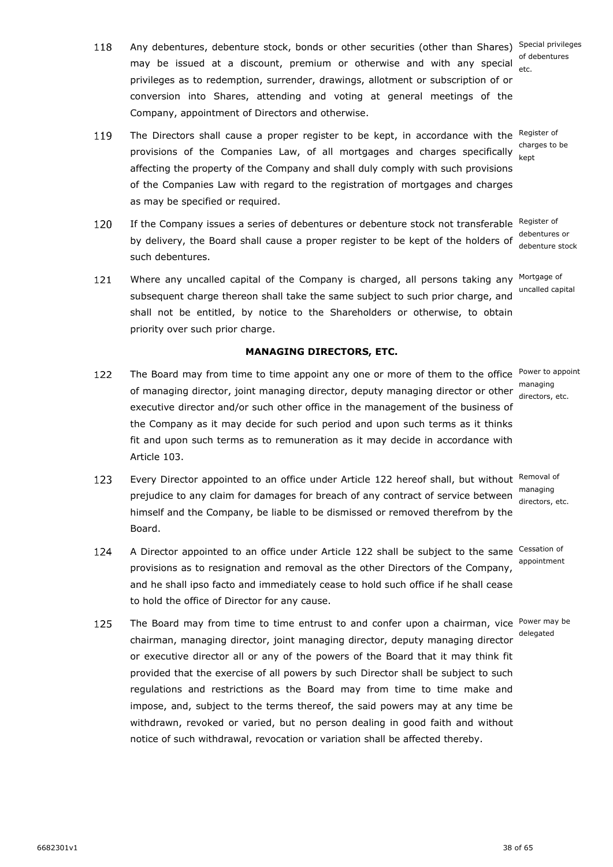- 118 Any debentures, debenture stock, bonds or other securities (other than Shares) Special privileges may be issued at a discount, premium or otherwise and with any special of debentures etc. privileges as to redemption, surrender, drawings, allotment or subscription of or conversion into Shares, attending and voting at general meetings of the Company, appointment of Directors and otherwise.
- 119 The Directors shall cause a proper register to be kept, in accordance with the <sup>Register of</sup> charges to be provisions of the Companies Law, of all mortgages and charges specifically kept affecting the property of the Company and shall duly comply with such provisions of the Companies Law with regard to the registration of mortgages and charges as may be specified or required.
- 120 If the Company issues a series of debentures or debenture stock not transferable Register of debentures or by delivery, the Board shall cause a proper register to be kept of the holders of debenture stock such debentures.
- 121 Where any uncalled capital of the Company is charged, all persons taking any <sup>Mortgage of</sup> uncalled capital subsequent charge thereon shall take the same subject to such prior charge, and shall not be entitled, by notice to the Shareholders or otherwise, to obtain priority over such prior charge.

#### **MANAGING DIRECTORS, ETC.**

- <span id="page-39-1"></span><span id="page-39-0"></span>The Board may from time to time appoint any one or more of them to the office Power to appoint 122 managing<br>Cof managing director, joint managing director, deputy managing director or other directors, etc. executive director and/or such other office in the management of the business of the Company as it may decide for such period and upon such terms as it thinks fit and upon such terms as to remuneration as it may decide in accordance with Article [103.](#page-32-4)
- <span id="page-39-2"></span>123 Every Director appointed to an office under Article [122](#page-39-1) hereof shall, but without Removal of managing<br>prejudice to any claim for damages for breach of any contract of service between himself and the Company, be liable to be dismissed or removed therefrom by the Board.
- <span id="page-39-3"></span>124 A Director appointed to an office under Article [122](#page-39-1) shall be subject to the same Cessation of provisions as to resignation and removal as the other Directors of the Company, and he shall ipso facto and immediately cease to hold such office if he shall cease to hold the office of Director for any cause.
- <span id="page-39-4"></span>125 The Board may from time to time entrust to and confer upon a chairman, vice <sup>Power may be</sup> chairman, managing director, joint managing director, deputy managing director delegatedor executive director all or any of the powers of the Board that it may think fit provided that the exercise of all powers by such Director shall be subject to such regulations and restrictions as the Board may from time to time make and impose, and, subject to the terms thereof, the said powers may at any time be withdrawn, revoked or varied, but no person dealing in good faith and without notice of such withdrawal, revocation or variation shall be affected thereby.

directors, etc.

appointment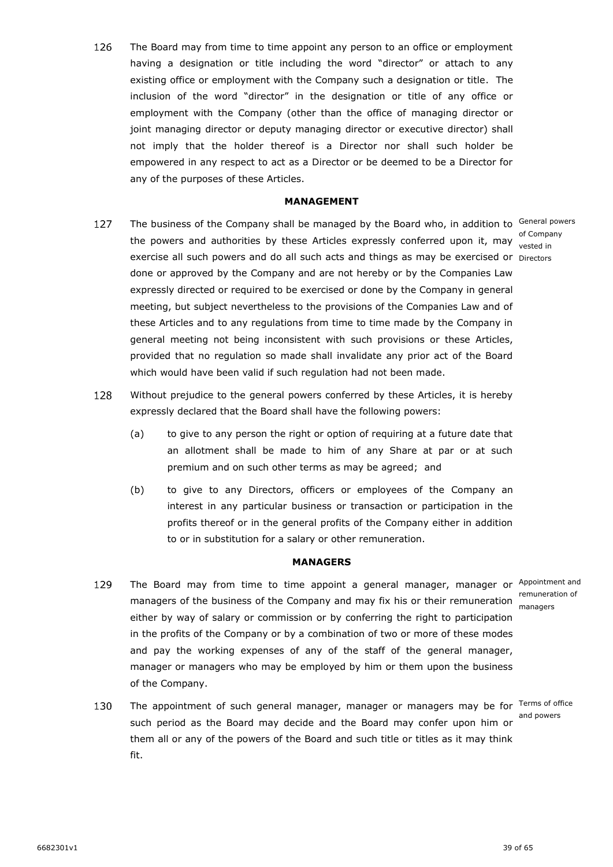The Board may from time to time appoint any person to an office or employment 126 having a designation or title including the word "director" or attach to any existing office or employment with the Company such a designation or title. The inclusion of the word "director" in the designation or title of any office or employment with the Company (other than the office of managing director or joint managing director or deputy managing director or executive director) shall not imply that the holder thereof is a Director nor shall such holder be empowered in any respect to act as a Director or be deemed to be a Director for any of the purposes of these Articles.

#### **MANAGEMENT**

- <span id="page-40-0"></span>127 The business of the Company shall be managed by the Board who, in addition to <sup>General powers</sup> the powers and authorities by these Articles expressly conferred upon it, may <sub>vested in</sub> exercise all such powers and do all such acts and things as may be exercised or Directors done or approved by the Company and are not hereby or by the Companies Law expressly directed or required to be exercised or done by the Company in general meeting, but subject nevertheless to the provisions of the Companies Law and of these Articles and to any regulations from time to time made by the Company in general meeting not being inconsistent with such provisions or these Articles, provided that no regulation so made shall invalidate any prior act of the Board which would have been valid if such regulation had not been made.
- 128 Without prejudice to the general powers conferred by these Articles, it is hereby expressly declared that the Board shall have the following powers:
	- (a) to give to any person the right or option of requiring at a future date that an allotment shall be made to him of any Share at par or at such premium and on such other terms as may be agreed; and
	- (b) to give to any Directors, officers or employees of the Company an interest in any particular business or transaction or participation in the profits thereof or in the general profits of the Company either in addition to or in substitution for a salary or other remuneration.

#### **MANAGERS**

- <span id="page-40-1"></span>129 The Board may from time to time appoint a general manager, manager or <sup>Appointment and</sup> remuneration of<br>managers of the business of the Company and may fix his or their remuneration messesses either by way of salary or commission or by conferring the right to participation in the profits of the Company or by a combination of two or more of these modes and pay the working expenses of any of the staff of the general manager, manager or managers who may be employed by him or them upon the business of the Company.
- 130 The appointment of such general manager, manager or managers may be for <sup>Terms of office</sup> such period as the Board may decide and the Board may confer upon him or and powersthem all or any of the powers of the Board and such title or titles as it may think fit.

managers

of Company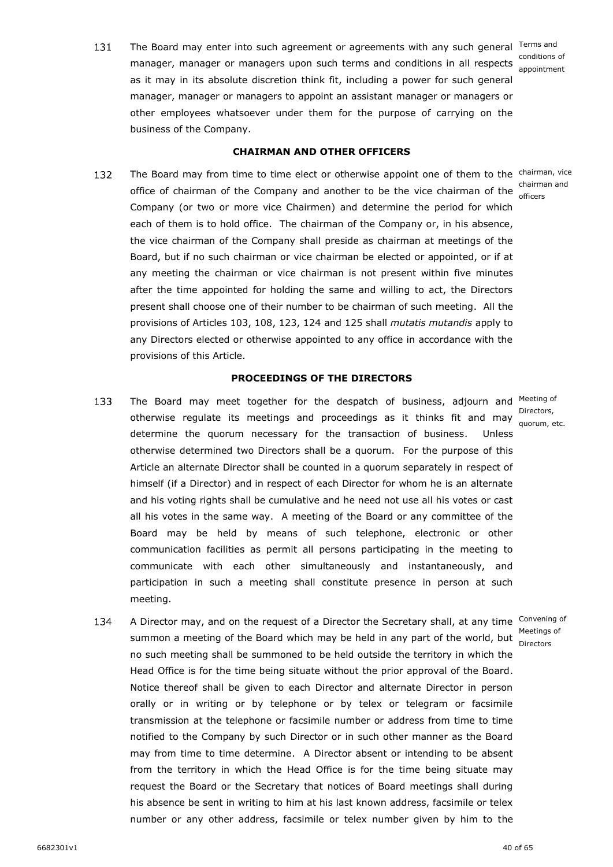131 The Board may enter into such agreement or agreements with any such general Terms and conditions of<br>A conditions in all respects sessistence the managers upon such terms and conditions in all respects as it may in its absolute discretion think fit, including a power for such general manager, manager or managers to appoint an assistant manager or managers or other employees whatsoever under them for the purpose of carrying on the business of the Company.

#### **CHAIRMAN AND OTHER OFFICERS**

<span id="page-41-0"></span>132 The Board may from time to time elect or otherwise appoint one of them to the <sup>chairman, vice</sup> office of chairman of the Company and another to be the vice chairman of the chairman and officers Company (or two or more vice Chairmen) and determine the period for which each of them is to hold office. The chairman of the Company or, in his absence, the vice chairman of the Company shall preside as chairman at meetings of the Board, but if no such chairman or vice chairman be elected or appointed, or if at any meeting the chairman or vice chairman is not present within five minutes after the time appointed for holding the same and willing to act, the Directors present shall choose one of their number to be chairman of such meeting. All the provisions of Articles [103,](#page-32-4) [108,](#page-37-1) [123,](#page-39-2) [124](#page-39-3) and [125](#page-39-4) shall *mutatis mutandis* apply to any Directors elected or otherwise appointed to any office in accordance with the provisions of this Article.

#### **PROCEEDINGS OF THE DIRECTORS**

- <span id="page-41-1"></span>The Board may meet together for the despatch of business, adjourn and <sup>Meeting of</sup> 133 otherwise regulate its meetings and proceedings as it thinks fit and may determine the quorum necessary for the transaction of business. Unless otherwise determined two Directors shall be a quorum. For the purpose of this Article an alternate Director shall be counted in a quorum separately in respect of himself (if a Director) and in respect of each Director for whom he is an alternate and his voting rights shall be cumulative and he need not use all his votes or cast all his votes in the same way. A meeting of the Board or any committee of the Board may be held by means of such telephone, electronic or other communication facilities as permit all persons participating in the meeting to communicate with each other simultaneously and instantaneously, and participation in such a meeting shall constitute presence in person at such meeting.
- A Director may, and on the request of a Director the Secretary shall, at any time <sup>Convening of</sup> 134 summon a meeting of the Board which may be held in any part of the world, but Directors no such meeting shall be summoned to be held outside the territory in which the Head Office is for the time being situate without the prior approval of the Board. Notice thereof shall be given to each Director and alternate Director in person orally or in writing or by telephone or by telex or telegram or facsimile transmission at the telephone or facsimile number or address from time to time notified to the Company by such Director or in such other manner as the Board may from time to time determine. A Director absent or intending to be absent from the territory in which the Head Office is for the time being situate may request the Board or the Secretary that notices of Board meetings shall during his absence be sent in writing to him at his last known address, facsimile or telex number or any other address, facsimile or telex number given by him to the

Directors, quorum, etc.

appointment

Meetings of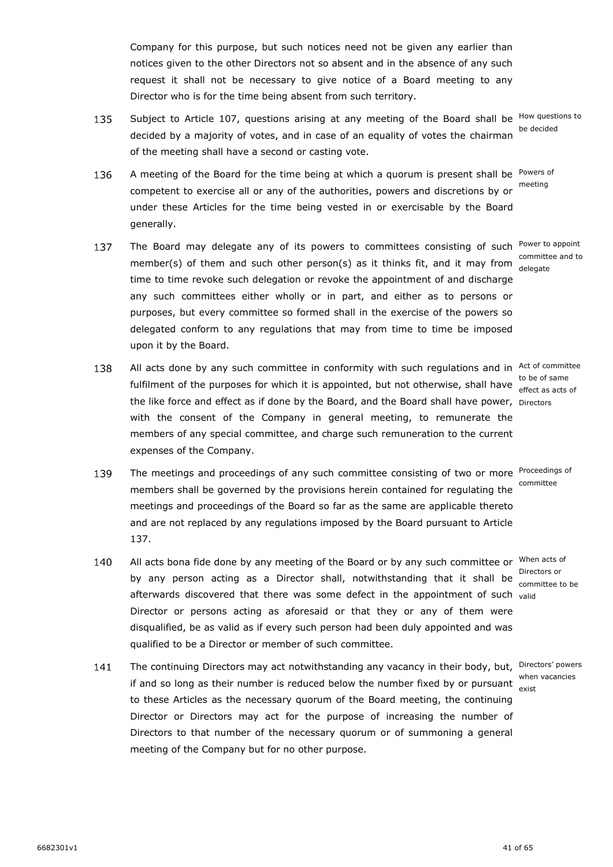Company for this purpose, but such notices need not be given any earlier than notices given to the other Directors not so absent and in the absence of any such request it shall not be necessary to give notice of a Board meeting to any Director who is for the time being absent from such territory.

- 135 Subject to Article [107,](#page-34-0) questions arising at any meeting of the Board shall be <sup>How questions to</sup> decided by a majority of votes, and in case of an equality of votes the chairman of the meeting shall have a second or casting vote.
- 136 A meeting of the Board for the time being at which a quorum is present shall be <sup>Powers of</sup> competent to exercise all or any of the authorities, powers and discretions by or meeting under these Articles for the time being vested in or exercisable by the Board generally.
- <span id="page-42-0"></span>137 The Board may delegate any of its powers to committees consisting of such <sup>Power to appoint</sup> member(s) of them and such other person(s) as it thinks fit, and it may from  $\frac{1}{1000}$ time to time revoke such delegation or revoke the appointment of and discharge any such committees either wholly or in part, and either as to persons or purposes, but every committee so formed shall in the exercise of the powers so delegated conform to any regulations that may from time to time be imposed upon it by the Board.
- 138 All acts done by any such committee in conformity with such regulations and in Act of committee fulfilment of the purposes for which it is appointed, but not otherwise, shall have to be of same the like force and effect as if done by the Board, and the Board shall have power, Directors with the consent of the Company in general meeting, to remunerate the members of any special committee, and charge such remuneration to the current expenses of the Company.
- 139 The meetings and proceedings of any such committee consisting of two or more Proceedings of members shall be governed by the provisions herein contained for regulating the committee meetings and proceedings of the Board so far as the same are applicable thereto and are not replaced by any regulations imposed by the Board pursuant to Article [137.](#page-42-0)
- 140 All acts bona fide done by any meeting of the Board or by any such committee or <sup>When acts of</sup> Directors or<br>by any person acting as a Director shall, notwithstanding that it shall be supposition is afterwards discovered that there was some defect in the appointment of such valid Director or persons acting as aforesaid or that they or any of them were disqualified, be as valid as if every such person had been duly appointed and was qualified to be a Director or member of such committee.
- 141 The continuing Directors may act notwithstanding any vacancy in their body, but, Directors' powers when vacancies<br>if and so long as their number is reduced below the number fixed by or pursuant when vacancies to these Articles as the necessary quorum of the Board meeting, the continuing Director or Directors may act for the purpose of increasing the number of Directors to that number of the necessary quorum or of summoning a general meeting of the Company but for no other purpose.

be decided

delegate

effect as acts of

committee to be

exist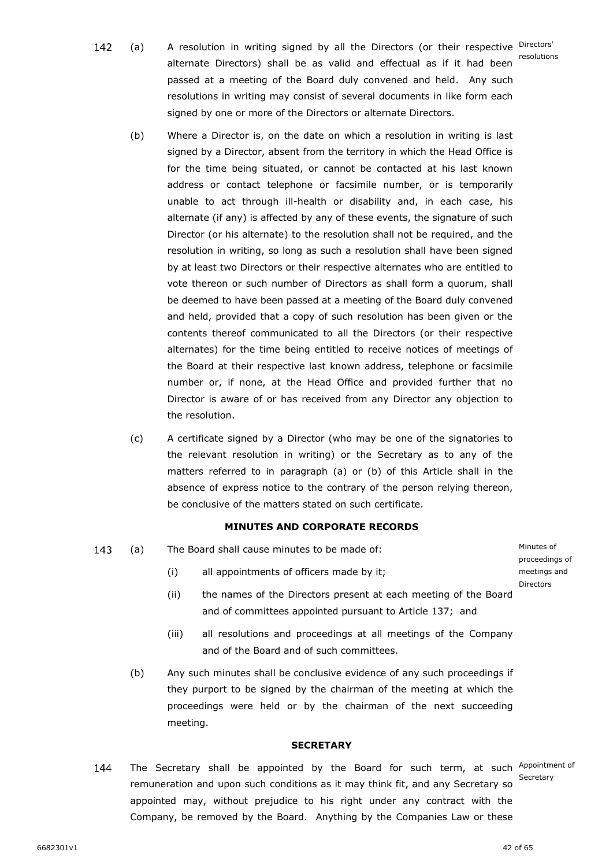143

- <span id="page-43-3"></span><span id="page-43-2"></span>142 (a) A resolution in writing signed by all the Directors (or their respective Directors' alternate Directors) shall be as valid and effectual as if it had been resolutions passed at a meeting of the Board duly convened and held. Any such resolutions in writing may consist of several documents in like form each signed by one or more of the Directors or alternate Directors.
	- (b) Where a Director is, on the date on which a resolution in writing is last signed by a Director, absent from the territory in which the Head Office is for the time being situated, or cannot be contacted at his last known address or contact telephone or facsimile number, or is temporarily unable to act through ill-health or disability and, in each case, his alternate (if any) is affected by any of these events, the signature of such Director (or his alternate) to the resolution shall not be required, and the resolution in writing, so long as such a resolution shall have been signed by at least two Directors or their respective alternates who are entitled to vote thereon or such number of Directors as shall form a quorum, shall be deemed to have been passed at a meeting of the Board duly convened and held, provided that a copy of such resolution has been given or the contents thereof communicated to all the Directors (or their respective alternates) for the time being entitled to receive notices of meetings of the Board at their respective last known address, telephone or facsimile number or, if none, at the Head Office and provided further that no Director is aware of or has received from any Director any objection to the resolution.
	- (c) A certificate signed by a Director (who may be one of the signatories to the relevant resolution in writing) or the Secretary as to any of the matters referred to in paragraph [\(a\)](#page-43-2) or [\(b\)](#page-43-3) of this Article shall in the absence of express notice to the contrary of the person relying thereon, be conclusive of the matters stated on such certificate.

#### **MINUTES AND CORPORATE RECORDS**

<span id="page-43-0"></span>(a) The Board shall cause minutes to be made of:

(i) all appointments of officers made by it;

- (ii) the names of the Directors present at each meeting of the Board and of committees appointed pursuant to Article [137;](#page-42-0) and
- (iii) all resolutions and proceedings at all meetings of the Company and of the Board and of such committees.
- (b) Any such minutes shall be conclusive evidence of any such proceedings if they purport to be signed by the chairman of the meeting at which the proceedings were held or by the chairman of the next succeeding meeting.

#### **SECRETARY**

<span id="page-43-1"></span>The Secretary shall be appointed by the Board for such term, at such <sup>Appointment of</sup> 144 Secretaryremuneration and upon such conditions as it may think fit, and any Secretary so appointed may, without prejudice to his right under any contract with the Company, be removed by the Board. Anything by the Companies Law or these

Minutes of proceedings of meetings and Directors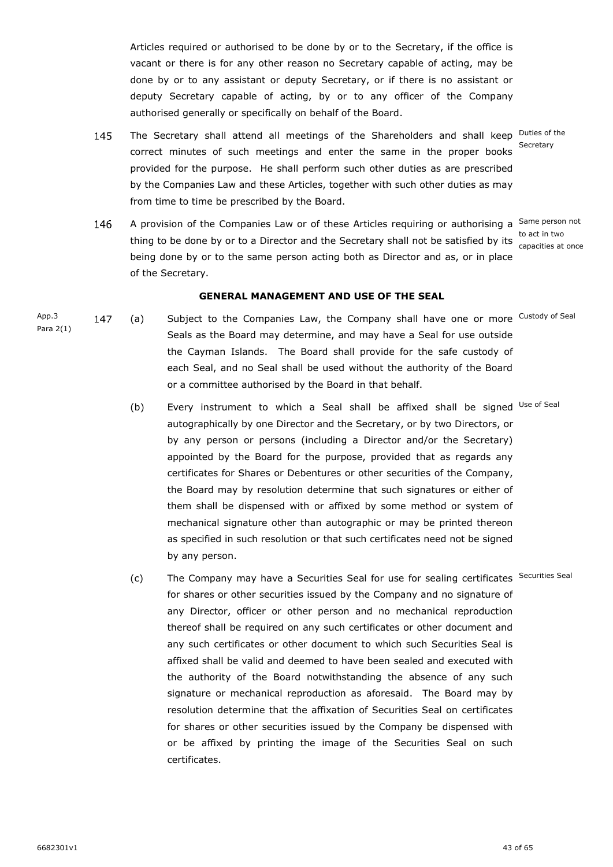Articles required or authorised to be done by or to the Secretary, if the office is vacant or there is for any other reason no Secretary capable of acting, may be done by or to any assistant or deputy Secretary, or if there is no assistant or deputy Secretary capable of acting, by or to any officer of the Company authorised generally or specifically on behalf of the Board.

Secretary

- 145 The Secretary shall attend all meetings of the Shareholders and shall keep <sup>Duties of the</sup> correct minutes of such meetings and enter the same in the proper books provided for the purpose. He shall perform such other duties as are prescribed by the Companies Law and these Articles, together with such other duties as may from time to time be prescribed by the Board.
- 146 A provision of the Companies Law or of these Articles requiring or authorising a <sup>Same person not</sup> thing to be done by or to a Director and the Secretary shall not be satisfied by its serection at capacities at once being done by or to the same person acting both as Director and as, or in place of the Secretary.

**GENERAL MANAGEMENT AND USE OF THE SEAL**

- <span id="page-44-0"></span>(a) Subject to the Companies Law, the Company shall have one or more Custody of Seal 147 Seals as the Board may determine, and may have a Seal for use outside the Cayman Islands. The Board shall provide for the safe custody of each Seal, and no Seal shall be used without the authority of the Board or a committee authorised by the Board in that behalf.
	- (b) Every instrument to which a Seal shall be affixed shall be signed Use of Seal autographically by one Director and the Secretary, or by two Directors, or by any person or persons (including a Director and/or the Secretary) appointed by the Board for the purpose, provided that as regards any certificates for Shares or Debentures or other securities of the Company, the Board may by resolution determine that such signatures or either of them shall be dispensed with or affixed by some method or system of mechanical signature other than autographic or may be printed thereon as specified in such resolution or that such certificates need not be signed by any person.
	- (c) The Company may have a Securities Seal for use for sealing certificates Securities Seal for shares or other securities issued by the Company and no signature of any Director, officer or other person and no mechanical reproduction thereof shall be required on any such certificates or other document and any such certificates or other document to which such Securities Seal is affixed shall be valid and deemed to have been sealed and executed with the authority of the Board notwithstanding the absence of any such signature or mechanical reproduction as aforesaid. The Board may by resolution determine that the affixation of Securities Seal on certificates for shares or other securities issued by the Company be dispensed with or be affixed by printing the image of the Securities Seal on such certificates.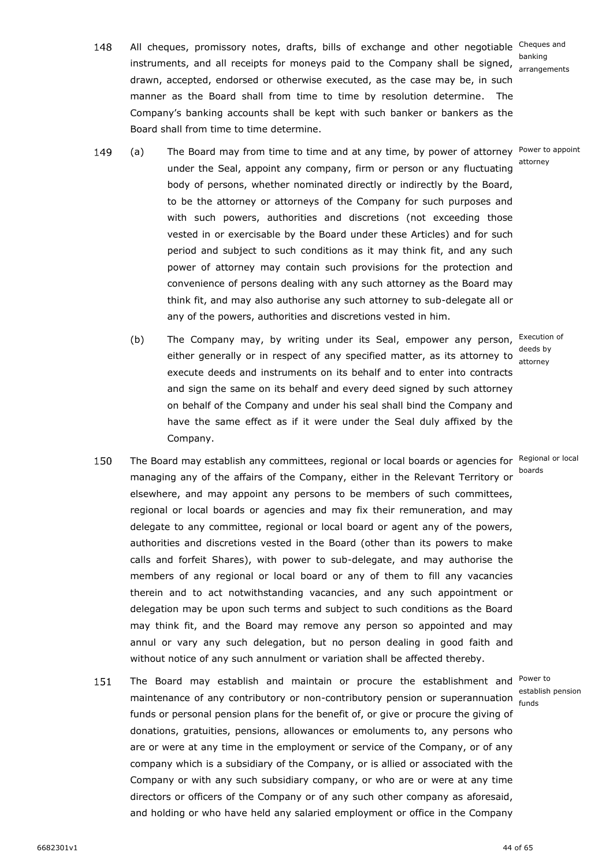- 148 All cheques, promissory notes, drafts, bills of exchange and other negotiable Cheques and instruments, and all receipts for moneys paid to the Company shall be signed,  $\frac{b^2}{2}$ drawn, accepted, endorsed or otherwise executed, as the case may be, in such manner as the Board shall from time to time by resolution determine. The Company's banking accounts shall be kept with such banker or bankers as the Board shall from time to time determine.
- 149 (a) The Board may from time to time and at any time, by power of attorney Power to appoint attorney under the Seal, appoint any company, firm or person or any fluctuating body of persons, whether nominated directly or indirectly by the Board, to be the attorney or attorneys of the Company for such purposes and with such powers, authorities and discretions (not exceeding those vested in or exercisable by the Board under these Articles) and for such period and subject to such conditions as it may think fit, and any such power of attorney may contain such provisions for the protection and convenience of persons dealing with any such attorney as the Board may think fit, and may also authorise any such attorney to sub-delegate all or any of the powers, authorities and discretions vested in him.
	- (b) The Company may, by writing under its Seal, empower any person, Execution of either generally or in respect of any specified matter, as its attorney to execute deeds and instruments on its behalf and to enter into contracts and sign the same on its behalf and every deed signed by such attorney on behalf of the Company and under his seal shall bind the Company and have the same effect as if it were under the Seal duly affixed by the Company.
- 150 The Board may establish any committees, regional or local boards or agencies for Regional or local managing any of the affairs of the Company, either in the Relevant Territory or boards elsewhere, and may appoint any persons to be members of such committees, regional or local boards or agencies and may fix their remuneration, and may delegate to any committee, regional or local board or agent any of the powers, authorities and discretions vested in the Board (other than its powers to make calls and forfeit Shares), with power to sub-delegate, and may authorise the members of any regional or local board or any of them to fill any vacancies therein and to act notwithstanding vacancies, and any such appointment or delegation may be upon such terms and subject to such conditions as the Board may think fit, and the Board may remove any person so appointed and may annul or vary any such delegation, but no person dealing in good faith and without notice of any such annulment or variation shall be affected thereby.
- 151 The Board may establish and maintain or procure the establishment and <sup>Power to</sup> maintenance of any contributory or non-contributory pension or superannuation  $\frac{1}{f_{\text{unds}}}$ funds or personal pension plans for the benefit of, or give or procure the giving of donations, gratuities, pensions, allowances or emoluments to, any persons who are or were at any time in the employment or service of the Company, or of any company which is a subsidiary of the Company, or is allied or associated with the Company or with any such subsidiary company, or who are or were at any time directors or officers of the Company or of any such other company as aforesaid, and holding or who have held any salaried employment or office in the Company

deeds by attorney

establish pension

arrangements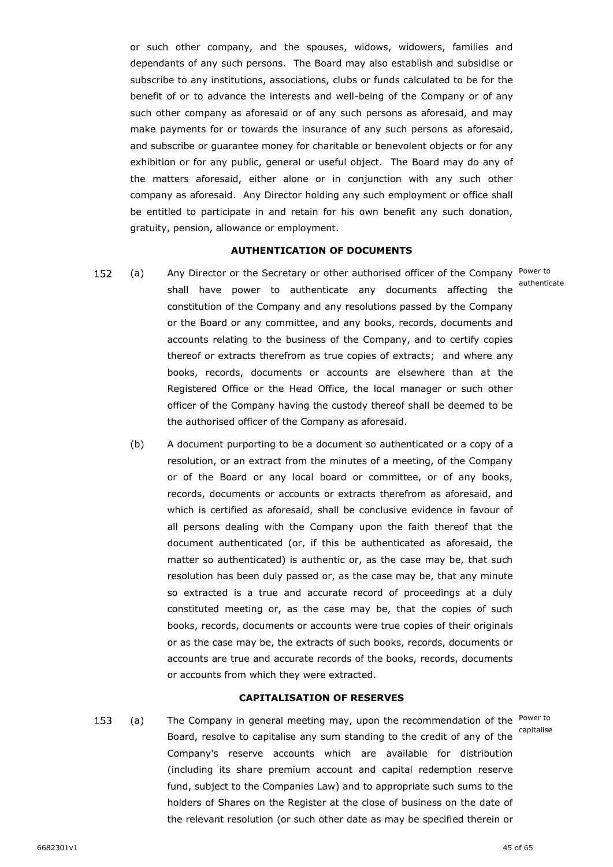or such other company, and the spouses, widows, widowers, families and dependants of any such persons. The Board may also establish and subsidise or subscribe to any institutions, associations, clubs or funds calculated to be for the benefit of or to advance the interests and well-being of the Company or of any such other company as aforesaid or of any such persons as aforesaid, and may make payments for or towards the insurance of any such persons as aforesaid, and subscribe or guarantee money for charitable or benevolent objects or for any exhibition or for any public, general or useful object. The Board may do any of the matters aforesaid, either alone or in conjunction with any such other company as aforesaid. Any Director holding any such employment or office shall be entitled to participate in and retain for his own benefit any such donation, gratuity, pension, allowance or employment.

#### **AUTHENTICATION OF DOCUMENTS**

- <span id="page-46-0"></span>(a) Any Director or the Secretary or other authorised officer of the Company Power to 152 shall have power to authenticate any documents affecting the constitution of the Company and any resolutions passed by the Company or the Board or any committee, and any books, records, documents and accounts relating to the business of the Company, and to certify copies thereof or extracts therefrom as true copies of extracts; and where any books, records, documents or accounts are elsewhere than at the Registered Office or the Head Office, the local manager or such other officer of the Company having the custody thereof shall be deemed to be the authorised officer of the Company as aforesaid.
	- (b) A document purporting to be a document so authenticated or a copy of a resolution, or an extract from the minutes of a meeting, of the Company or of the Board or any local board or committee, or of any books, records, documents or accounts or extracts therefrom as aforesaid, and which is certified as aforesaid, shall be conclusive evidence in favour of all persons dealing with the Company upon the faith thereof that the document authenticated (or, if this be authenticated as aforesaid, the matter so authenticated) is authentic or, as the case may be, that such resolution has been duly passed or, as the case may be, that any minute so extracted is a true and accurate record of proceedings at a duly constituted meeting or, as the case may be, that the copies of such books, records, documents or accounts were true copies of their originals or as the case may be, the extracts of such books, records, documents or accounts are true and accurate records of the books, records, documents or accounts from which they were extracted.

#### **CAPITALISATION OF RESERVES**

<span id="page-46-1"></span>153 (a) The Company in general meeting may, upon the recommendation of the Power to capitaliseBoard, resolve to capitalise any sum standing to the credit of any of the Company's reserve accounts which are available for distribution (including its share premium account and capital redemption reserve fund, subject to the Companies Law) and to appropriate such sums to the holders of Shares on the Register at the close of business on the date of the relevant resolution (or such other date as may be specified therein or

6682301v1 45 of 65

authenticate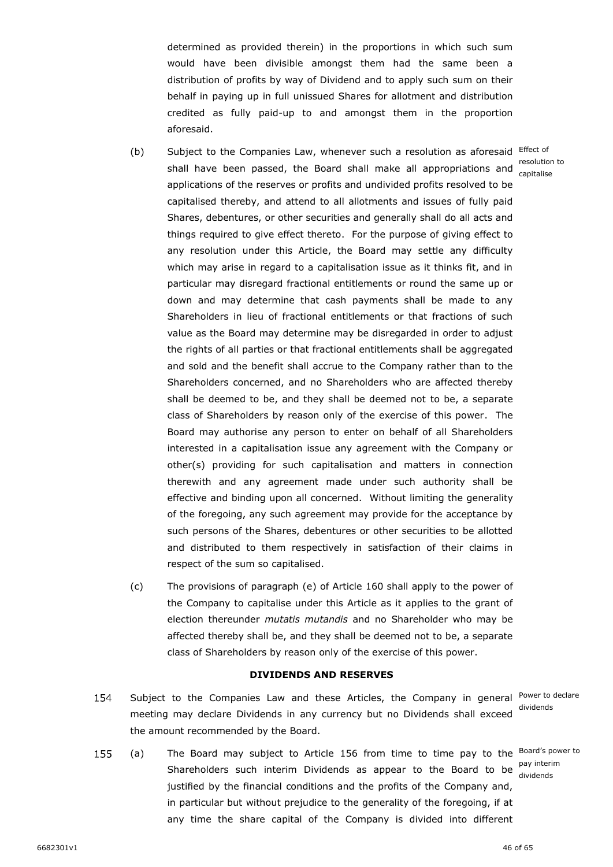determined as provided therein) in the proportions in which such sum would have been divisible amongst them had the same been a distribution of profits by way of Dividend and to apply such sum on their behalf in paying up in full unissued Shares for allotment and distribution credited as fully paid-up to and amongst them in the proportion aforesaid.

- (b) Subject to the Companies Law, whenever such a resolution as aforesaid Effect of resolution to<br>
shall have been passed, the Board shall make all appropriations and resolution to applications of the reserves or profits and undivided profits resolved to be capitalised thereby, and attend to all allotments and issues of fully paid Shares, debentures, or other securities and generally shall do all acts and things required to give effect thereto. For the purpose of giving effect to any resolution under this Article, the Board may settle any difficulty which may arise in regard to a capitalisation issue as it thinks fit, and in particular may disregard fractional entitlements or round the same up or down and may determine that cash payments shall be made to any Shareholders in lieu of fractional entitlements or that fractions of such value as the Board may determine may be disregarded in order to adjust the rights of all parties or that fractional entitlements shall be aggregated and sold and the benefit shall accrue to the Company rather than to the Shareholders concerned, and no Shareholders who are affected thereby shall be deemed to be, and they shall be deemed not to be, a separate class of Shareholders by reason only of the exercise of this power. The Board may authorise any person to enter on behalf of all Shareholders interested in a capitalisation issue any agreement with the Company or other(s) providing for such capitalisation and matters in connection therewith and any agreement made under such authority shall be effective and binding upon all concerned. Without limiting the generality of the foregoing, any such agreement may provide for the acceptance by such persons of the Shares, debentures or other securities to be allotted and distributed to them respectively in satisfaction of their claims in respect of the sum so capitalised. capitalise
- (c) The provisions of paragraph [\(e\)](#page-52-0) of Article [160](#page-50-0) shall apply to the power of the Company to capitalise under this Article as it applies to the grant of election thereunder *mutatis mutandis* and no Shareholder who may be affected thereby shall be, and they shall be deemed not to be, a separate class of Shareholders by reason only of the exercise of this power.

#### **DIVIDENDS AND RESERVES**

- <span id="page-47-0"></span>154 Subject to the Companies Law and these Articles, the Company in general Power to declare meeting may declare Dividends in any currency but no Dividends shall exceed the amount recommended by the Board.
- <span id="page-47-1"></span>155 (a) The Board may subject to Article [156](#page-48-0) from time to time pay to the Board's power to Shareholders such interim Dividends as appear to the Board to be pay interim justified by the financial conditions and the profits of the Company and, in particular but without prejudice to the generality of the foregoing, if at any time the share capital of the Company is divided into different

dividends

dividends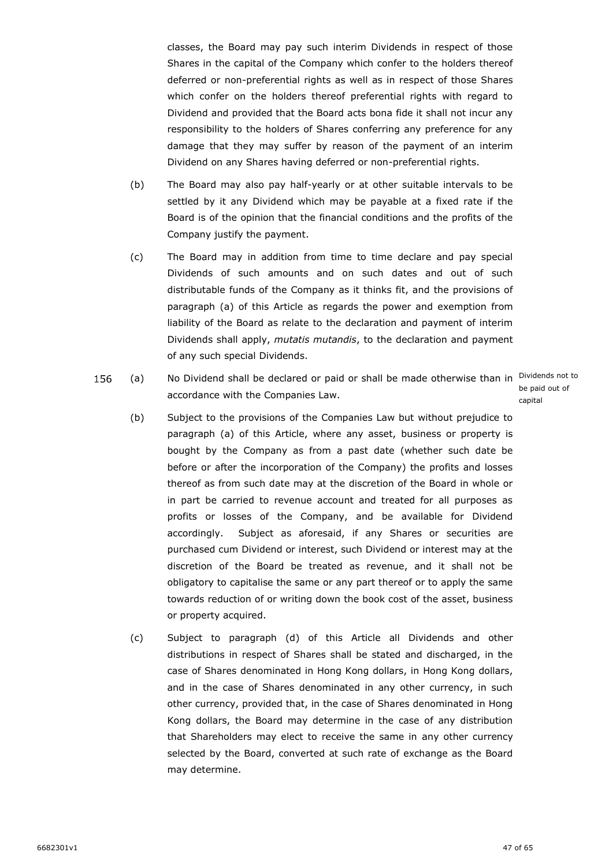classes, the Board may pay such interim Dividends in respect of those Shares in the capital of the Company which confer to the holders thereof deferred or non-preferential rights as well as in respect of those Shares which confer on the holders thereof preferential rights with regard to Dividend and provided that the Board acts bona fide it shall not incur any responsibility to the holders of Shares conferring any preference for any damage that they may suffer by reason of the payment of an interim Dividend on any Shares having deferred or non-preferential rights.

- (b) The Board may also pay half-yearly or at other suitable intervals to be settled by it any Dividend which may be payable at a fixed rate if the Board is of the opinion that the financial conditions and the profits of the Company justify the payment.
- (c) The Board may in addition from time to time declare and pay special Dividends of such amounts and on such dates and out of such distributable funds of the Company as it thinks fit, and the provisions of paragraph [\(a\)](#page-47-1) of this Article as regards the power and exemption from liability of the Board as relate to the declaration and payment of interim Dividends shall apply, *mutatis mutandis*, to the declaration and payment of any such special Dividends.
- <span id="page-48-1"></span><span id="page-48-0"></span>156  $(a)$ (a) No Dividend shall be declared or paid or shall be made otherwise than in Dividends not to accordance with the Companies Law.

be paid out of capital

- (b) Subject to the provisions of the Companies Law but without prejudice to paragraph [\(a\)](#page-48-1) of this Article, where any asset, business or property is bought by the Company as from a past date (whether such date be before or after the incorporation of the Company) the profits and losses thereof as from such date may at the discretion of the Board in whole or in part be carried to revenue account and treated for all purposes as profits or losses of the Company, and be available for Dividend accordingly. Subject as aforesaid, if any Shares or securities are purchased cum Dividend or interest, such Dividend or interest may at the discretion of the Board be treated as revenue, and it shall not be obligatory to capitalise the same or any part thereof or to apply the same towards reduction of or writing down the book cost of the asset, business or property acquired.
- (c) Subject to paragraph [\(d\)](#page-49-0) of this Article all Dividends and other distributions in respect of Shares shall be stated and discharged, in the case of Shares denominated in Hong Kong dollars, in Hong Kong dollars, and in the case of Shares denominated in any other currency, in such other currency, provided that, in the case of Shares denominated in Hong Kong dollars, the Board may determine in the case of any distribution that Shareholders may elect to receive the same in any other currency selected by the Board, converted at such rate of exchange as the Board may determine.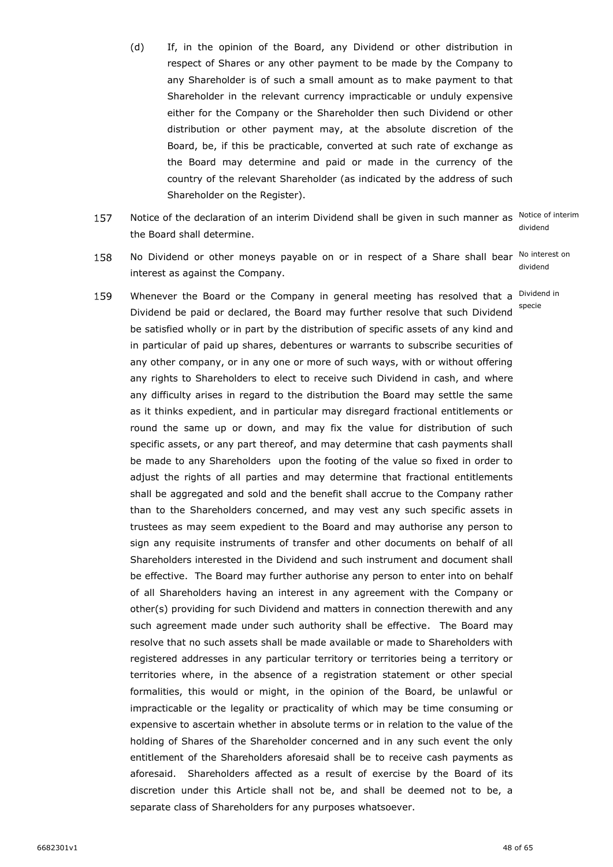- <span id="page-49-0"></span>(d) If, in the opinion of the Board, any Dividend or other distribution in respect of Shares or any other payment to be made by the Company to any Shareholder is of such a small amount as to make payment to that Shareholder in the relevant currency impracticable or unduly expensive either for the Company or the Shareholder then such Dividend or other distribution or other payment may, at the absolute discretion of the Board, be, if this be practicable, converted at such rate of exchange as the Board may determine and paid or made in the currency of the country of the relevant Shareholder (as indicated by the address of such Shareholder on the Register).
- 157 Notice of the declaration of an interim Dividend shall be given in such manner as Notice of interim dividend . the Board shall determine.

- 158 No Dividend or other moneys payable on or in respect of a Share shall bear No interest on dividend interest as against the Company.
- 159 Whenever the Board or the Company in general meeting has resolved that a <sup>Dividend in</sup> Dividend be paid or declared, the Board may further resolve that such Dividend specie be satisfied wholly or in part by the distribution of specific assets of any kind and in particular of paid up shares, debentures or warrants to subscribe securities of any other company, or in any one or more of such ways, with or without offering any rights to Shareholders to elect to receive such Dividend in cash, and where any difficulty arises in regard to the distribution the Board may settle the same as it thinks expedient, and in particular may disregard fractional entitlements or round the same up or down, and may fix the value for distribution of such specific assets, or any part thereof, and may determine that cash payments shall be made to any Shareholders upon the footing of the value so fixed in order to adjust the rights of all parties and may determine that fractional entitlements shall be aggregated and sold and the benefit shall accrue to the Company rather than to the Shareholders concerned, and may vest any such specific assets in trustees as may seem expedient to the Board and may authorise any person to sign any requisite instruments of transfer and other documents on behalf of all Shareholders interested in the Dividend and such instrument and document shall be effective. The Board may further authorise any person to enter into on behalf of all Shareholders having an interest in any agreement with the Company or other(s) providing for such Dividend and matters in connection therewith and any such agreement made under such authority shall be effective. The Board may resolve that no such assets shall be made available or made to Shareholders with registered addresses in any particular territory or territories being a territory or territories where, in the absence of a registration statement or other special formalities, this would or might, in the opinion of the Board, be unlawful or impracticable or the legality or practicality of which may be time consuming or expensive to ascertain whether in absolute terms or in relation to the value of the holding of Shares of the Shareholder concerned and in any such event the only entitlement of the Shareholders aforesaid shall be to receive cash payments as aforesaid. Shareholders affected as a result of exercise by the Board of its discretion under this Article shall not be, and shall be deemed not to be, a separate class of Shareholders for any purposes whatsoever.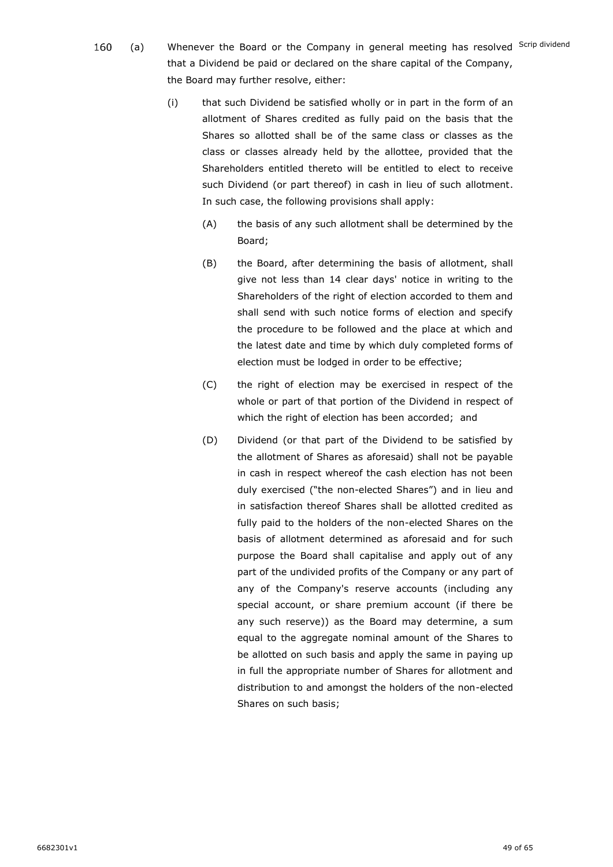- <span id="page-50-1"></span><span id="page-50-0"></span>160 (a) Whenever the Board or the Company in general meeting has resolved Scrip dividend that a Dividend be paid or declared on the share capital of the Company, the Board may further resolve, either:
	- (i) that such Dividend be satisfied wholly or in part in the form of an allotment of Shares credited as fully paid on the basis that the Shares so allotted shall be of the same class or classes as the class or classes already held by the allottee, provided that the Shareholders entitled thereto will be entitled to elect to receive such Dividend (or part thereof) in cash in lieu of such allotment. In such case, the following provisions shall apply:
		- (A) the basis of any such allotment shall be determined by the Board;
		- (B) the Board, after determining the basis of allotment, shall give not less than 14 clear days' notice in writing to the Shareholders of the right of election accorded to them and shall send with such notice forms of election and specify the procedure to be followed and the place at which and the latest date and time by which duly completed forms of election must be lodged in order to be effective;
		- (C) the right of election may be exercised in respect of the whole or part of that portion of the Dividend in respect of which the right of election has been accorded; and
		- (D) Dividend (or that part of the Dividend to be satisfied by the allotment of Shares as aforesaid) shall not be payable in cash in respect whereof the cash election has not been duly exercised ("the non-elected Shares") and in lieu and in satisfaction thereof Shares shall be allotted credited as fully paid to the holders of the non-elected Shares on the basis of allotment determined as aforesaid and for such purpose the Board shall capitalise and apply out of any part of the undivided profits of the Company or any part of any of the Company's reserve accounts (including any special account, or share premium account (if there be any such reserve)) as the Board may determine, a sum equal to the aggregate nominal amount of the Shares to be allotted on such basis and apply the same in paying up in full the appropriate number of Shares for allotment and distribution to and amongst the holders of the non-elected Shares on such basis;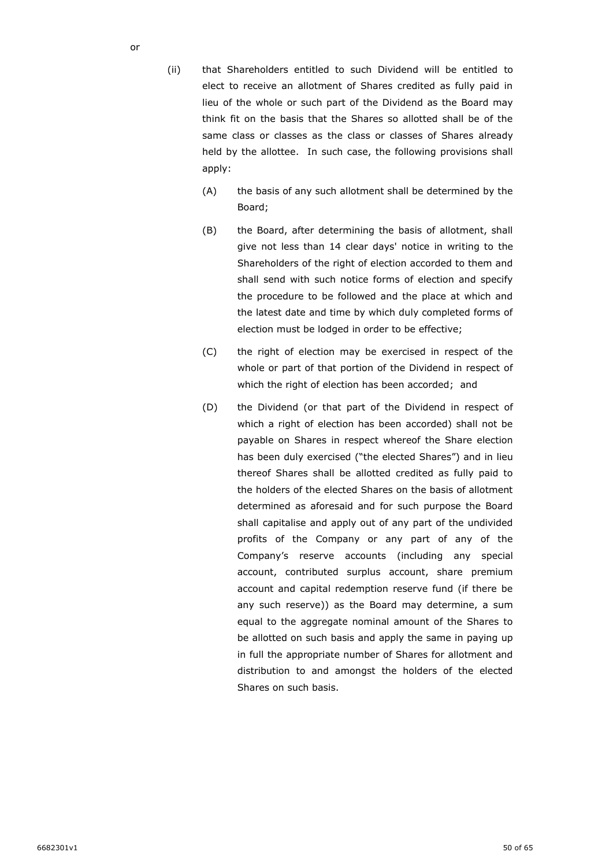(ii) that Shareholders entitled to such Dividend will be entitled to elect to receive an allotment of Shares credited as fully paid in lieu of the whole or such part of the Dividend as the Board may think fit on the basis that the Shares so allotted shall be of the same class or classes as the class or classes of Shares already held by the allottee. In such case, the following provisions shall apply:

- (A) the basis of any such allotment shall be determined by the Board;
- (B) the Board, after determining the basis of allotment, shall give not less than 14 clear days' notice in writing to the Shareholders of the right of election accorded to them and shall send with such notice forms of election and specify the procedure to be followed and the place at which and the latest date and time by which duly completed forms of election must be lodged in order to be effective;
- (C) the right of election may be exercised in respect of the whole or part of that portion of the Dividend in respect of which the right of election has been accorded; and
- (D) the Dividend (or that part of the Dividend in respect of which a right of election has been accorded) shall not be payable on Shares in respect whereof the Share election has been duly exercised ("the elected Shares") and in lieu thereof Shares shall be allotted credited as fully paid to the holders of the elected Shares on the basis of allotment determined as aforesaid and for such purpose the Board shall capitalise and apply out of any part of the undivided profits of the Company or any part of any of the Company's reserve accounts (including any special account, contributed surplus account, share premium account and capital redemption reserve fund (if there be any such reserve)) as the Board may determine, a sum equal to the aggregate nominal amount of the Shares to be allotted on such basis and apply the same in paying up in full the appropriate number of Shares for allotment and distribution to and amongst the holders of the elected Shares on such basis.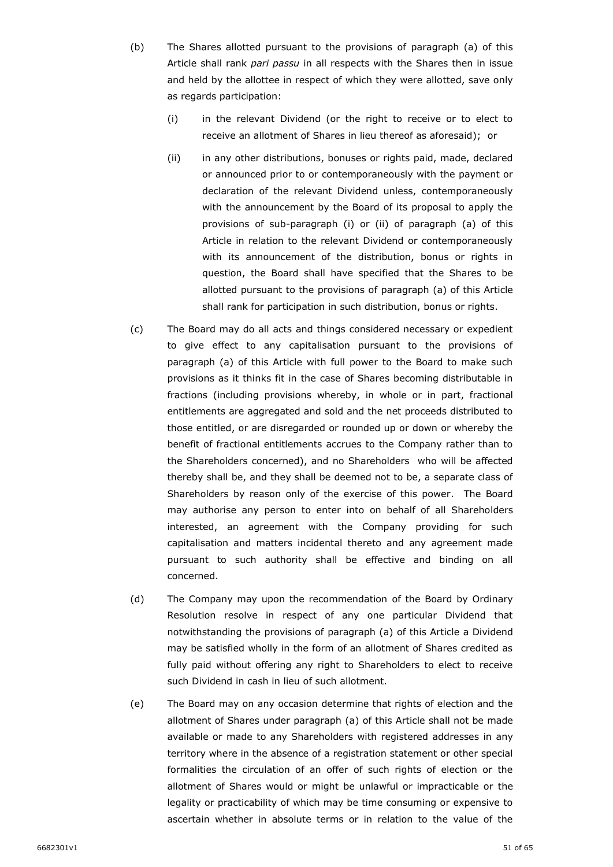- (b) The Shares allotted pursuant to the provisions of paragraph [\(a\)](#page-50-1) of this Article shall rank *pari passu* in all respects with the Shares then in issue and held by the allottee in respect of which they were allotted, save only as regards participation:
	- (i) in the relevant Dividend (or the right to receive or to elect to receive an allotment of Shares in lieu thereof as aforesaid); or
	- (ii) in any other distributions, bonuses or rights paid, made, declared or announced prior to or contemporaneously with the payment or declaration of the relevant Dividend unless, contemporaneously with the announcement by the Board of its proposal to apply the provisions of sub-paragraph (i) or (ii) of paragraph [\(a\)](#page-50-1) of this Article in relation to the relevant Dividend or contemporaneously with its announcement of the distribution, bonus or rights in question, the Board shall have specified that the Shares to be allotted pursuant to the provisions of paragraph [\(a\)](#page-50-1) of this Article shall rank for participation in such distribution, bonus or rights.
- (c) The Board may do all acts and things considered necessary or expedient to give effect to any capitalisation pursuant to the provisions of paragraph [\(a\)](#page-50-1) of this Article with full power to the Board to make such provisions as it thinks fit in the case of Shares becoming distributable in fractions (including provisions whereby, in whole or in part, fractional entitlements are aggregated and sold and the net proceeds distributed to those entitled, or are disregarded or rounded up or down or whereby the benefit of fractional entitlements accrues to the Company rather than to the Shareholders concerned), and no Shareholders who will be affected thereby shall be, and they shall be deemed not to be, a separate class of Shareholders by reason only of the exercise of this power. The Board may authorise any person to enter into on behalf of all Shareholders interested, an agreement with the Company providing for such capitalisation and matters incidental thereto and any agreement made pursuant to such authority shall be effective and binding on all concerned.
- (d) The Company may upon the recommendation of the Board by Ordinary Resolution resolve in respect of any one particular Dividend that notwithstanding the provisions of paragraph [\(a\)](#page-50-1) of this Article a Dividend may be satisfied wholly in the form of an allotment of Shares credited as fully paid without offering any right to Shareholders to elect to receive such Dividend in cash in lieu of such allotment.
- <span id="page-52-0"></span>(e) The Board may on any occasion determine that rights of election and the allotment of Shares under paragraph [\(a\)](#page-50-1) of this Article shall not be made available or made to any Shareholders with registered addresses in any territory where in the absence of a registration statement or other special formalities the circulation of an offer of such rights of election or the allotment of Shares would or might be unlawful or impracticable or the legality or practicability of which may be time consuming or expensive to ascertain whether in absolute terms or in relation to the value of the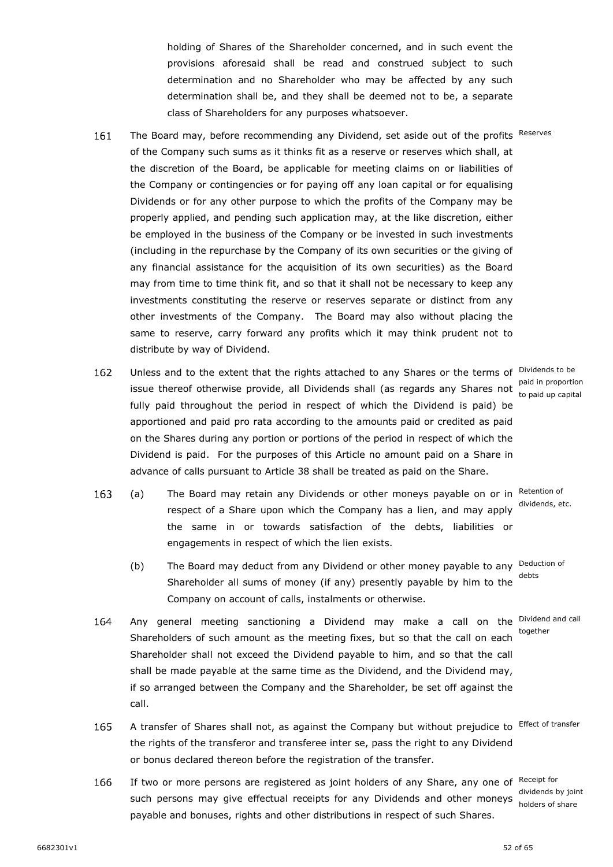holding of Shares of the Shareholder concerned, and in such event the provisions aforesaid shall be read and construed subject to such determination and no Shareholder who may be affected by any such determination shall be, and they shall be deemed not to be, a separate class of Shareholders for any purposes whatsoever.

- 161 The Board may, before recommending any Dividend, set aside out of the profits Reserves of the Company such sums as it thinks fit as a reserve or reserves which shall, at the discretion of the Board, be applicable for meeting claims on or liabilities of the Company or contingencies or for paying off any loan capital or for equalising Dividends or for any other purpose to which the profits of the Company may be properly applied, and pending such application may, at the like discretion, either be employed in the business of the Company or be invested in such investments (including in the repurchase by the Company of its own securities or the giving of any financial assistance for the acquisition of its own securities) as the Board may from time to time think fit, and so that it shall not be necessary to keep any investments constituting the reserve or reserves separate or distinct from any other investments of the Company. The Board may also without placing the same to reserve, carry forward any profits which it may think prudent not to distribute by way of Dividend.
- 162 Unless and to the extent that the rights attached to any Shares or the terms of Dividends to be paid in proportion<br>issue thereof otherwise provide, all Dividends shall (as regards any Shares not the said up segital fully paid throughout the period in respect of which the Dividend is paid) be apportioned and paid pro rata according to the amounts paid or credited as paid on the Shares during any portion or portions of the period in respect of which the Dividend is paid. For the purposes of this Article no amount paid on a Share in advance of calls pursuant to Article [38](#page-18-1) shall be treated as paid on the Share.
- 163 (a) The Board may retain any Dividends or other moneys payable on or in Retention of respect of a Share upon which the Company has a lien, and may apply the same in or towards satisfaction of the debts, liabilities or engagements in respect of which the lien exists.
	- (b) The Board may deduct from any Dividend or other money payable to any Deduction of Shareholder all sums of money (if any) presently payable by him to the Company on account of calls, instalments or otherwise.
- Any general meeting sanctioning a Dividend may make a call on the <sup>Dividend and call</sup> 164 Shareholders of such amount as the meeting fixes, but so that the call on each Shareholder shall not exceed the Dividend payable to him, and so that the call shall be made payable at the same time as the Dividend, and the Dividend may, if so arranged between the Company and the Shareholder, be set off against the call.
- 165 A transfer of Shares shall not, as against the Company but without prejudice to Effect of transfer the rights of the transferor and transferee inter se, pass the right to any Dividend or bonus declared thereon before the registration of the transfer.
- 166 If two or more persons are registered as joint holders of any Share, any one of Receipt for such persons may give effectual receipts for any Dividends and other moneys molders of share payable and bonuses, rights and other distributions in respect of such Shares.

to paid up capital

dividends, etc.

debts

together

dividends by joint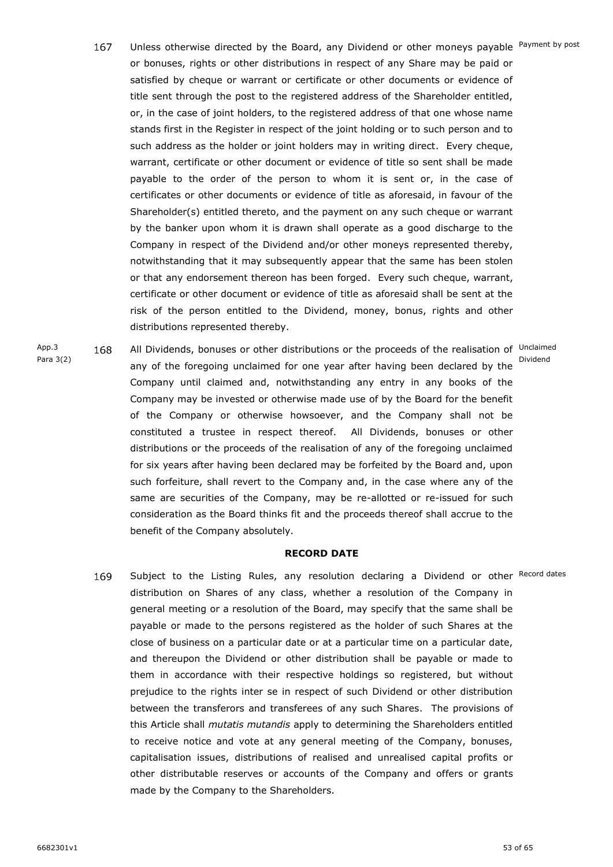- 167 Unless otherwise directed by the Board, any Dividend or other moneys payable Payment by post or bonuses, rights or other distributions in respect of any Share may be paid or satisfied by cheque or warrant or certificate or other documents or evidence of title sent through the post to the registered address of the Shareholder entitled, or, in the case of joint holders, to the registered address of that one whose name stands first in the Register in respect of the joint holding or to such person and to such address as the holder or joint holders may in writing direct. Every cheque, warrant, certificate or other document or evidence of title so sent shall be made payable to the order of the person to whom it is sent or, in the case of certificates or other documents or evidence of title as aforesaid, in favour of the Shareholder(s) entitled thereto, and the payment on any such cheque or warrant by the banker upon whom it is drawn shall operate as a good discharge to the Company in respect of the Dividend and/or other moneys represented thereby, notwithstanding that it may subsequently appear that the same has been stolen or that any endorsement thereon has been forged. Every such cheque, warrant, certificate or other document or evidence of title as aforesaid shall be sent at the risk of the person entitled to the Dividend, money, bonus, rights and other distributions represented thereby.
- App.3 All Dividends, bonuses or other distributions or the proceeds of the realisation of <sup>Unclaimed</sup> 168 Dividend Para 3(2) any of the foregoing unclaimed for one year after having been declared by the Company until claimed and, notwithstanding any entry in any books of the Company may be invested or otherwise made use of by the Board for the benefit of the Company or otherwise howsoever, and the Company shall not be constituted a trustee in respect thereof. All Dividends, bonuses or other distributions or the proceeds of the realisation of any of the foregoing unclaimed for six years after having been declared may be forfeited by the Board and, upon such forfeiture, shall revert to the Company and, in the case where any of the same are securities of the Company, may be re-allotted or re-issued for such consideration as the Board thinks fit and the proceeds thereof shall accrue to the benefit of the Company absolutely.

#### **RECORD DATE**

<span id="page-54-0"></span>169 Subject to the Listing Rules, any resolution declaring a Dividend or other Record dates distribution on Shares of any class, whether a resolution of the Company in general meeting or a resolution of the Board, may specify that the same shall be payable or made to the persons registered as the holder of such Shares at the close of business on a particular date or at a particular time on a particular date, and thereupon the Dividend or other distribution shall be payable or made to them in accordance with their respective holdings so registered, but without prejudice to the rights inter se in respect of such Dividend or other distribution between the transferors and transferees of any such Shares. The provisions of this Article shall *mutatis mutandis* apply to determining the Shareholders entitled to receive notice and vote at any general meeting of the Company, bonuses, capitalisation issues, distributions of realised and unrealised capital profits or other distributable reserves or accounts of the Company and offers or grants made by the Company to the Shareholders.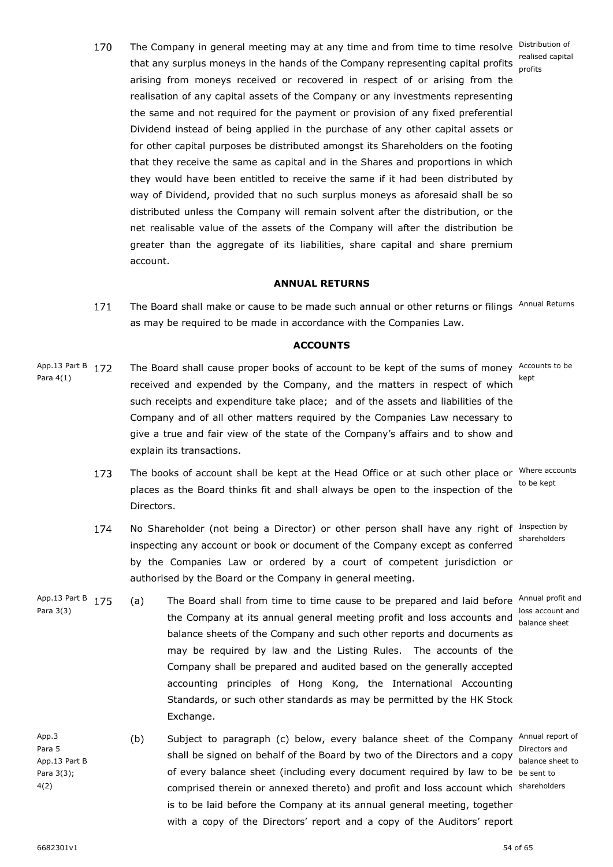170 The Company in general meeting may at any time and from time to time resolve Distribution of realised capital<br>that any surplus moneys in the hands of the Company representing capital profits arising from moneys received or recovered in respect of or arising from the realisation of any capital assets of the Company or any investments representing the same and not required for the payment or provision of any fixed preferential Dividend instead of being applied in the purchase of any other capital assets or for other capital purposes be distributed amongst its Shareholders on the footing that they receive the same as capital and in the Shares and proportions in which they would have been entitled to receive the same if it had been distributed by way of Dividend, provided that no such surplus moneys as aforesaid shall be so distributed unless the Company will remain solvent after the distribution, or the net realisable value of the assets of the Company will after the distribution be greater than the aggregate of its liabilities, share capital and share premium account.

#### **ANNUAL RETURNS**

<span id="page-55-1"></span><span id="page-55-0"></span>171 The Board shall make or cause to be made such annual or other returns or filings Annual Returns as may be required to be made in accordance with the Companies Law.

#### **ACCOUNTS**

- App.13 Part B 172 Para 4(1) The Board shall cause proper books of account to be kept of the sums of money Accounts to be . received and expended by the Company, and the matters in respect of which such receipts and expenditure take place; and of the assets and liabilities of the Company and of all other matters required by the Companies Law necessary to give a true and fair view of the state of the Company's affairs and to show and explain its transactions. kept
	- 173 The books of account shall be kept at the Head Office or at such other place or <sup>Where accounts</sup> to be kept places as the Board thinks fit and shall always be open to the inspection of the Directors.
	- No Shareholder (not being a Director) or other person shall have any right of Inspection by 174 shareholders inspecting any account or book or document of the Company except as conferred by the Companies Law or ordered by a court of competent jurisdiction or authorised by the Board or the Company in general meeting.
- App.13 Part B 175 Para 3(3) (a) The Board shall from time to time cause to be prepared and laid before Annual profit and the Company at its annual general meeting profit and loss accounts and loss account and balance sheets of the Company and such other reports and documents as may be required by law and the Listing Rules. The accounts of the Company shall be prepared and audited based on the generally accepted accounting principles of Hong Kong, the International Accounting Standards, or such other standards as may be permitted by the HK Stock Exchange.
- App.3 Para 5 App.13 Part B Para 3(3); 4(2) (b) Subject to paragraph [\(c\)](#page-56-1) below, every balance sheet of the Company Annual report of Directors and<br>Shall be signed on behalf of the Board by two of the Directors and a copy of every balance sheet (including every document required by law to be be sent to comprised therein or annexed thereto) and profit and loss account which shareholders is to be laid before the Company at its annual general meeting, together with a copy of the Directors' report and a copy of the Auditors' report

balance sheet to

balance sheet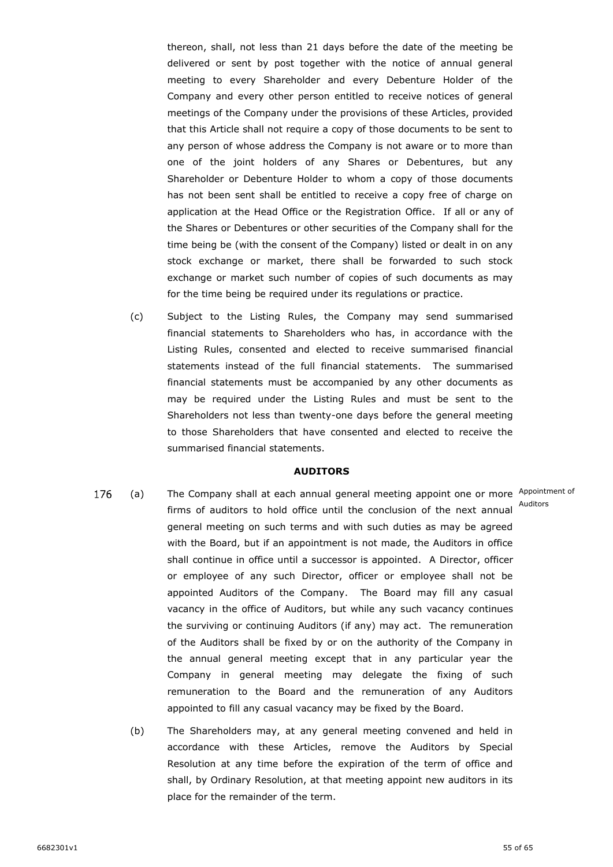thereon, shall, not less than 21 days before the date of the meeting be delivered or sent by post together with the notice of annual general meeting to every Shareholder and every Debenture Holder of the Company and every other person entitled to receive notices of general meetings of the Company under the provisions of these Articles, provided that this Article shall not require a copy of those documents to be sent to any person of whose address the Company is not aware or to more than one of the joint holders of any Shares or Debentures, but any Shareholder or Debenture Holder to whom a copy of those documents has not been sent shall be entitled to receive a copy free of charge on application at the Head Office or the Registration Office. If all or any of the Shares or Debentures or other securities of the Company shall for the time being be (with the consent of the Company) listed or dealt in on any stock exchange or market, there shall be forwarded to such stock exchange or market such number of copies of such documents as may for the time being be required under its regulations or practice.

<span id="page-56-1"></span>(c) Subject to the Listing Rules, the Company may send summarised financial statements to Shareholders who has, in accordance with the Listing Rules, consented and elected to receive summarised financial statements instead of the full financial statements. The summarised financial statements must be accompanied by any other documents as may be required under the Listing Rules and must be sent to the Shareholders not less than twenty-one days before the general meeting to those Shareholders that have consented and elected to receive the summarised financial statements.

#### **AUDITORS**

- <span id="page-56-0"></span>(a) The Company shall at each annual general meeting appoint one or more Appointment of 176 firms of auditors to hold office until the conclusion of the next annual Auditors general meeting on such terms and with such duties as may be agreed with the Board, but if an appointment is not made, the Auditors in office shall continue in office until a successor is appointed. A Director, officer or employee of any such Director, officer or employee shall not be appointed Auditors of the Company. The Board may fill any casual vacancy in the office of Auditors, but while any such vacancy continues the surviving or continuing Auditors (if any) may act. The remuneration of the Auditors shall be fixed by or on the authority of the Company in the annual general meeting except that in any particular year the Company in general meeting may delegate the fixing of such remuneration to the Board and the remuneration of any Auditors appointed to fill any casual vacancy may be fixed by the Board.
	- (b) The Shareholders may, at any general meeting convened and held in accordance with these Articles, remove the Auditors by Special Resolution at any time before the expiration of the term of office and shall, by Ordinary Resolution, at that meeting appoint new auditors in its place for the remainder of the term.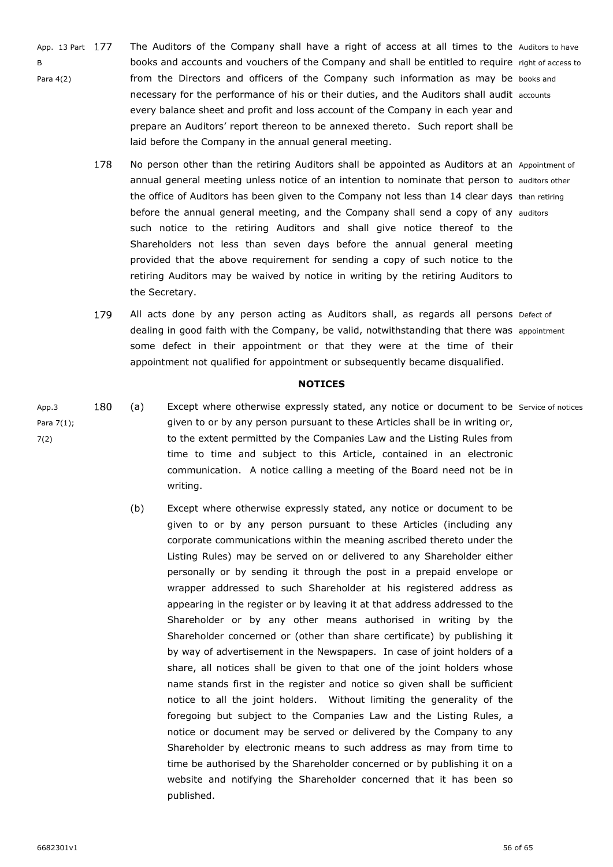- App. 13 Part 177 B Para 4(2) The Auditors of the Company shall have a right of access at all times to the Auditors to have books and accounts and vouchers of the Company and shall be entitled to require right of access to from the Directors and officers of the Company such information as may be books and necessary for the performance of his or their duties, and the Auditors shall audit accounts every balance sheet and profit and loss account of the Company in each year and prepare an Auditors' report thereon to be annexed thereto. Such report shall be laid before the Company in the annual general meeting.
	- 178 No person other than the retiring Auditors shall be appointed as Auditors at an Appointment of annual general meeting unless notice of an intention to nominate that person to auditors other the office of Auditors has been given to the Company not less than 14 clear days than retiring before the annual general meeting, and the Company shall send a copy of any auditors such notice to the retiring Auditors and shall give notice thereof to the Shareholders not less than seven days before the annual general meeting provided that the above requirement for sending a copy of such notice to the retiring Auditors may be waived by notice in writing by the retiring Auditors to the Secretary.
	- 179 All acts done by any person acting as Auditors shall, as regards all persons Defect of dealing in good faith with the Company, be valid, notwithstanding that there was appointment some defect in their appointment or that they were at the time of their appointment not qualified for appointment or subsequently became disqualified.

#### **NOTICES**

- <span id="page-57-0"></span>180 (a) Except where otherwise expressly stated, any notice or document to be Service of notices App.3 given to or by any person pursuant to these Articles shall be in writing or, Para 7(1); 7(2) to the extent permitted by the Companies Law and the Listing Rules from time to time and subject to this Article, contained in an electronic communication. A notice calling a meeting of the Board need not be in writing.
	- (b) Except where otherwise expressly stated, any notice or document to be given to or by any person pursuant to these Articles (including any corporate communications within the meaning ascribed thereto under the Listing Rules) may be served on or delivered to any Shareholder either personally or by sending it through the post in a prepaid envelope or wrapper addressed to such Shareholder at his registered address as appearing in the register or by leaving it at that address addressed to the Shareholder or by any other means authorised in writing by the Shareholder concerned or (other than share certificate) by publishing it by way of advertisement in the Newspapers. In case of joint holders of a share, all notices shall be given to that one of the joint holders whose name stands first in the register and notice so given shall be sufficient notice to all the joint holders. Without limiting the generality of the foregoing but subject to the Companies Law and the Listing Rules, a notice or document may be served or delivered by the Company to any Shareholder by electronic means to such address as may from time to time be authorised by the Shareholder concerned or by publishing it on a website and notifying the Shareholder concerned that it has been so published.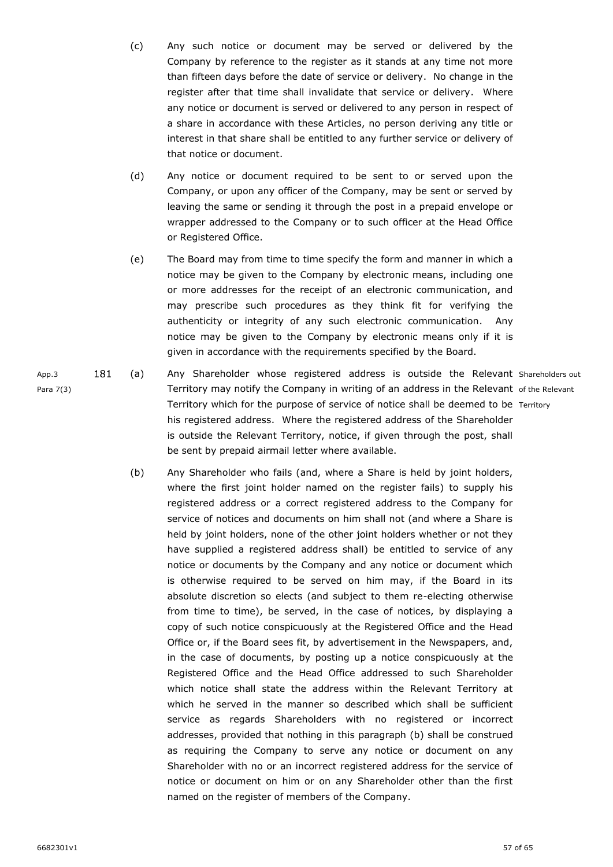- (c) Any such notice or document may be served or delivered by the Company by reference to the register as it stands at any time not more than fifteen days before the date of service or delivery. No change in the register after that time shall invalidate that service or delivery. Where any notice or document is served or delivered to any person in respect of a share in accordance with these Articles, no person deriving any title or interest in that share shall be entitled to any further service or delivery of that notice or document.
- (d) Any notice or document required to be sent to or served upon the Company, or upon any officer of the Company, may be sent or served by leaving the same or sending it through the post in a prepaid envelope or wrapper addressed to the Company or to such officer at the Head Office or Registered Office.
- (e) The Board may from time to time specify the form and manner in which a notice may be given to the Company by electronic means, including one or more addresses for the receipt of an electronic communication, and may prescribe such procedures as they think fit for verifying the authenticity or integrity of any such electronic communication. Any notice may be given to the Company by electronic means only if it is given in accordance with the requirements specified by the Board.
- <span id="page-58-0"></span>181 (a) Any Shareholder whose registered address is outside the Relevant Shareholders out App.3 Para 7(3) Territory may notify the Company in writing of an address in the Relevant of the Relevant Territory which for the purpose of service of notice shall be deemed to be Territory his registered address. Where the registered address of the Shareholder is outside the Relevant Territory, notice, if given through the post, shall be sent by prepaid airmail letter where available.
	-
	- (b) Any Shareholder who fails (and, where a Share is held by joint holders, where the first joint holder named on the register fails) to supply his registered address or a correct registered address to the Company for service of notices and documents on him shall not (and where a Share is held by joint holders, none of the other joint holders whether or not they have supplied a registered address shall) be entitled to service of any notice or documents by the Company and any notice or document which is otherwise required to be served on him may, if the Board in its absolute discretion so elects (and subject to them re-electing otherwise from time to time), be served, in the case of notices, by displaying a copy of such notice conspicuously at the Registered Office and the Head Office or, if the Board sees fit, by advertisement in the Newspapers, and, in the case of documents, by posting up a notice conspicuously at the Registered Office and the Head Office addressed to such Shareholder which notice shall state the address within the Relevant Territory at which he served in the manner so described which shall be sufficient service as regards Shareholders with no registered or incorrect addresses, provided that nothing in this paragraph [\(b\)](#page-58-0) shall be construed as requiring the Company to serve any notice or document on any Shareholder with no or an incorrect registered address for the service of notice or document on him or on any Shareholder other than the first named on the register of members of the Company.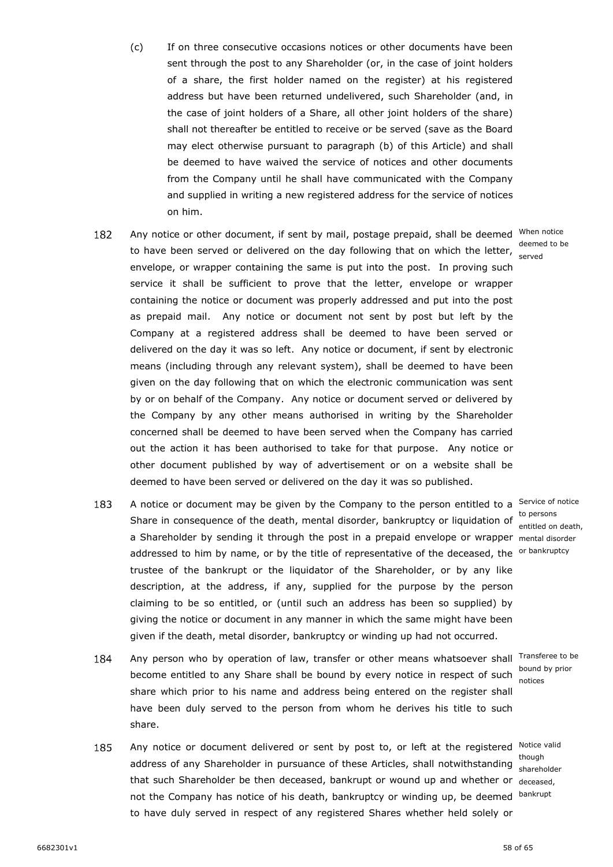185

- (c) If on three consecutive occasions notices or other documents have been sent through the post to any Shareholder (or, in the case of joint holders of a share, the first holder named on the register) at his registered address but have been returned undelivered, such Shareholder (and, in the case of joint holders of a Share, all other joint holders of the share) shall not thereafter be entitled to receive or be served (save as the Board may elect otherwise pursuant to paragraph [\(b\)](#page-58-0) of this Article) and shall be deemed to have waived the service of notices and other documents from the Company until he shall have communicated with the Company and supplied in writing a new registered address for the service of notices on him.
- 182 Any notice or other document, if sent by mail, postage prepaid, shall be deemed <sup>When notice</sup> to have been served or delivered on the day following that on which the letter, denoted to be envelope, or wrapper containing the same is put into the post. In proving such service it shall be sufficient to prove that the letter, envelope or wrapper containing the notice or document was properly addressed and put into the post as prepaid mail. Any notice or document not sent by post but left by the Company at a registered address shall be deemed to have been served or delivered on the day it was so left. Any notice or document, if sent by electronic means (including through any relevant system), shall be deemed to have been given on the day following that on which the electronic communication was sent by or on behalf of the Company. Any notice or document served or delivered by the Company by any other means authorised in writing by the Shareholder concerned shall be deemed to have been served when the Company has carried out the action it has been authorised to take for that purpose. Any notice or other document published by way of advertisement or on a website shall be deemed to have been served or delivered on the day it was so published.
- 183 A notice or document may be given by the Company to the person entitled to a Service of notice share in consequence of the death, mental disorder, bankruptcy or liquidation of the sersons a Shareholder by sending it through the post in a prepaid envelope or wrapper mental disorder addressed to him by name, or by the title of representative of the deceased, the <sup>or bankruptcy</sup> trustee of the bankrupt or the liquidator of the Shareholder, or by any like description, at the address, if any, supplied for the purpose by the person claiming to be so entitled, or (until such an address has been so supplied) by giving the notice or document in any manner in which the same might have been given if the death, metal disorder, bankruptcy or winding up had not occurred.
- 184 Any person who by operation of law, transfer or other means whatsoever shall Transferee to be become entitled to any Share shall be bound by every notice in respect of such share which prior to his name and address being entered on the register shall have been duly served to the person from whom he derives his title to such share.
- Any notice or document delivered or sent by post to, or left at the registered Notice valid though<br>address of any Shareholder in pursuance of these Articles, shall notwithstanding that such Shareholder be then deceased, bankrupt or wound up and whether or deceased, not the Company has notice of his death, bankruptcy or winding up, be deemed bankrupt to have duly served in respect of any registered Shares whether held solely or

served

entitled on death,

bound by prior notices

shareholder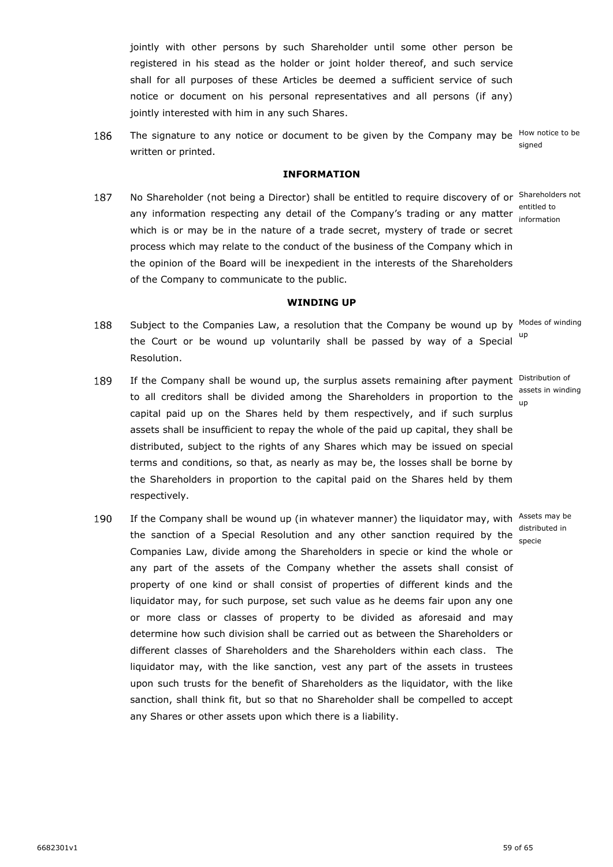jointly with other persons by such Shareholder until some other person be registered in his stead as the holder or joint holder thereof, and such service shall for all purposes of these Articles be deemed a sufficient service of such notice or document on his personal representatives and all persons (if any) jointly interested with him in any such Shares.

186 The signature to any notice or document to be given by the Company may be <sup>How notice to be</sup> signed written or printed.

#### **INFORMATION**

<span id="page-60-0"></span>187 No Shareholder (not being a Director) shall be entitled to require discovery of or <sup>Shareholders not</sup> entitled to<br>any information respecting any detail of the Company's trading or any matter information which is or may be in the nature of a trade secret, mystery of trade or secret process which may relate to the conduct of the business of the Company which in the opinion of the Board will be inexpedient in the interests of the Shareholders of the Company to communicate to the public.

#### **WINDING UP**

- <span id="page-60-1"></span>188 Subject to the Companies Law, a resolution that the Company be wound up by Modes of winding the Court or be wound up voluntarily shall be passed by way of a Special <sup>up</sup> Resolution.
- If the Company shall be wound up, the surplus assets remaining after payment Distribution of 189 to all creditors shall be divided among the Shareholders in proportion to the  $\frac{10}{10}$ capital paid up on the Shares held by them respectively, and if such surplus assets shall be insufficient to repay the whole of the paid up capital, they shall be distributed, subject to the rights of any Shares which may be issued on special terms and conditions, so that, as nearly as may be, the losses shall be borne by the Shareholders in proportion to the capital paid on the Shares held by them respectively.
- 190 If the Company shall be wound up (in whatever manner) the liquidator may, with Assets may be the sanction of a Special Resolution and any other sanction required by the distributed in Companies Law, divide among the Shareholders in specie or kind the whole or any part of the assets of the Company whether the assets shall consist of property of one kind or shall consist of properties of different kinds and the liquidator may, for such purpose, set such value as he deems fair upon any one or more class or classes of property to be divided as aforesaid and may determine how such division shall be carried out as between the Shareholders or different classes of Shareholders and the Shareholders within each class. The liquidator may, with the like sanction, vest any part of the assets in trustees upon such trusts for the benefit of Shareholders as the liquidator, with the like sanction, shall think fit, but so that no Shareholder shall be compelled to accept any Shares or other assets upon which there is a liability.

assets in winding

specie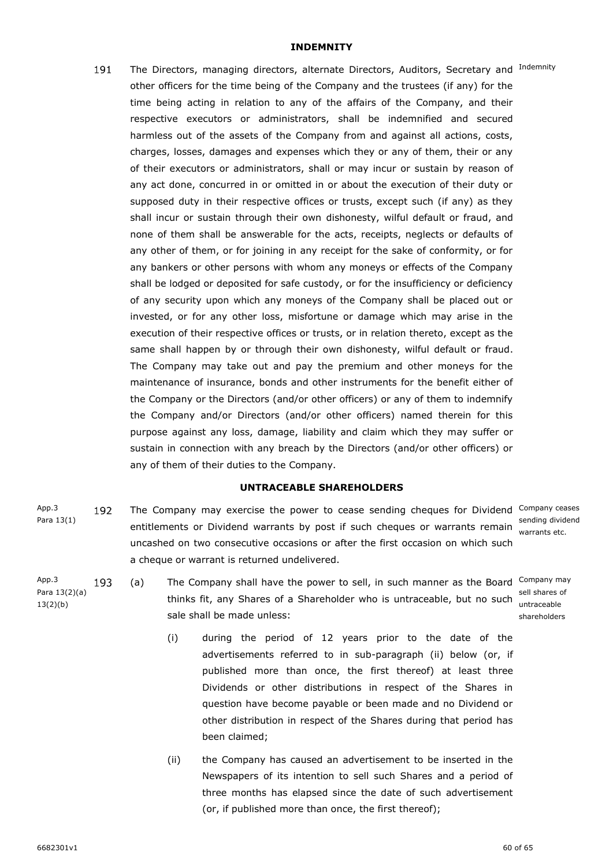#### **INDEMNITY**

<span id="page-61-0"></span>The Directors, managing directors, alternate Directors, Auditors, Secretary and <sup>Indemnity</sup> 191 other officers for the time being of the Company and the trustees (if any) for the time being acting in relation to any of the affairs of the Company, and their respective executors or administrators, shall be indemnified and secured harmless out of the assets of the Company from and against all actions, costs, charges, losses, damages and expenses which they or any of them, their or any of their executors or administrators, shall or may incur or sustain by reason of any act done, concurred in or omitted in or about the execution of their duty or supposed duty in their respective offices or trusts, except such (if any) as they shall incur or sustain through their own dishonesty, wilful default or fraud, and none of them shall be answerable for the acts, receipts, neglects or defaults of any other of them, or for joining in any receipt for the sake of conformity, or for any bankers or other persons with whom any moneys or effects of the Company shall be lodged or deposited for safe custody, or for the insufficiency or deficiency of any security upon which any moneys of the Company shall be placed out or invested, or for any other loss, misfortune or damage which may arise in the execution of their respective offices or trusts, or in relation thereto, except as the same shall happen by or through their own dishonesty, wilful default or fraud. The Company may take out and pay the premium and other moneys for the maintenance of insurance, bonds and other instruments for the benefit either of the Company or the Directors (and/or other officers) or any of them to indemnify the Company and/or Directors (and/or other officers) named therein for this purpose against any loss, damage, liability and claim which they may suffer or sustain in connection with any breach by the Directors (and/or other officers) or any of them of their duties to the Company.

#### **UNTRACEABLE SHAREHOLDERS**

<span id="page-61-1"></span>App.3 The Company may exercise the power to cease sending cheques for Dividend Company ceases 192 Para 13(1) entitlements or Dividend warrants by post if such cheques or warrants remain uncashed on two consecutive occasions or after the first occasion on which such a cheque or warrant is returned undelivered.

sending dividend warrants etc.

- <span id="page-61-2"></span>193 (a) The Company shall have the power to sell, in such manner as the Board Company may sell shares of thinks fit, any Shares of a Shareholder who is untraceable, but no such untraceable sale shall be made unless: shareholders
	- (i) during the period of 12 years prior to the date of the advertisements referred to in sub-paragraph [\(ii\)](#page-61-2) below (or, if published more than once, the first thereof) at least three Dividends or other distributions in respect of the Shares in question have become payable or been made and no Dividend or other distribution in respect of the Shares during that period has been claimed;
	- (ii) the Company has caused an advertisement to be inserted in the Newspapers of its intention to sell such Shares and a period of three months has elapsed since the date of such advertisement (or, if published more than once, the first thereof);

App.3 Para 13(2)(a) 13(2)(b)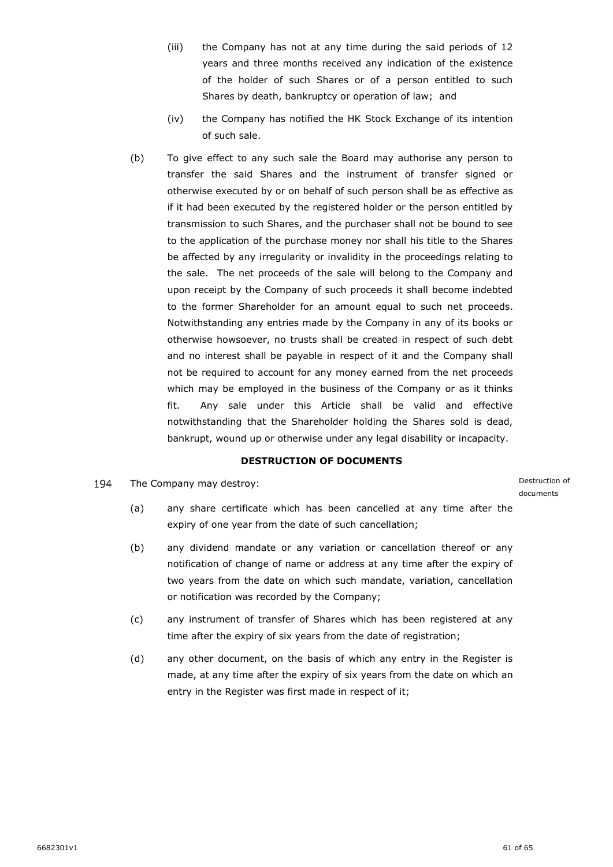- (iii) the Company has not at any time during the said periods of 12 years and three months received any indication of the existence of the holder of such Shares or of a person entitled to such Shares by death, bankruptcy or operation of law; and
- (iv) the Company has notified the HK Stock Exchange of its intention of such sale.
- (b) To give effect to any such sale the Board may authorise any person to transfer the said Shares and the instrument of transfer signed or otherwise executed by or on behalf of such person shall be as effective as if it had been executed by the registered holder or the person entitled by transmission to such Shares, and the purchaser shall not be bound to see to the application of the purchase money nor shall his title to the Shares be affected by any irregularity or invalidity in the proceedings relating to the sale. The net proceeds of the sale will belong to the Company and upon receipt by the Company of such proceeds it shall become indebted to the former Shareholder for an amount equal to such net proceeds. Notwithstanding any entries made by the Company in any of its books or otherwise howsoever, no trusts shall be created in respect of such debt and no interest shall be payable in respect of it and the Company shall not be required to account for any money earned from the net proceeds which may be employed in the business of the Company or as it thinks fit. Any sale under this Article shall be valid and effective notwithstanding that the Shareholder holding the Shares sold is dead, bankrupt, wound up or otherwise under any legal disability or incapacity.

#### **DESTRUCTION OF DOCUMENTS**

<span id="page-62-0"></span>194 The Company may destroy: Destruction of documents

- (a) any share certificate which has been cancelled at any time after the expiry of one year from the date of such cancellation;
- (b) any dividend mandate or any variation or cancellation thereof or any notification of change of name or address at any time after the expiry of two years from the date on which such mandate, variation, cancellation or notification was recorded by the Company;
- (c) any instrument of transfer of Shares which has been registered at any time after the expiry of six years from the date of registration;
- (d) any other document, on the basis of which any entry in the Register is made, at any time after the expiry of six years from the date on which an entry in the Register was first made in respect of it;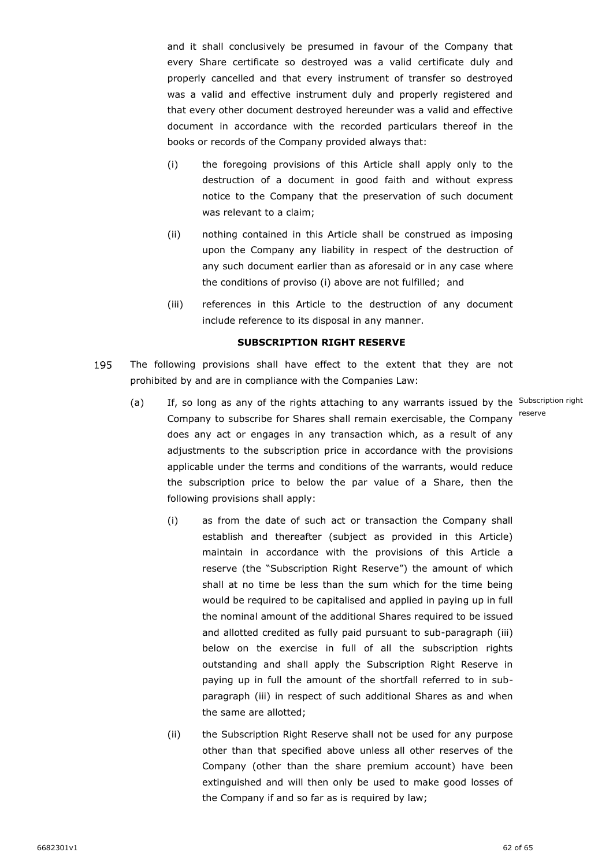and it shall conclusively be presumed in favour of the Company that every Share certificate so destroyed was a valid certificate duly and properly cancelled and that every instrument of transfer so destroyed was a valid and effective instrument duly and properly registered and that every other document destroyed hereunder was a valid and effective document in accordance with the recorded particulars thereof in the books or records of the Company provided always that:

- (i) the foregoing provisions of this Article shall apply only to the destruction of a document in good faith and without express notice to the Company that the preservation of such document was relevant to a claim;
- (ii) nothing contained in this Article shall be construed as imposing upon the Company any liability in respect of the destruction of any such document earlier than as aforesaid or in any case where the conditions of proviso (i) above are not fulfilled; and
- (iii) references in this Article to the destruction of any document include reference to its disposal in any manner.

#### **SUBSCRIPTION RIGHT RESERVE**

- <span id="page-63-1"></span><span id="page-63-0"></span>195 The following provisions shall have effect to the extent that they are not prohibited by and are in compliance with the Companies Law:
	- (a) If, so long as any of the rights attaching to any warrants issued by the Subscription right Company to subscribe for Shares shall remain exercisable, the Company does any act or engages in any transaction which, as a result of any adjustments to the subscription price in accordance with the provisions applicable under the terms and conditions of the warrants, would reduce the subscription price to below the par value of a Share, then the following provisions shall apply:
		- (i) as from the date of such act or transaction the Company shall establish and thereafter (subject as provided in this Article) maintain in accordance with the provisions of this Article a reserve (the "Subscription Right Reserve") the amount of which shall at no time be less than the sum which for the time being would be required to be capitalised and applied in paying up in full the nominal amount of the additional Shares required to be issued and allotted credited as fully paid pursuant to sub-paragraph [\(iii\)](#page-64-0) below on the exercise in full of all the subscription rights outstanding and shall apply the Subscription Right Reserve in paying up in full the amount of the shortfall referred to in subparagraph [\(iii\)](#page-64-0) in respect of such additional Shares as and when the same are allotted;
		- (ii) the Subscription Right Reserve shall not be used for any purpose other than that specified above unless all other reserves of the Company (other than the share premium account) have been extinguished and will then only be used to make good losses of the Company if and so far as is required by law;

reserve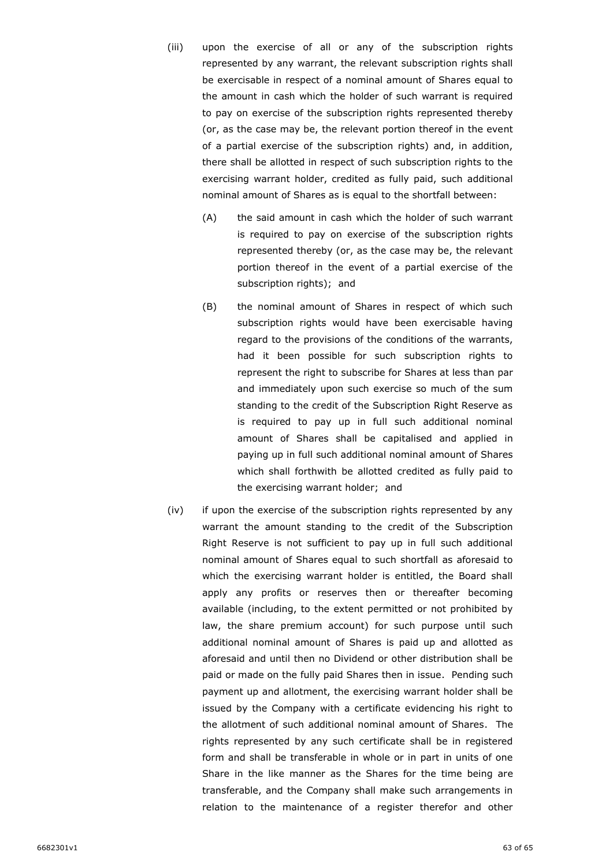- <span id="page-64-0"></span>(iii) upon the exercise of all or any of the subscription rights represented by any warrant, the relevant subscription rights shall be exercisable in respect of a nominal amount of Shares equal to the amount in cash which the holder of such warrant is required to pay on exercise of the subscription rights represented thereby (or, as the case may be, the relevant portion thereof in the event of a partial exercise of the subscription rights) and, in addition, there shall be allotted in respect of such subscription rights to the exercising warrant holder, credited as fully paid, such additional nominal amount of Shares as is equal to the shortfall between:
	- (A) the said amount in cash which the holder of such warrant is required to pay on exercise of the subscription rights represented thereby (or, as the case may be, the relevant portion thereof in the event of a partial exercise of the subscription rights); and
	- (B) the nominal amount of Shares in respect of which such subscription rights would have been exercisable having regard to the provisions of the conditions of the warrants, had it been possible for such subscription rights to represent the right to subscribe for Shares at less than par and immediately upon such exercise so much of the sum standing to the credit of the Subscription Right Reserve as is required to pay up in full such additional nominal amount of Shares shall be capitalised and applied in paying up in full such additional nominal amount of Shares which shall forthwith be allotted credited as fully paid to the exercising warrant holder; and
- (iv) if upon the exercise of the subscription rights represented by any warrant the amount standing to the credit of the Subscription Right Reserve is not sufficient to pay up in full such additional nominal amount of Shares equal to such shortfall as aforesaid to which the exercising warrant holder is entitled, the Board shall apply any profits or reserves then or thereafter becoming available (including, to the extent permitted or not prohibited by law, the share premium account) for such purpose until such additional nominal amount of Shares is paid up and allotted as aforesaid and until then no Dividend or other distribution shall be paid or made on the fully paid Shares then in issue. Pending such payment up and allotment, the exercising warrant holder shall be issued by the Company with a certificate evidencing his right to the allotment of such additional nominal amount of Shares. The rights represented by any such certificate shall be in registered form and shall be transferable in whole or in part in units of one Share in the like manner as the Shares for the time being are transferable, and the Company shall make such arrangements in relation to the maintenance of a register therefor and other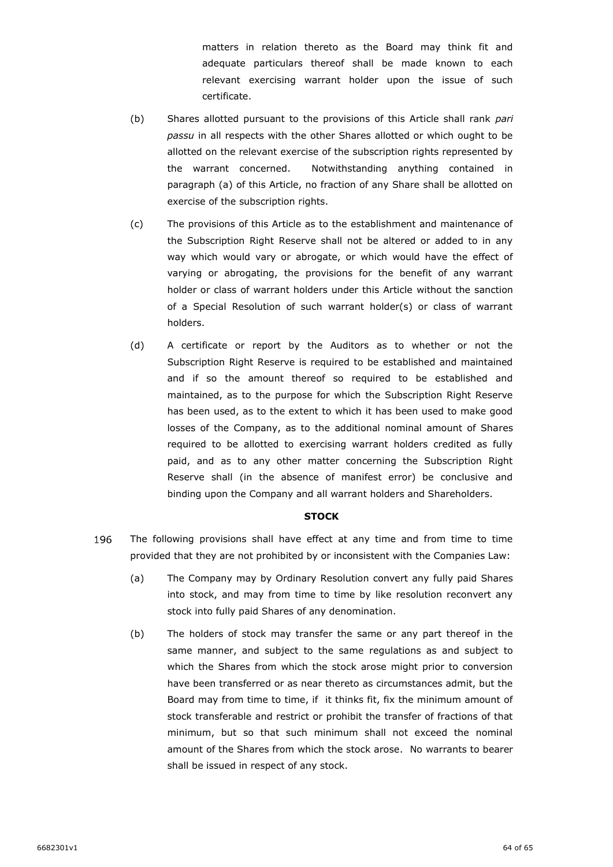matters in relation thereto as the Board may think fit and adequate particulars thereof shall be made known to each relevant exercising warrant holder upon the issue of such certificate.

- (b) Shares allotted pursuant to the provisions of this Article shall rank *pari passu* in all respects with the other Shares allotted or which ought to be allotted on the relevant exercise of the subscription rights represented by the warrant concerned. Notwithstanding anything contained in paragraph [\(a\)](#page-63-1) of this Article, no fraction of any Share shall be allotted on exercise of the subscription rights.
- (c) The provisions of this Article as to the establishment and maintenance of the Subscription Right Reserve shall not be altered or added to in any way which would vary or abrogate, or which would have the effect of varying or abrogating, the provisions for the benefit of any warrant holder or class of warrant holders under this Article without the sanction of a Special Resolution of such warrant holder(s) or class of warrant holders.
- (d) A certificate or report by the Auditors as to whether or not the Subscription Right Reserve is required to be established and maintained and if so the amount thereof so required to be established and maintained, as to the purpose for which the Subscription Right Reserve has been used, as to the extent to which it has been used to make good losses of the Company, as to the additional nominal amount of Shares required to be allotted to exercising warrant holders credited as fully paid, and as to any other matter concerning the Subscription Right Reserve shall (in the absence of manifest error) be conclusive and binding upon the Company and all warrant holders and Shareholders.

#### **STOCK**

- <span id="page-65-0"></span>196 The following provisions shall have effect at any time and from time to time provided that they are not prohibited by or inconsistent with the Companies Law:
	- (a) The Company may by Ordinary Resolution convert any fully paid Shares into stock, and may from time to time by like resolution reconvert any stock into fully paid Shares of any denomination.
	- (b) The holders of stock may transfer the same or any part thereof in the same manner, and subject to the same regulations as and subject to which the Shares from which the stock arose might prior to conversion have been transferred or as near thereto as circumstances admit, but the Board may from time to time, if it thinks fit, fix the minimum amount of stock transferable and restrict or prohibit the transfer of fractions of that minimum, but so that such minimum shall not exceed the nominal amount of the Shares from which the stock arose. No warrants to bearer shall be issued in respect of any stock.